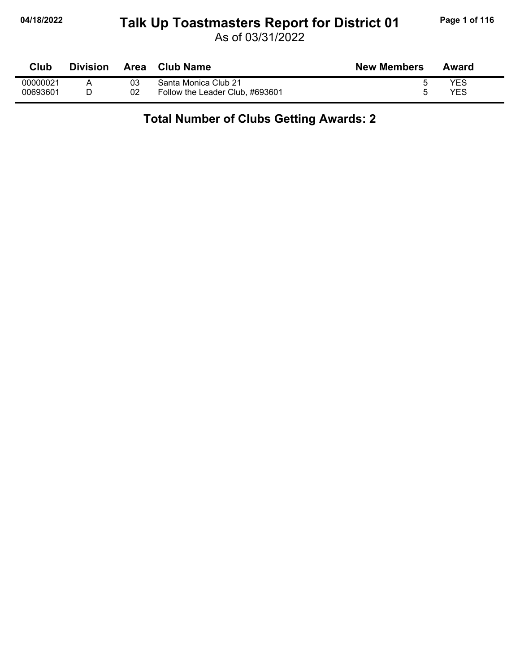## **04/18/2022 Page 1 of 116 Talk Up Toastmasters Report for District 01**

As of 03/31/2022

| Club     | <b>Division</b> | Area | <b>Club Name</b>                | <b>New Members</b> | Award |
|----------|-----------------|------|---------------------------------|--------------------|-------|
| 00000021 |                 | 03   | Santa Monica Club 21            |                    | YES   |
| 00693601 |                 | 02   | Follow the Leader Club, #693601 |                    | YES   |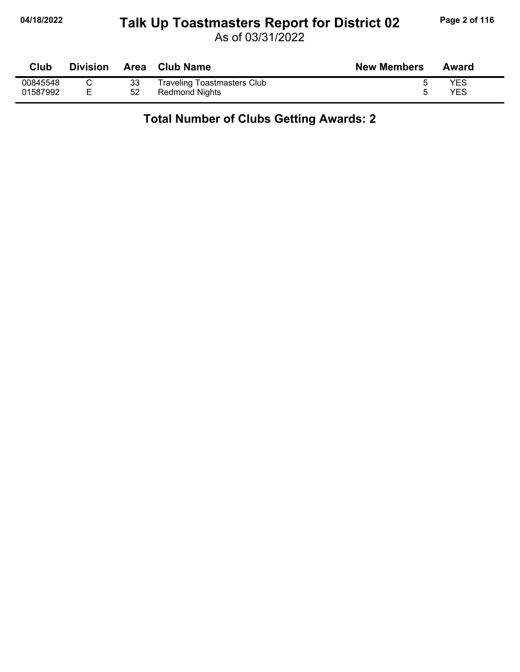## **04/18/2022 Page 2 of 116 Talk Up Toastmasters Report for District 02**

As of 03/31/2022

| Club     | <b>Division</b> |    | Area Club Name                     | <b>New Members</b> | Award |
|----------|-----------------|----|------------------------------------|--------------------|-------|
| 00845548 |                 | 33 | <b>Traveling Toastmasters Club</b> |                    | YES   |
| 01587992 |                 | 52 | Redmond Nights                     |                    | YES   |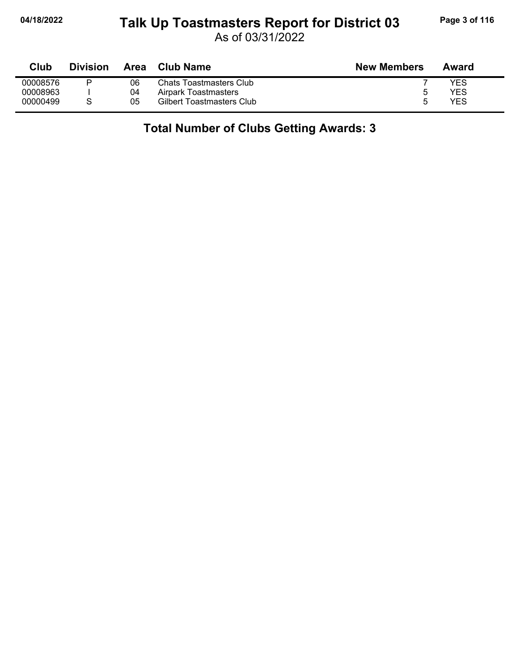#### **04/18/2022 Page 3 of 116 Talk Up Toastmasters Report for District 03**

As of 03/31/2022

| Club     | <b>Division</b> | Area | Club Name                 | <b>New Members</b> | Award |
|----------|-----------------|------|---------------------------|--------------------|-------|
| 00008576 |                 | 06   | Chats Toastmasters Club   |                    | YES   |
| 00008963 |                 | 04   | Airpark Toastmasters      | n                  | YES   |
| 00000499 |                 | 05   | Gilbert Toastmasters Club | ∽                  | YES   |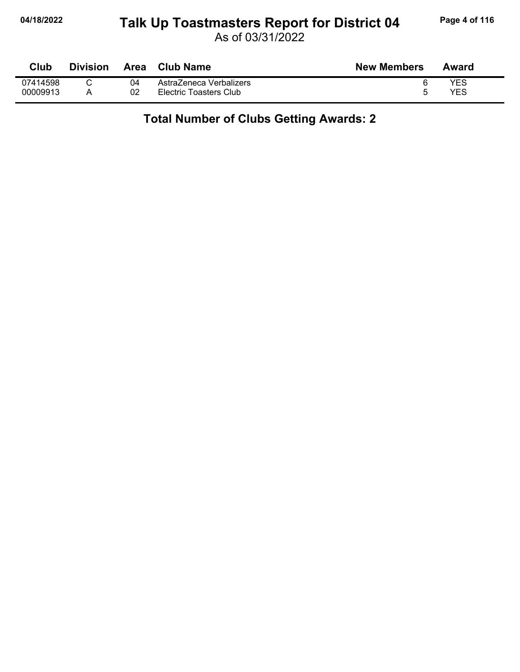# **04/18/2022 Page 4 of 116 Talk Up Toastmasters Report for District 04**

As of 03/31/2022

| Club     | <b>Division</b> | Area | <b>Club Name</b>        | <b>New Members</b> | Award |
|----------|-----------------|------|-------------------------|--------------------|-------|
| 07414598 |                 | 04   | AstraZeneca Verbalizers |                    | YES   |
| 00009913 |                 | 02   | Electric Toasters Club  |                    | YES   |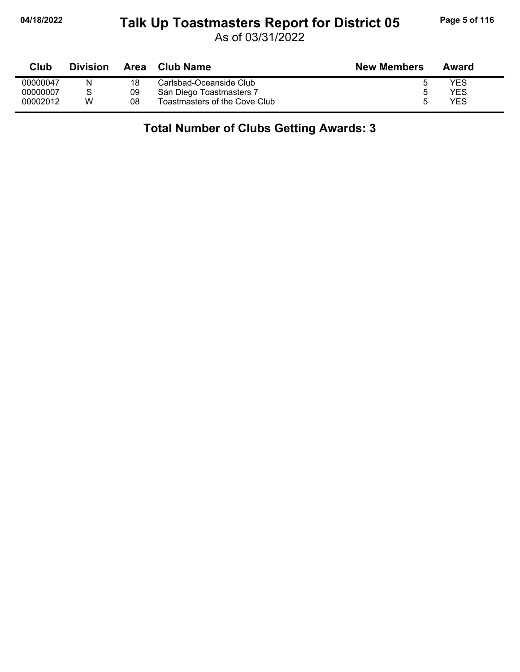#### **04/18/2022 Page 5 of 116 Talk Up Toastmasters Report for District 05**

As of 03/31/2022

| Club     | <b>Division</b> | Area | Club Name                     | <b>New Members</b> | Award |
|----------|-----------------|------|-------------------------------|--------------------|-------|
| 00000047 | N               | 18   | Carlsbad-Oceanside Club       |                    | YES   |
| 00000007 |                 | 09   | San Diego Toastmasters 7      |                    | YES   |
| 00002012 | w               | 08   | Toastmasters of the Cove Club |                    | YES   |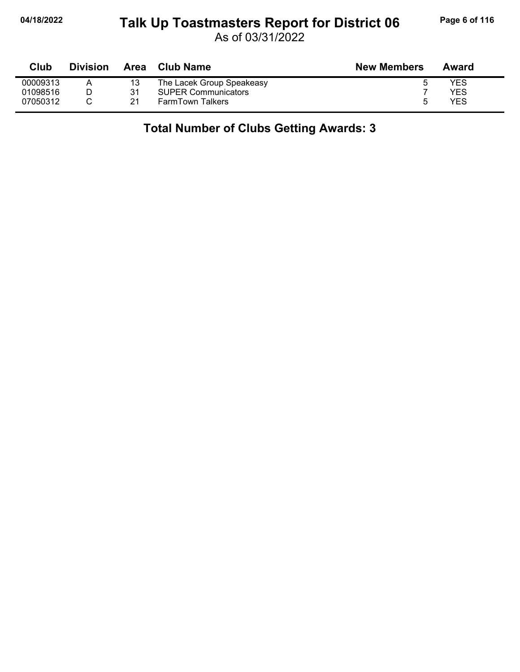### **04/18/2022 Page 6 of 116 Talk Up Toastmasters Report for District 06**

As of 03/31/2022

| Club     | <b>Division</b> | Area | <b>Club Name</b>           | <b>New Members</b> | Award |
|----------|-----------------|------|----------------------------|--------------------|-------|
| 00009313 |                 |      | The Lacek Group Speakeasy  |                    | YES   |
| 01098516 |                 | 31   | <b>SUPER Communicators</b> |                    | YES   |
| 07050312 |                 | 21   | <b>FarmTown Talkers</b>    | :5                 | YES   |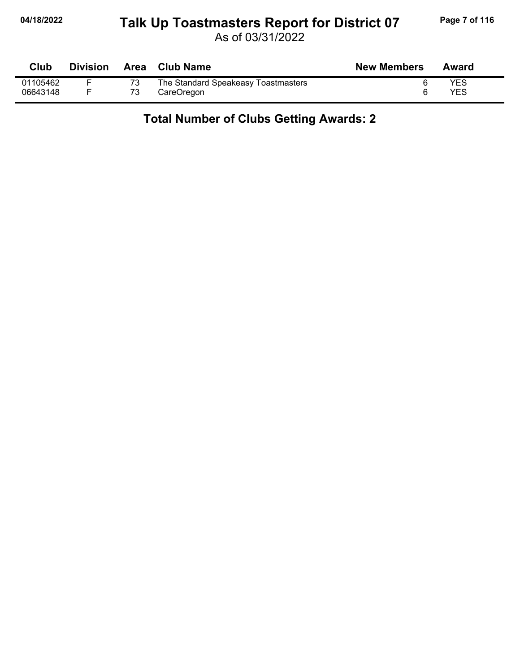## **04/18/2022 Page 7 of 116 Talk Up Toastmasters Report for District 07**

As of 03/31/2022

| Club     | <b>Division</b> | Area Club Name                      | <b>New Members</b> | Award |
|----------|-----------------|-------------------------------------|--------------------|-------|
| 01105462 |                 | The Standard Speakeasy Toastmasters |                    | YES   |
| 06643148 |                 | CareOregon                          |                    | YES   |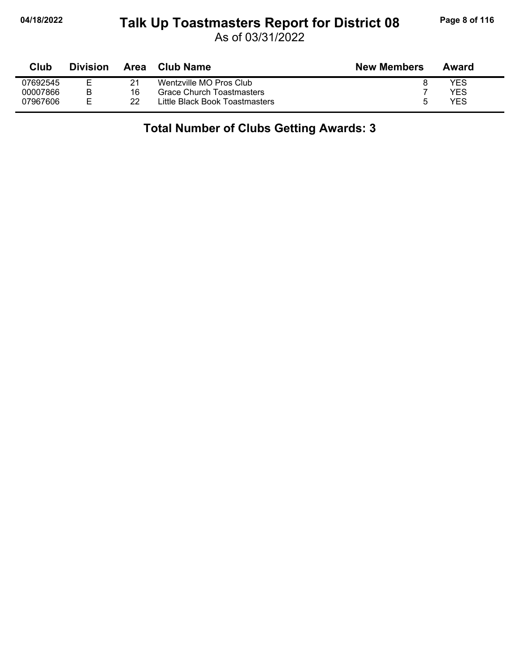#### **04/18/2022 Page 8 of 116 Talk Up Toastmasters Report for District 08**

As of 03/31/2022

| Club     | <b>Division</b> | Area | <b>Club Name</b>               | <b>New Members</b> | Award      |
|----------|-----------------|------|--------------------------------|--------------------|------------|
| 07692545 |                 |      | Wentzville MO Pros Club        |                    | YES        |
| 00007866 |                 | 16   | Grace Church Toastmasters      |                    | <b>YES</b> |
| 07967606 | F               | 22   | Little Black Book Toastmasters | h                  | YES        |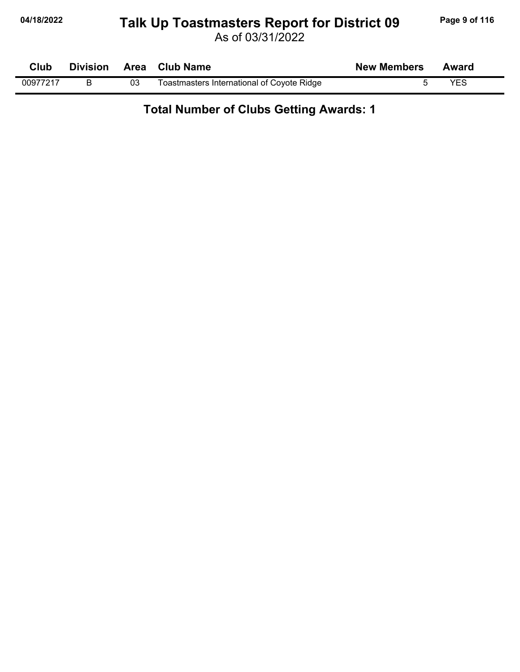## **04/18/2022 Page 9 of 116 Talk Up Toastmasters Report for District 09**

As of 03/31/2022

| Club     | <b>Division</b> |    | Area Club Name                             | <b>New Members</b> | Award      |  |
|----------|-----------------|----|--------------------------------------------|--------------------|------------|--|
| 00977217 |                 | 03 | Toastmasters International of Coyote Ridge |                    | <b>YFS</b> |  |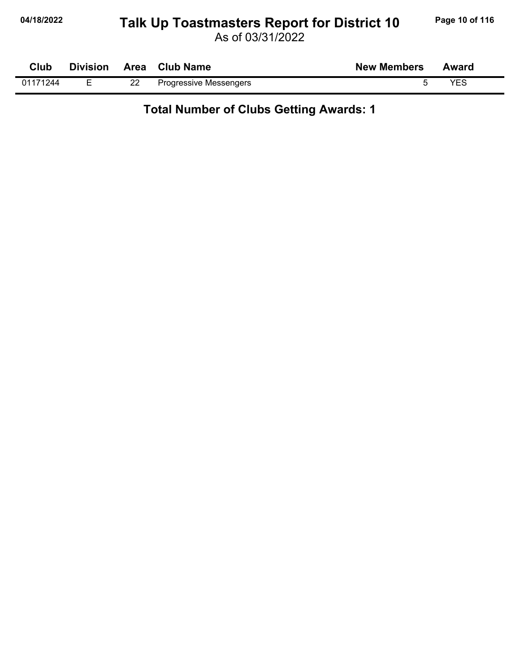## 04/18/2022 **Page 10 of 116** Talk Up Toastmasters Report for District 10 Page 10 of 116

As of 03/31/2022

| Club     | <b>Division</b> |    | Area Club Name                | <b>New Members</b> | Award |
|----------|-----------------|----|-------------------------------|--------------------|-------|
| 01171244 |                 | 22 | <b>Progressive Messengers</b> |                    | YES   |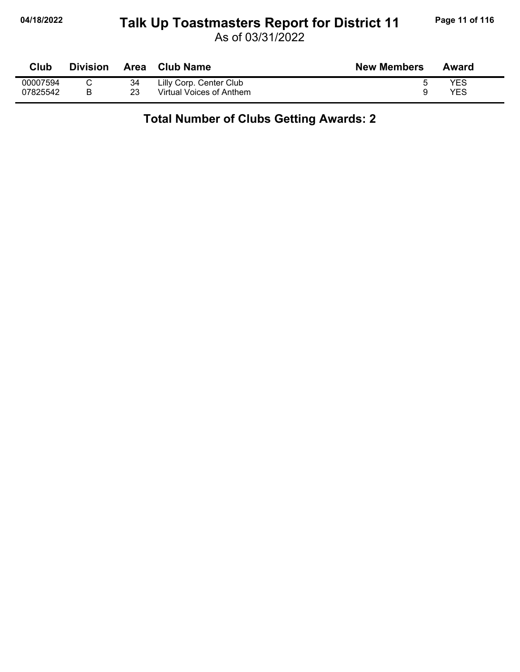## **04/18/2022 Page 11 of 116 Talk Up Toastmasters Report for District 11**

As of 03/31/2022

| Club     | <b>Division</b> | <b>Area</b> | <b>Club Name</b>         | <b>New Members</b> | Award |
|----------|-----------------|-------------|--------------------------|--------------------|-------|
| 00007594 |                 | 34          | Lilly Corp. Center Club  |                    | YES   |
| 07825542 | В               | 23          | Virtual Voices of Anthem |                    | YES   |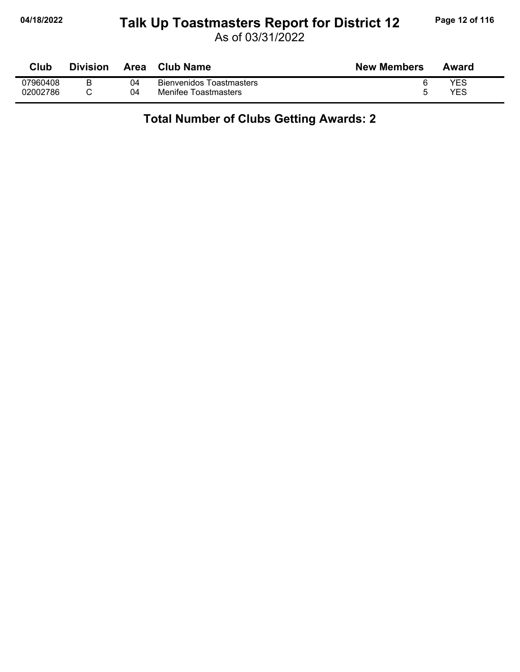# **04/18/2022 Page 12 of 116** Talk Up Toastmasters Report for District 12 Page 12 of 116

As of 03/31/2022

| Club     | <b>Division</b> | Area | <b>Club Name</b>                | <b>New Members</b> | Award      |
|----------|-----------------|------|---------------------------------|--------------------|------------|
| 07960408 | B               | 04   | <b>Bienvenidos Toastmasters</b> |                    | YES        |
| 02002786 |                 | 04   | Menifee Toastmasters            |                    | <b>YES</b> |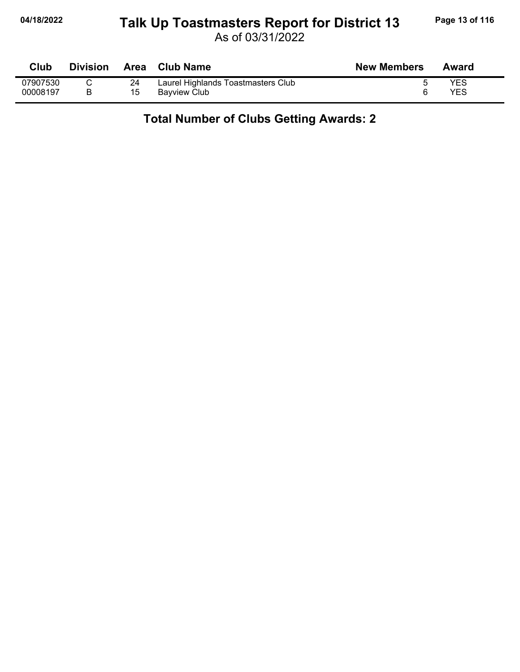## **04/18/2022 Page 13 of 116 Talk Up Toastmasters Report for District 13**

As of 03/31/2022

| Club     | <b>Division</b> | <b>Area</b> | <b>Club Name</b>                   | <b>New Members</b> | Award |
|----------|-----------------|-------------|------------------------------------|--------------------|-------|
| 07907530 |                 | 24          | Laurel Highlands Toastmasters Club |                    | YES   |
| 00008197 |                 | 15          | <b>Bavview Club</b>                |                    | YES   |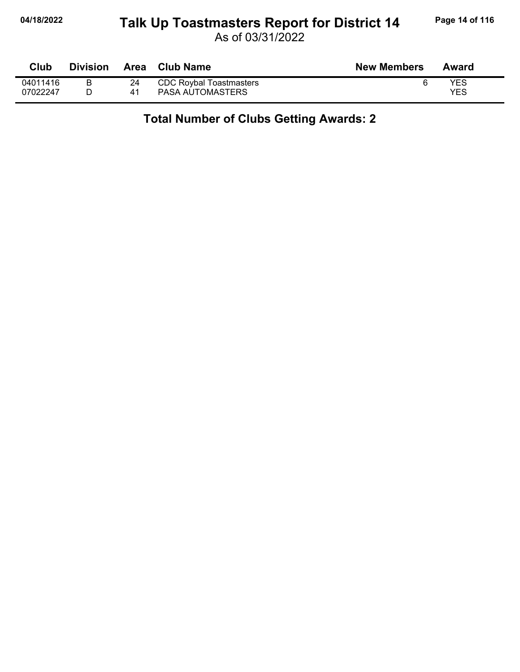## 04/18/2022 **Page 14 of 116** Talk Up Toastmasters Report for District 14 Page 14 of 116

As of 03/31/2022

| Club                 | <b>Division</b> | Area     | <b>Club Name</b>                            | <b>New Members</b> | Award      |
|----------------------|-----------------|----------|---------------------------------------------|--------------------|------------|
| 04011416<br>07022247 |                 | 24<br>41 | CDC Roybal Toastmasters<br>PASA AUTOMASTERS |                    | YES<br>YES |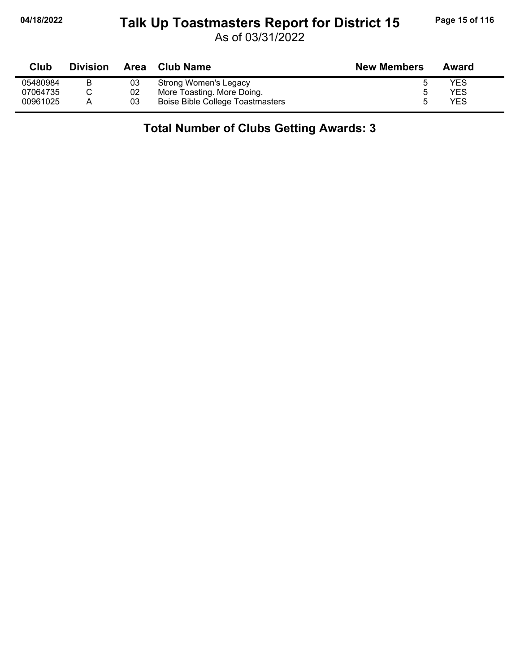#### **04/18/2022 Page 15 of 116 Talk Up Toastmasters Report for District 15**

As of 03/31/2022

| Club     | <b>Division</b> | Area | Club Name                        | <b>New Members</b> | Award |
|----------|-----------------|------|----------------------------------|--------------------|-------|
| 05480984 | B               | 03   | Strong Women's Legacy            |                    | YES   |
| 07064735 |                 | 02   | More Toasting. More Doing.       |                    | YES   |
| 00961025 |                 | 03   | Boise Bible College Toastmasters |                    | YES   |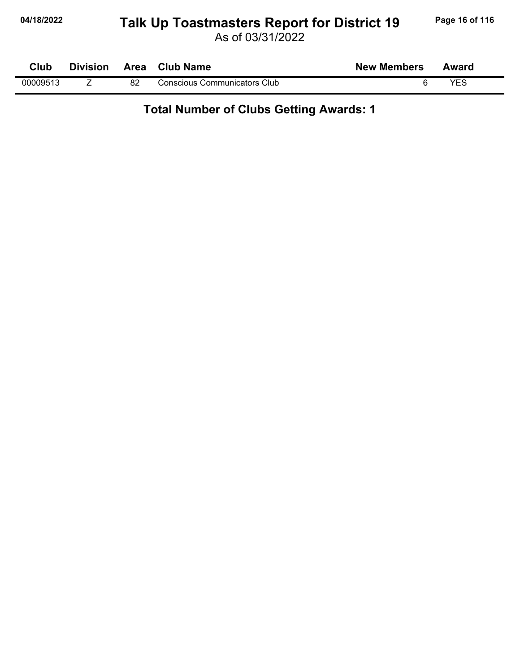## **04/18/2022 Page 16 of 116 Talk Up Toastmasters Report for District 19**

As of 03/31/2022

| Club     | <b>Division</b> |    | Area Club Name               | <b>New Members</b> | Award |  |
|----------|-----------------|----|------------------------------|--------------------|-------|--|
| 00009513 |                 | 82 | Conscious Communicators Club |                    | YES   |  |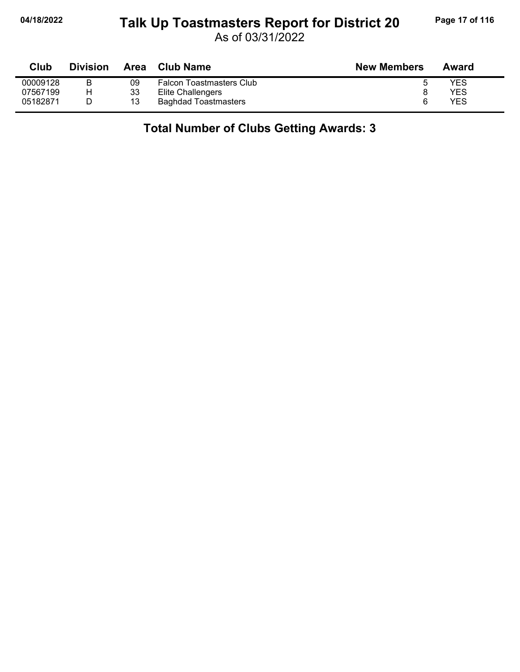### **04/18/2022 Page 17 of 116 Talk Up Toastmasters Report for District 20**

As of 03/31/2022

| Club     | <b>Division</b> | Area | <b>Club Name</b>                | <b>New Members</b> | Award |
|----------|-----------------|------|---------------------------------|--------------------|-------|
| 00009128 |                 | 09   | <b>Falcon Toastmasters Club</b> |                    | YES   |
| 07567199 | н               | 33   | Elite Challengers               |                    | YES   |
| 05182871 |                 | 13   | <b>Baghdad Toastmasters</b>     | 6                  | YES   |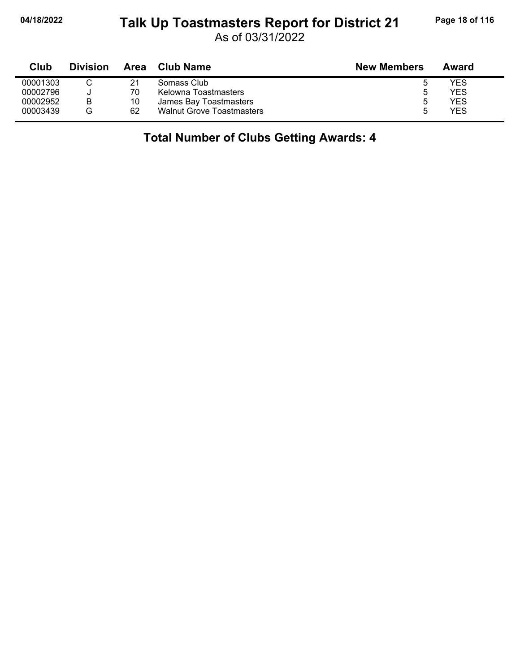#### **04/18/2022 Page 18 of 116 Talk Up Toastmasters Report for District 21**

As of 03/31/2022

| Club     | <b>Division</b> | Area | Club Name                        | <b>New Members</b> | Award |
|----------|-----------------|------|----------------------------------|--------------------|-------|
| 00001303 |                 | 21   | Somass Club                      |                    | YES   |
| 00002796 |                 | 70   | Kelowna Toastmasters             | ა                  | YES   |
| 00002952 | B               | 10   | James Bay Toastmasters           | ა                  | YES   |
| 00003439 | G               | 62   | <b>Walnut Grove Toastmasters</b> | b                  | YES   |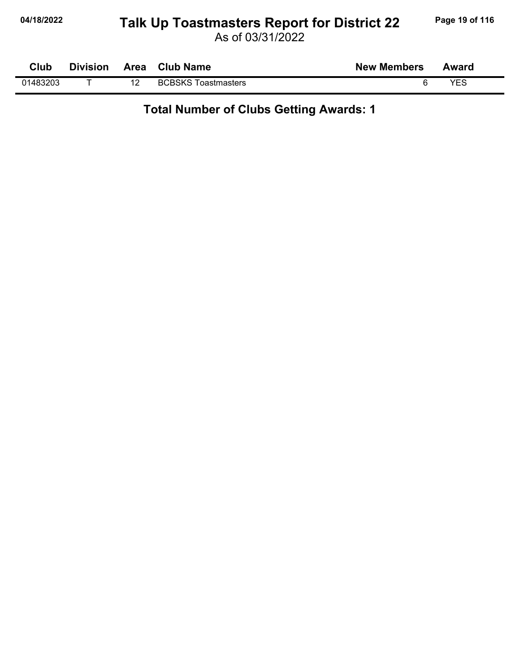## **04/18/2022 Page 19 of 116 Talk Up Toastmasters Report for District 22**

As of 03/31/2022

| Club     | <b>Division</b> | Area | <b>Club Name</b>                        | <b>New Members</b> | Award |
|----------|-----------------|------|-----------------------------------------|--------------------|-------|
| 01483203 |                 | ▵    | <b>BCBSKS To</b><br><b>Toastmasters</b> |                    | VES   |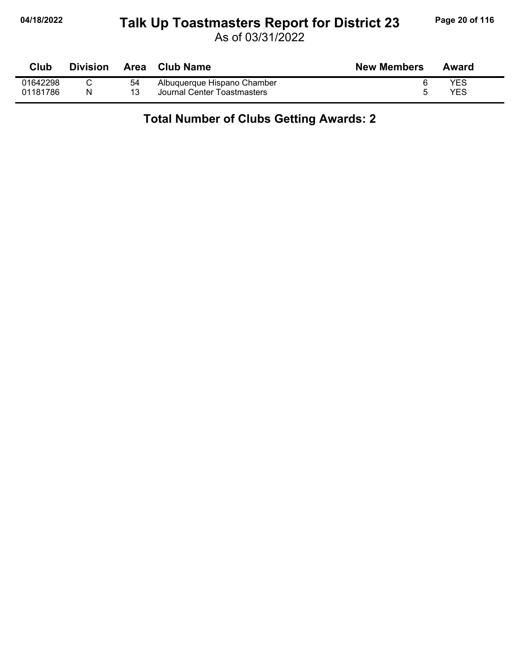# **04/18/2022 Page 20 of 116 Talk Up Toastmasters Report for District 23**

As of 03/31/2022

| Club     | <b>Division</b> |    | Area Club Name              | <b>New Members</b> | Award |
|----------|-----------------|----|-----------------------------|--------------------|-------|
| 01642298 |                 | 54 | Albuquerque Hispano Chamber |                    | YES   |
| 01181786 | N               |    | Journal Center Toastmasters |                    | YES   |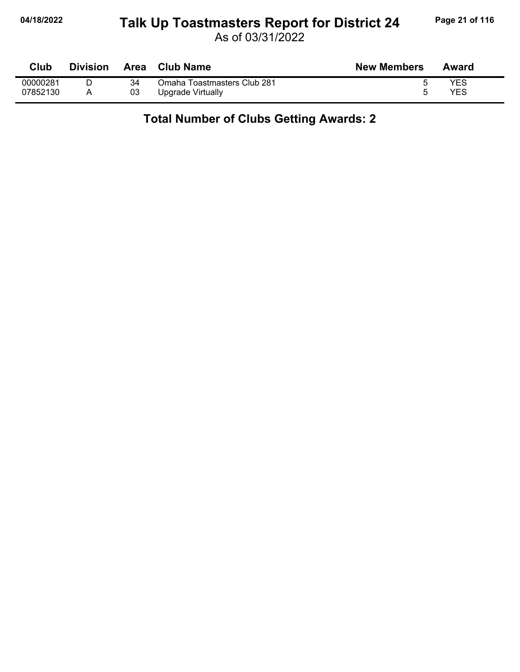# **04/18/2022 Page 21 of 116 Talk Up Toastmasters Report for District 24**

As of 03/31/2022

| Club     | Division | Area | <b>Club Name</b>            | <b>New Members</b> | Award |
|----------|----------|------|-----------------------------|--------------------|-------|
| 00000281 |          | 34   | Omaha Toastmasters Club 281 |                    | YES   |
| 07852130 |          | 03   | Upgrade Virtually           |                    | YES   |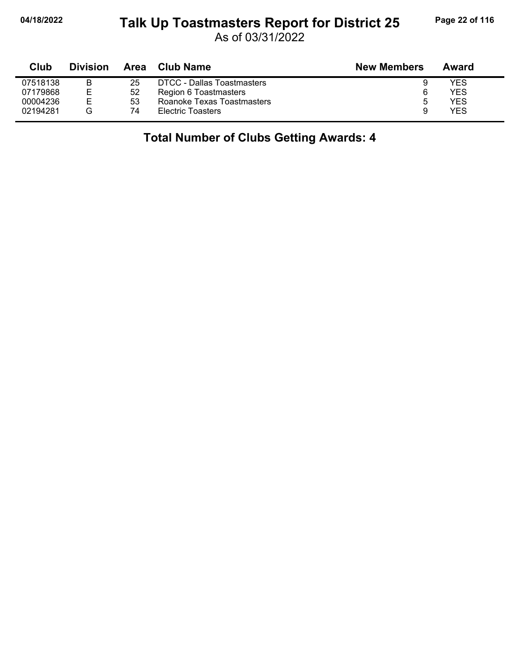#### **04/18/2022 Page 22 of 116 Talk Up Toastmasters Report for District 25**

As of 03/31/2022

| Club     | <b>Division</b> |    | Area Club Name                    | <b>New Members</b> | Award      |  |
|----------|-----------------|----|-----------------------------------|--------------------|------------|--|
| 07518138 | в               | 25 | <b>DTCC - Dallas Toastmasters</b> | 9                  | YES        |  |
| 07179868 | Е               | 52 | Region 6 Toastmasters             | 6                  | <b>YES</b> |  |
| 00004236 | E.              | 53 | Roanoke Texas Toastmasters        | ა                  | <b>YES</b> |  |
| 02194281 | G               | 74 | <b>Electric Toasters</b>          | 9                  | YES        |  |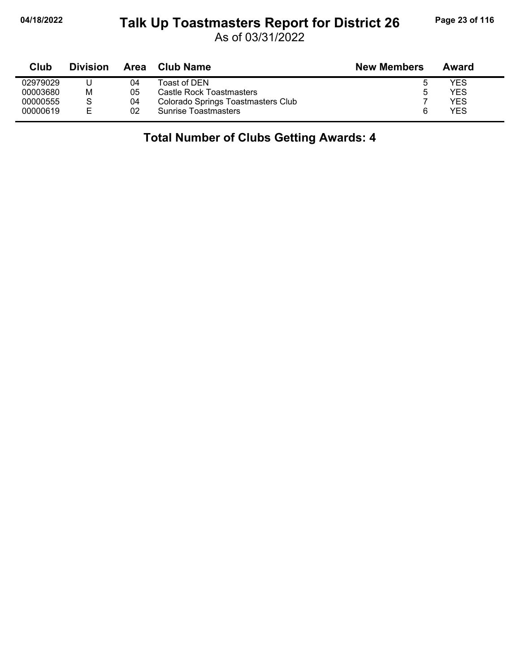#### **04/18/2022 Page 23 of 116 Talk Up Toastmasters Report for District 26**

As of 03/31/2022

| Club     | <b>Division</b> | <b>Area</b> | Club Name                          | <b>New Members</b> | Award      |  |
|----------|-----------------|-------------|------------------------------------|--------------------|------------|--|
| 02979029 |                 | 04          | Toast of DEN                       | G                  | <b>YES</b> |  |
| 00003680 | М               | 05          | Castle Rock Toastmasters           | ა                  | <b>YES</b> |  |
| 00000555 | S               | 04          | Colorado Springs Toastmasters Club |                    | <b>YES</b> |  |
| 00000619 | E               | 02          | <b>Sunrise Toastmasters</b>        |                    | <b>YES</b> |  |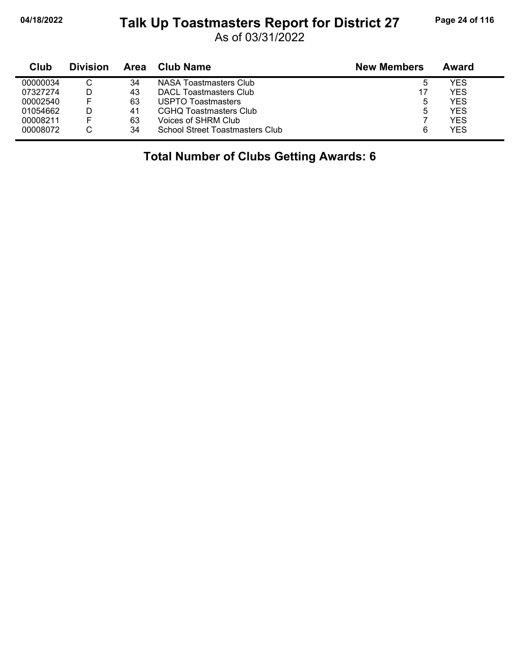### **04/18/2022 Page 24 of 116 Talk Up Toastmasters Report for District 27**

As of 03/31/2022

| Club     | <b>Division</b> | Area | Club Name                              | <b>New Members</b> | Award      |
|----------|-----------------|------|----------------------------------------|--------------------|------------|
| 00000034 |                 | 34   | NASA Toastmasters Club                 | ა                  | YES        |
| 07327274 |                 | 43   | DACL Toastmasters Club                 | 17                 | <b>YES</b> |
| 00002540 |                 | 63   | USPTO Toastmasters                     | 5                  | YES        |
| 01054662 |                 | 41   | CGHQ Toastmasters Club                 | 5                  | <b>YES</b> |
| 00008211 |                 | 63   | Voices of SHRM Club                    |                    | <b>YES</b> |
| 00008072 |                 | 34   | <b>School Street Toastmasters Club</b> | 6                  | <b>YES</b> |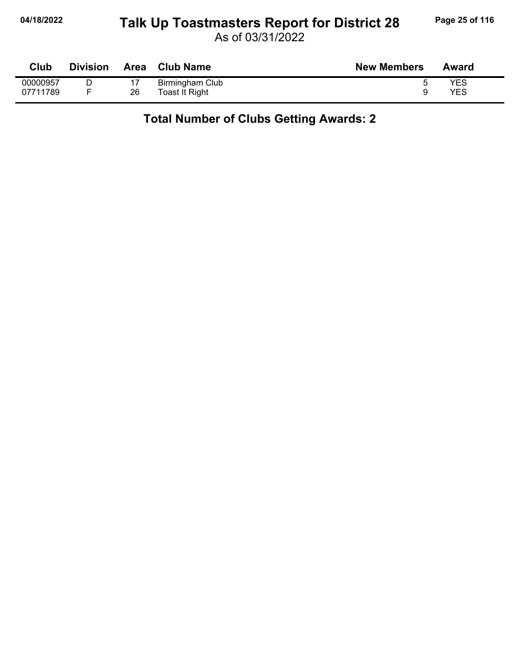## **04/18/2022 Page 25 of 116 Talk Up Toastmasters Report for District 28**

| Club     | <b>Division</b> | Area | <b>Club Name</b> | <b>New Members</b> | Award |
|----------|-----------------|------|------------------|--------------------|-------|
| 00000957 |                 |      | Birmingham Club  |                    | YES   |
| 07711789 |                 | 26   | Toast It Right   |                    | YES   |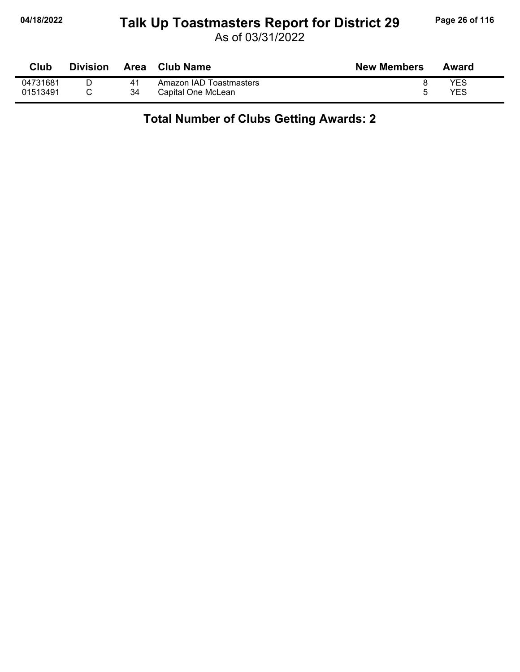## **04/18/2022 Page 26 of 116 Talk Up Toastmasters Report for District 29**

As of 03/31/2022

| Club     | <b>Division</b> | Area | Club Name               | <b>New Members</b> | Award      |
|----------|-----------------|------|-------------------------|--------------------|------------|
| 04731681 |                 |      | Amazon IAD Toastmasters |                    | <b>YES</b> |
| 01513491 |                 | 34   | Capital One McLean      |                    | YES        |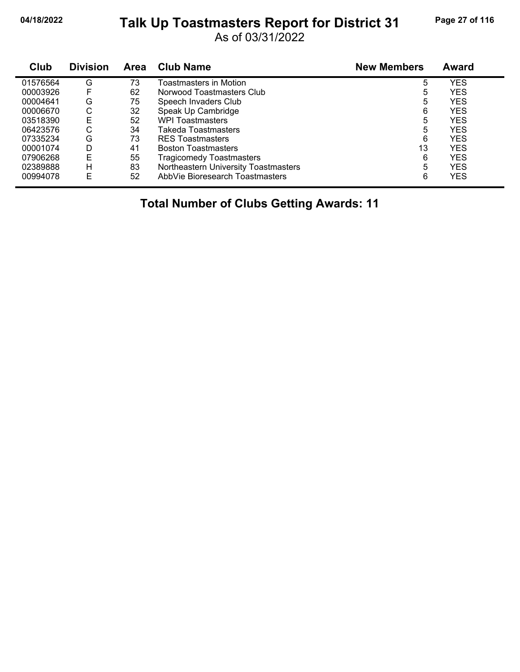## **04/18/2022 Page 27 of 116 Talk Up Toastmasters Report for District 31**

As of 03/31/2022

| Club     | <b>Division</b> | <b>Area</b> | <b>Club Name</b>                     | <b>New Members</b> | <b>Award</b> |  |
|----------|-----------------|-------------|--------------------------------------|--------------------|--------------|--|
| 01576564 | G               | 73          | Toastmasters in Motion               | 5                  | <b>YES</b>   |  |
| 00003926 |                 | 62          | Norwood Toastmasters Club            | 5                  | <b>YES</b>   |  |
| 00004641 | G               | 75          | Speech Invaders Club                 | 5                  | <b>YES</b>   |  |
| 00006670 | С               | 32          | Speak Up Cambridge                   | 6                  | <b>YES</b>   |  |
| 03518390 | Е               | 52          | <b>WPI Toastmasters</b>              | 5                  | <b>YES</b>   |  |
| 06423576 | ⌒<br>U          | 34          | Takeda Toastmasters                  | 5                  | YES          |  |
| 07335234 | G               | 73          | <b>RES Toastmasters</b>              | 6                  | <b>YES</b>   |  |
| 00001074 | D               | 41          | <b>Boston Toastmasters</b>           | 13                 | <b>YES</b>   |  |
| 07906268 | E               | 55          | Tragicomedy Toastmasters             | 6                  | YES          |  |
| 02389888 | н               | 83          | Northeastern University Toastmasters | 5                  | <b>YES</b>   |  |
| 00994078 | E               | 52          | AbbVie Bioresearch Toastmasters      | 6                  | <b>YES</b>   |  |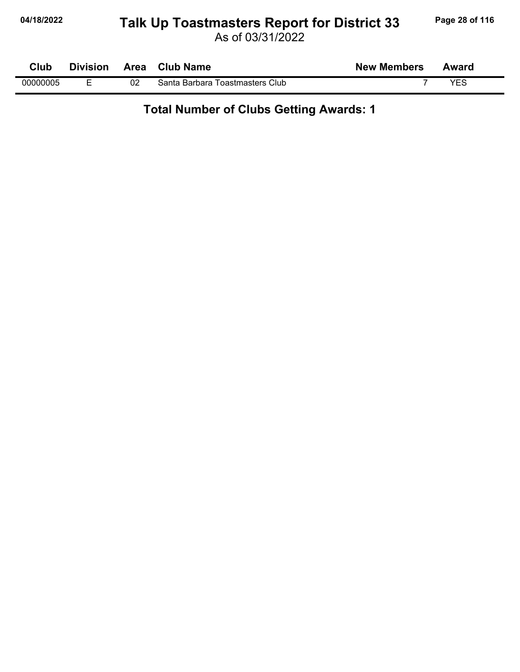## **04/18/2022 Page 28 of 116 Talk Up Toastmasters Report for District 33**

As of 03/31/2022

| Club     | <b>Division</b> |    | Area Club Name                  | <b>New Members</b> | Award |
|----------|-----------------|----|---------------------------------|--------------------|-------|
| 00000005 |                 | 02 | Santa Barbara Toastmasters Club |                    | YES   |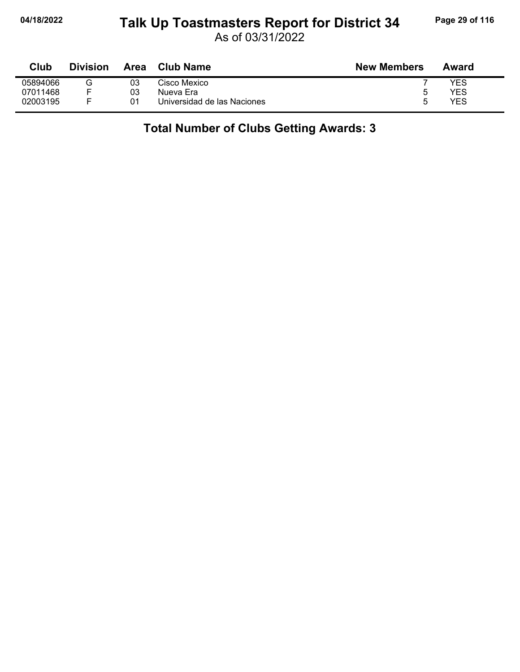### **04/18/2022 Page 29 of 116 Talk Up Toastmasters Report for District 34**

As of 03/31/2022

| Club     | <b>Division</b> | Area | Club Name                   | <b>New Members</b> | Award |
|----------|-----------------|------|-----------------------------|--------------------|-------|
| 05894066 | G               | 03   | Cisco Mexico                |                    | YES   |
| 07011468 |                 | 03   | Nueva Era                   | ∽                  | YES   |
| 02003195 |                 | 01   | Universidad de las Naciones |                    | YES   |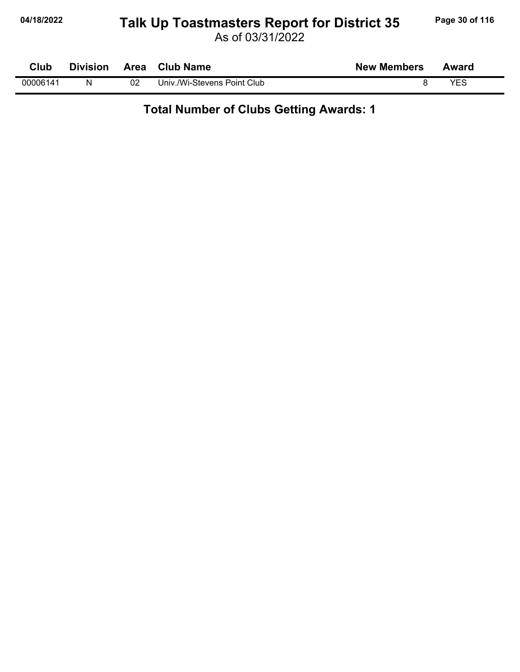## **04/18/2022 Page 30 of 116 Talk Up Toastmasters Report for District 35**

As of 03/31/2022

| Club     | <b>Division</b> | Area | <b>Club Name</b>            | <b>New Members</b> | Award |  |
|----------|-----------------|------|-----------------------------|--------------------|-------|--|
| 00006141 | N               | 02   | Univ./Wi-Stevens Point Club |                    | VES   |  |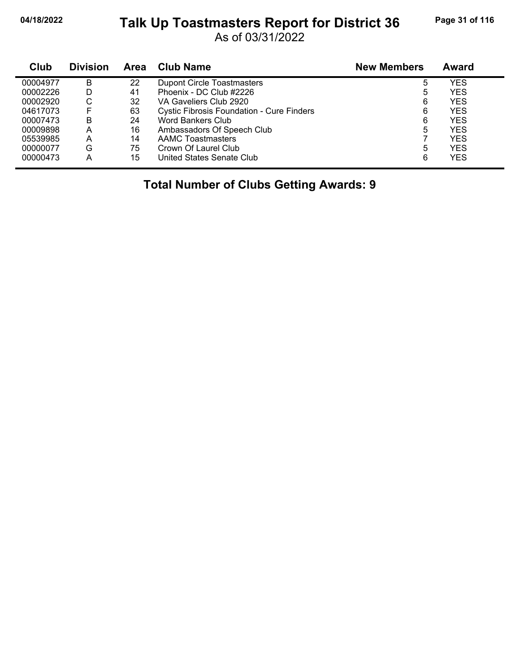## **04/18/2022 Page 31 of 116 Talk Up Toastmasters Report for District 36**

As of 03/31/2022

| Club     | <b>Division</b> | <b>Area</b> | <b>Club Name</b>                                 | <b>New Members</b> | Award      |
|----------|-----------------|-------------|--------------------------------------------------|--------------------|------------|
| 00004977 | B               | 22          | <b>Dupont Circle Toastmasters</b>                | 5                  | YES        |
| 00002226 | D               | 41          | Phoenix - DC Club #2226                          | 5                  | <b>YES</b> |
| 00002920 | С               | 32          | VA Gaveliers Club 2920                           | 6                  | YES        |
| 04617073 | E               | 63          | <b>Cystic Fibrosis Foundation - Cure Finders</b> | 6                  | YES        |
| 00007473 | B               | 24          | Word Bankers Club                                | 6                  | YES        |
| 00009898 | Α               | 16          | Ambassadors Of Speech Club                       | 5                  | <b>YES</b> |
| 05539985 | А               | 14          | <b>AAMC Toastmasters</b>                         |                    | YES        |
| 00000077 | G               | 75          | Crown Of Laurel Club                             | 5                  | YES        |
| 00000473 | А               | 15          | United States Senate Club                        | 6                  | <b>YES</b> |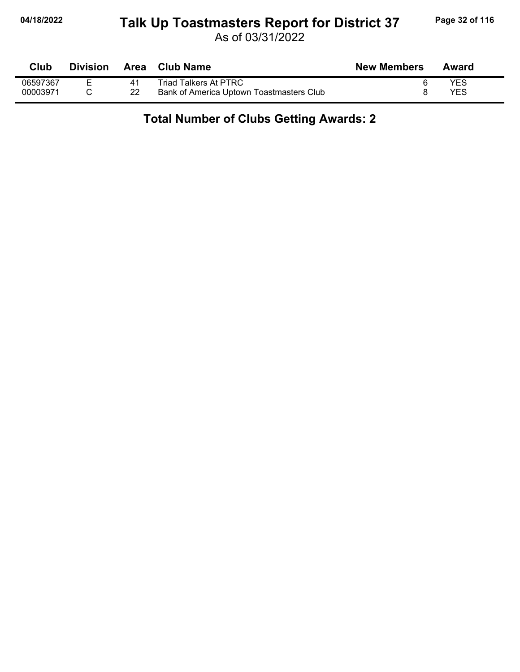# **04/18/2022 Page 32 of 116 Talk Up Toastmasters Report for District 37**

As of 03/31/2022

| Club     | <b>Division</b> | <b>Area</b> | <b>Club Name</b>                         | <b>New Members</b> | Award      |
|----------|-----------------|-------------|------------------------------------------|--------------------|------------|
| 06597367 | -               | 41          | Triad Talkers At PTRC                    |                    | <b>YES</b> |
| 00003971 |                 | 22          | Bank of America Uptown Toastmasters Club |                    | YES        |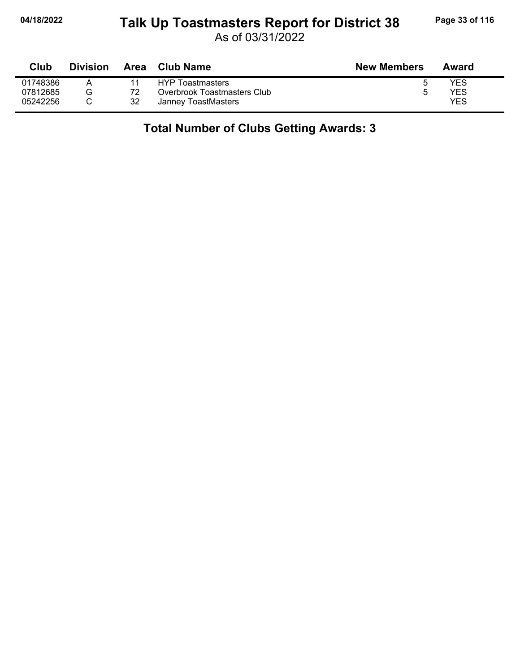### **04/18/2022 Page 33 of 116 Talk Up Toastmasters Report for District 38**

As of 03/31/2022

| Club     | <b>Division</b> | Area | Club Name                   | <b>New Members</b> | Award |
|----------|-----------------|------|-----------------------------|--------------------|-------|
| 01748386 |                 |      | HYP Toastmasters            |                    | YES   |
| 07812685 | G               |      | Overbrook Toastmasters Club |                    | YES   |
| 05242256 |                 | 32   | Janney ToastMasters         |                    | YES   |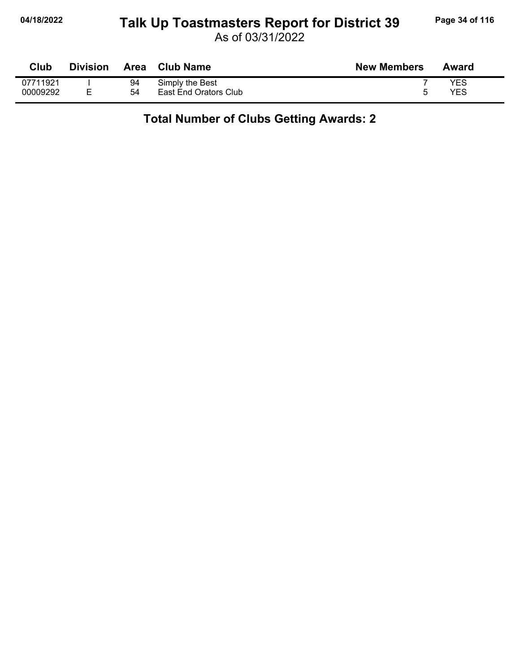# **04/18/2022 Page 34 of 116 Talk Up Toastmasters Report for District 39**

As of 03/31/2022

| Club     | <b>Division</b> | Area | <b>Club Name</b>      | <b>New Members</b> | Award |
|----------|-----------------|------|-----------------------|--------------------|-------|
| 07711921 |                 | 94   | Simply the Best       |                    | YES   |
| 00009292 | F               | 54   | East End Orators Club |                    | YES   |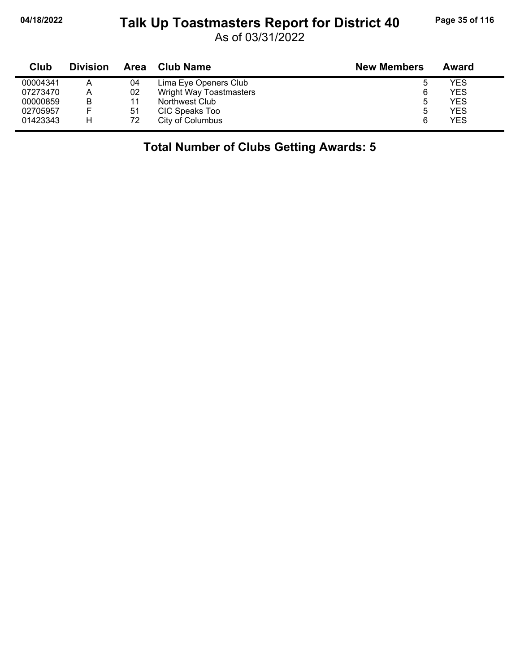# **04/18/2022 Page 35 of 116 Talk Up Toastmasters Report for District 40**

As of 03/31/2022

| Club     | <b>Division</b> | Area | Club Name               | <b>New Members</b> | Award |
|----------|-----------------|------|-------------------------|--------------------|-------|
| 00004341 | А               | 04   | Lima Eye Openers Club   | 5                  | YES   |
| 07273470 | A               | 02   | Wright Way Toastmasters | 6                  | YES   |
| 00000859 | B               | 11   | Northwest Club          | 5                  | YES   |
| 02705957 |                 | 51   | CIC Speaks Too          | 5                  | YES   |
| 01423343 | н               | 72   | City of Columbus        | 6                  | YES   |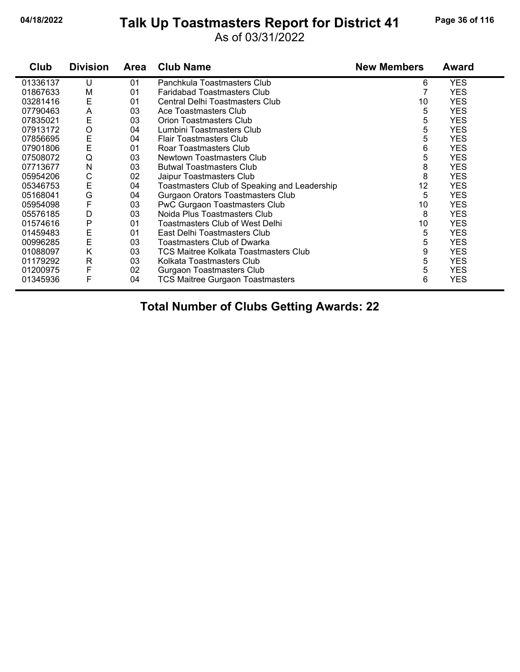## **04/18/2022 Page 36 of 116 Talk Up Toastmasters Report for District 41**

#### As of 03/31/2022

| Club     | <b>Division</b> | <b>Area</b> | <b>Club Name</b>                             | <b>New Members</b> | <b>Award</b> |
|----------|-----------------|-------------|----------------------------------------------|--------------------|--------------|
| 01336137 | U               | 01          | Panchkula Toastmasters Club                  | 6                  | <b>YES</b>   |
| 01867633 | M               | 01          | <b>Faridabad Toastmasters Club</b>           |                    | <b>YES</b>   |
| 03281416 | E               | 01          | Central Delhi Toastmasters Club              | 10                 | <b>YES</b>   |
| 07790463 | Α               | 03          | Ace Toastmasters Club                        | 5                  | <b>YES</b>   |
| 07835021 | E               | 03          | <b>Orion Toastmasters Club</b>               | 5                  | <b>YES</b>   |
| 07913172 | O               | 04          | Lumbini Toastmasters Club                    | 5                  | <b>YES</b>   |
| 07856695 | E               | 04          | <b>Flair Toastmasters Club</b>               | 5                  | <b>YES</b>   |
| 07901806 | E               | 01          | Roar Toastmasters Club                       | 6                  | <b>YES</b>   |
| 07508072 | Q               | 03          | Newtown Toastmasters Club                    | 5                  | <b>YES</b>   |
| 07713677 | N               | 03          | <b>Butwal Toastmasters Club</b>              | 8                  | <b>YES</b>   |
| 05954206 | С               | 02          | Jaipur Toastmasters Club                     | 8                  | <b>YES</b>   |
| 05346753 | E               | 04          | Toastmasters Club of Speaking and Leadership | 12                 | <b>YES</b>   |
| 05168041 | G               | 04          | <b>Gurgaon Orators Toastmasters Club</b>     | 5                  | <b>YES</b>   |
| 05954098 | F               | 03          | PwC Gurgaon Toastmasters Club                | 10                 | <b>YES</b>   |
| 05576185 | D               | 03          | Noida Plus Toastmasters Club                 | 8                  | <b>YES</b>   |
| 01574616 | Ρ               | 01          | Toastmasters Club of West Delhi              | 10                 | <b>YES</b>   |
| 01459483 | E               | 01          | East Delhi Toastmasters Club                 | 5                  | <b>YES</b>   |
| 00996285 | E               | 03          | <b>Toastmasters Club of Dwarka</b>           | 5                  | <b>YES</b>   |
| 01088097 | Κ               | 03          | TCS Maitree Kolkata Toastmasters Club        | 9                  | <b>YES</b>   |
| 01179292 | $\mathsf{R}$    | 03          | Kolkata Toastmasters Club                    | 5                  | <b>YES</b>   |
| 01200975 | F               | 02          | Gurgaon Toastmasters Club                    | 5                  | <b>YES</b>   |
| 01345936 | F               | 04          | <b>TCS Maitree Gurgaon Toastmasters</b>      | 6                  | <b>YES</b>   |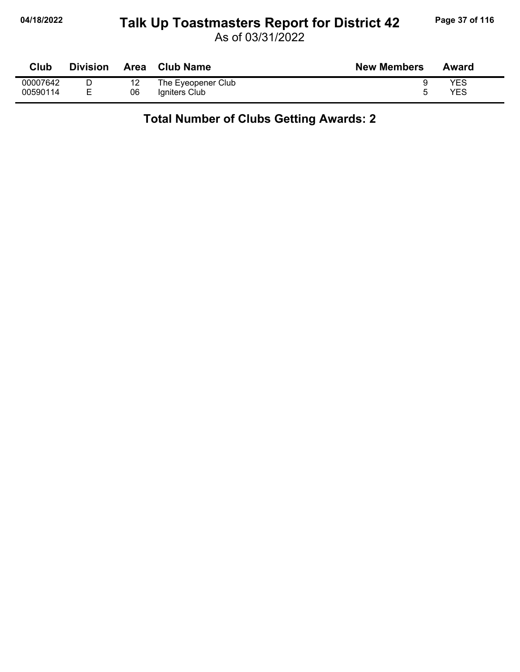## **04/18/2022 Page 37 of 116 Talk Up Toastmasters Report for District 42**

As of 03/31/2022

| Club     | <b>Division</b> | Area | <b>Club Name</b>   | <b>New Members</b> | Award |
|----------|-----------------|------|--------------------|--------------------|-------|
| 00007642 |                 |      | The Eyeopener Club |                    | YES   |
| 00590114 | –               | 06   | Igniters Club      |                    | YES   |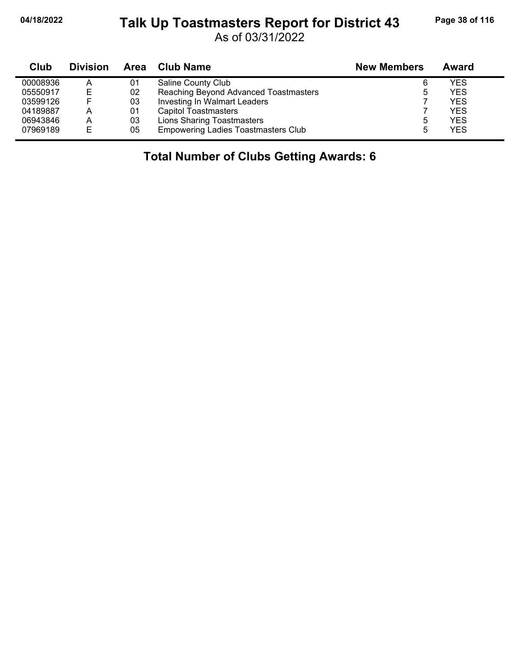#### **04/18/2022 Page 38 of 116 Talk Up Toastmasters Report for District 43**

As of 03/31/2022

| Club     | <b>Division</b> |    | Area Club Name                             | <b>New Members</b> | Award      |
|----------|-----------------|----|--------------------------------------------|--------------------|------------|
| 00008936 | A               | 01 | Saline County Club                         | 6                  | YES.       |
| 05550917 | E               | 02 | Reaching Beyond Advanced Toastmasters      | 5                  | <b>YES</b> |
| 03599126 | E               | 03 | Investing In Walmart Leaders               |                    | <b>YES</b> |
| 04189887 | А               | 01 | <b>Capitol Toastmasters</b>                |                    | YFS        |
| 06943846 | A               | 03 | <b>Lions Sharing Toastmasters</b>          | ხ                  | YES        |
| 07969189 | E               | 05 | <b>Empowering Ladies Toastmasters Club</b> | 5                  | <b>YES</b> |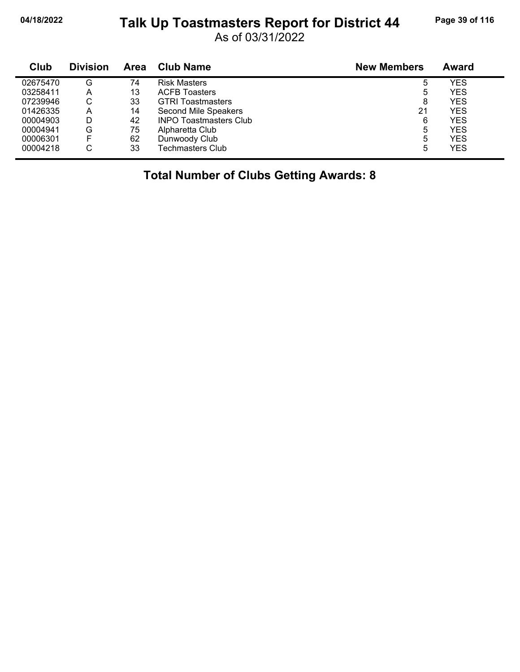#### **04/18/2022 Page 39 of 116 Talk Up Toastmasters Report for District 44**

As of 03/31/2022

| Club     | <b>Division</b> | <b>Area</b> | Club Name                     | <b>New Members</b> | Award      |
|----------|-----------------|-------------|-------------------------------|--------------------|------------|
| 02675470 | G               | 74          | <b>Risk Masters</b>           | 5                  | YES        |
| 03258411 | А               | 13          | <b>ACFB Toasters</b>          | 5                  | YES        |
| 07239946 | С               | 33          | <b>GTRI Toastmasters</b>      | 8                  | <b>YES</b> |
| 01426335 | А               | 14          | Second Mile Speakers          | 21                 | <b>YES</b> |
| 00004903 | D               | 42          | <b>INPO Toastmasters Club</b> | 6                  | YES        |
| 00004941 | G               | 75          | Alpharetta Club               | 5                  | <b>YES</b> |
| 00006301 | F               | 62          | Dunwoody Club                 | 5                  | YES        |
| 00004218 | C               | 33          | <b>Techmasters Club</b>       | 5                  | YES        |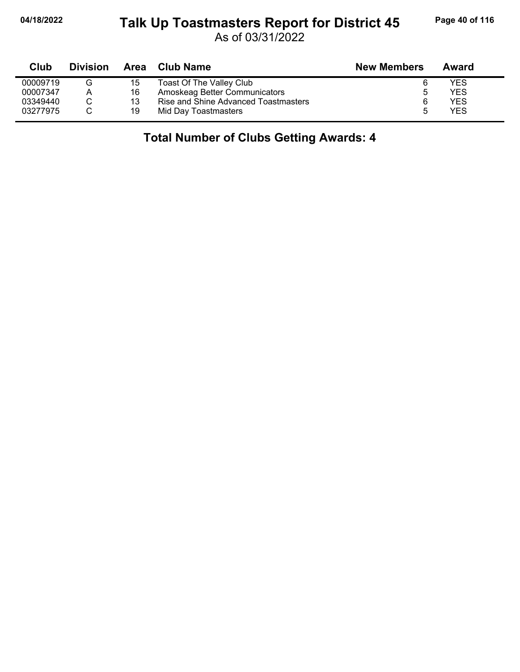#### **04/18/2022 Page 40 of 116 Talk Up Toastmasters Report for District 45**

As of 03/31/2022

| Club     | <b>Division</b> |    | Area Club Name                       | <b>New Members</b> | Award |  |
|----------|-----------------|----|--------------------------------------|--------------------|-------|--|
| 00009719 |                 | 15 | Toast Of The Valley Club             |                    | YES   |  |
| 00007347 | А               | 16 | Amoskeag Better Communicators        | 5                  | YES   |  |
| 03349440 |                 | 13 | Rise and Shine Advanced Toastmasters |                    | YES   |  |
| 03277975 |                 | 19 | Mid Day Toastmasters                 | ۰.                 | YES   |  |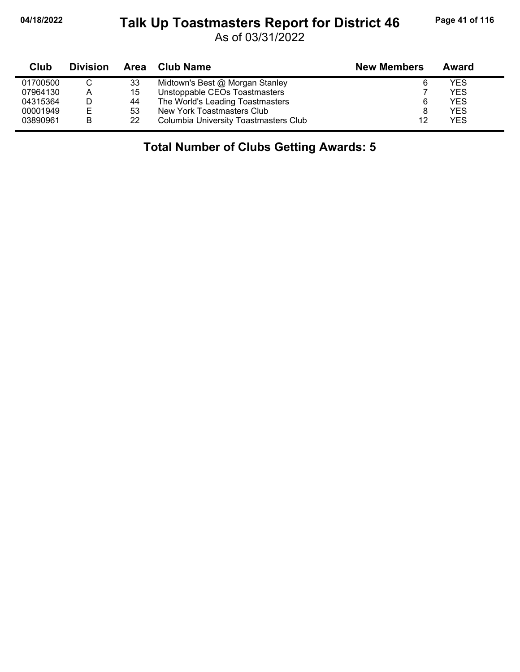# 04/18/2022 Talk Up Toastmasters Report for District 46<sup>Page 41 of 116</sup>

As of 03/31/2022

| Club     | <b>Division</b> | Area | <b>Club Name</b>                      | <b>New Members</b> | Award      |
|----------|-----------------|------|---------------------------------------|--------------------|------------|
| 01700500 |                 | 33   | Midtown's Best @ Morgan Stanley       |                    | YES        |
| 07964130 | A               | 15   | Unstoppable CEOs Toastmasters         |                    | <b>YES</b> |
| 04315364 | D               | 44   | The World's Leading Toastmasters      | 6                  | <b>YES</b> |
| 00001949 | E               | 53   | New York Toastmasters Club            | 8                  | <b>YES</b> |
| 03890961 | B               | 22   | Columbia University Toastmasters Club | 12                 | <b>YES</b> |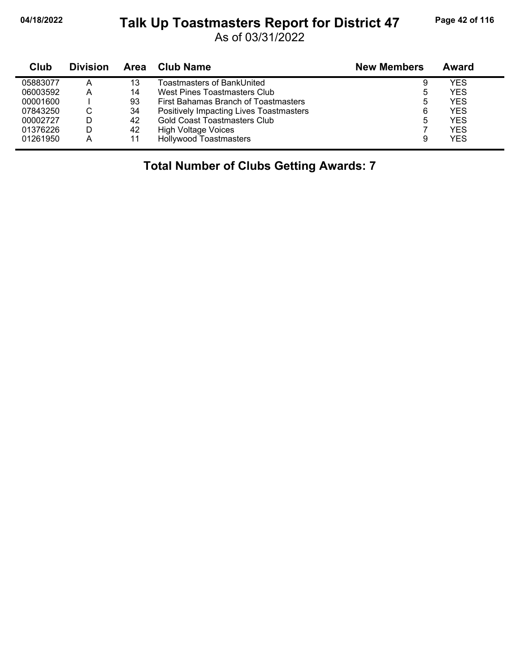#### **04/18/2022 Page 42 of 116 Talk Up Toastmasters Report for District 47**

As of 03/31/2022

| Club     | <b>Division</b> | Area | <b>Club Name</b>                        | <b>New Members</b> | Award      |
|----------|-----------------|------|-----------------------------------------|--------------------|------------|
| 05883077 | Α               | 13   | Toastmasters of BankUnited              | 9                  | YES        |
| 06003592 | А               | 14   | West Pines Toastmasters Club            | ხ                  | <b>YES</b> |
| 00001600 |                 | 93   | First Bahamas Branch of Toastmasters    | 5                  | <b>YES</b> |
| 07843250 | С               | 34   | Positively Impacting Lives Toastmasters | 6                  | <b>YES</b> |
| 00002727 |                 | 42   | <b>Gold Coast Toastmasters Club</b>     | 5                  | <b>YES</b> |
| 01376226 |                 | 42   | <b>High Voltage Voices</b>              |                    | <b>YES</b> |
| 01261950 | A               | 11   | <b>Hollywood Toastmasters</b>           | 9                  | <b>YES</b> |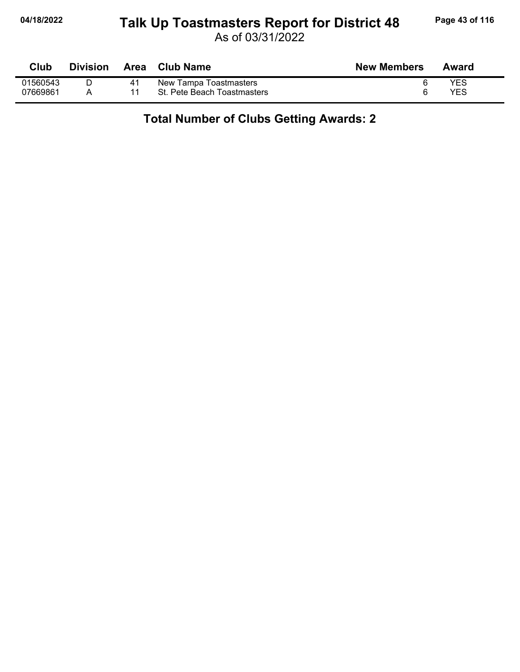## **04/18/2022 Page 43 of 116 Talk Up Toastmasters Report for District 48**

As of 03/31/2022

| Club     | <b>Division</b> | Area | <b>Club Name</b>            | <b>New Members</b> | Award      |
|----------|-----------------|------|-----------------------------|--------------------|------------|
| 01560543 |                 | 41   | New Tampa Toastmasters      |                    | <b>YES</b> |
| 07669861 |                 |      | St. Pete Beach Toastmasters |                    | YES        |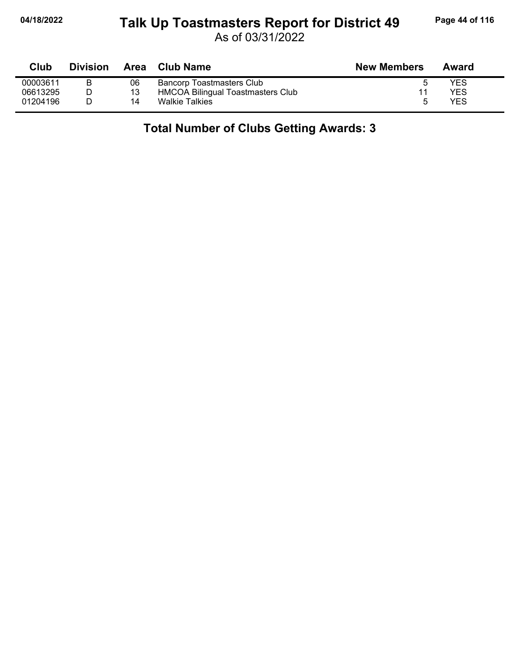#### **04/18/2022 Page 44 of 116 Talk Up Toastmasters Report for District 49**

As of 03/31/2022

| Club     | <b>Division</b> |    | Area Club Name                    | <b>New Members</b> | Award |
|----------|-----------------|----|-----------------------------------|--------------------|-------|
| 00003611 |                 | 06 | <b>Bancorp Toastmasters Club</b>  |                    | YES   |
| 06613295 |                 | 13 | HMCOA Bilingual Toastmasters Club |                    | YES   |
| 01204196 |                 | 14 | <b>Walkie Talkies</b>             | ՟                  | YES   |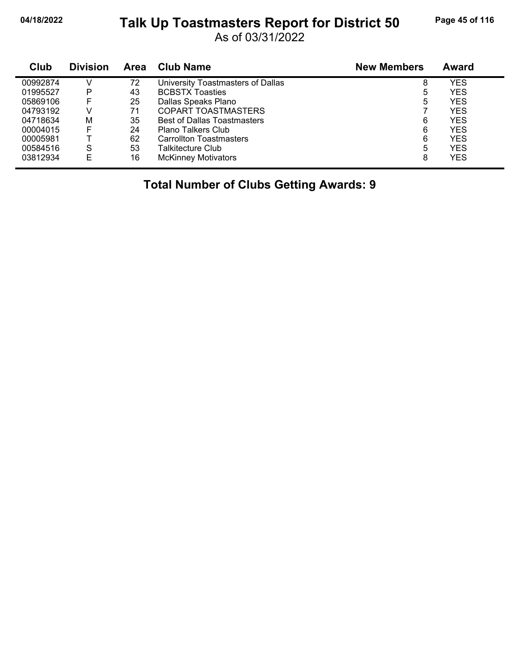## **04/18/2022 Page 45 of 116 Talk Up Toastmasters Report for District 50**

As of 03/31/2022

| Club     | <b>Division</b> | <b>Area</b> | <b>Club Name</b>                   | <b>New Members</b> | Award      |
|----------|-----------------|-------------|------------------------------------|--------------------|------------|
| 00992874 |                 | 72          | University Toastmasters of Dallas  | 8                  | YES        |
| 01995527 | P               | 43          | <b>BCBSTX Toasties</b>             | ხ                  | <b>YES</b> |
| 05869106 | F               | 25          | Dallas Speaks Plano                | 5                  | YES        |
| 04793192 | V               | 71          | <b>COPART TOASTMASTERS</b>         |                    | YES        |
| 04718634 | М               | 35          | <b>Best of Dallas Toastmasters</b> | 6                  | <b>YES</b> |
| 00004015 | F               | 24          | Plano Talkers Club                 | 6                  | <b>YES</b> |
| 00005981 |                 | 62          | <b>Carrollton Toastmasters</b>     | 6                  | YES        |
| 00584516 | S               | 53          | Talkitecture Club                  | 5                  | YES        |
| 03812934 | F               | 16          | <b>McKinney Motivators</b>         | 8                  | <b>YES</b> |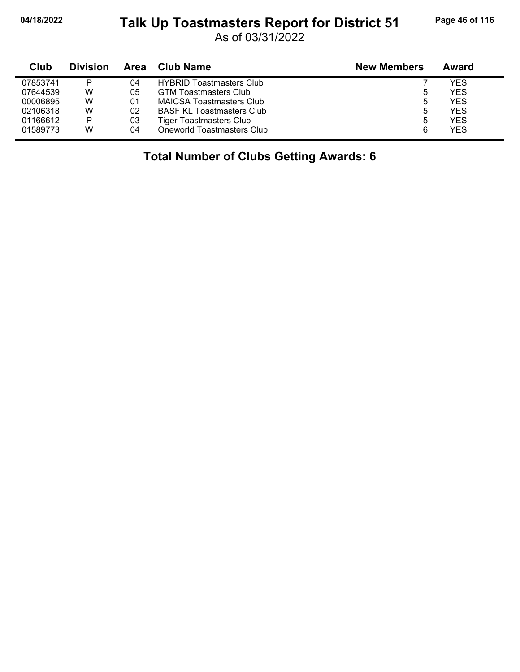#### **04/18/2022 Page 46 of 116 Talk Up Toastmasters Report for District 51**

As of 03/31/2022

| Club     | <b>Division</b> | Area | Club Name                        | <b>New Members</b> | Award      |
|----------|-----------------|------|----------------------------------|--------------------|------------|
| 07853741 | P               | 04   | <b>HYBRID Toastmasters Club</b>  |                    | YES        |
| 07644539 | W               | 05   | <b>GTM Toastmasters Club</b>     | ხ                  | <b>YES</b> |
| 00006895 | w               | 01   | <b>MAICSA Toastmasters Club</b>  | ხ                  | <b>YES</b> |
| 02106318 | W               | 02   | <b>BASF KL Toastmasters Club</b> | 5                  | <b>YES</b> |
| 01166612 | Þ               | 03   | <b>Tiger Toastmasters Club</b>   | 5                  | <b>YES</b> |
| 01589773 | W               | 04   | Oneworld Toastmasters Club       | 6                  | <b>YES</b> |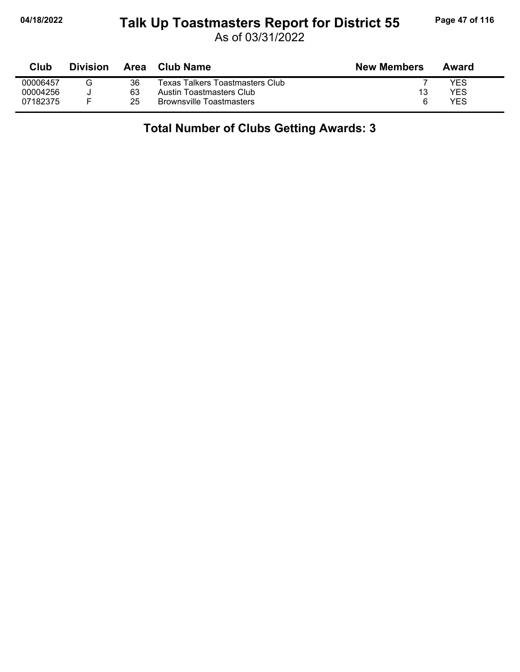## **04/18/2022 Page 47 of 116 Talk Up Toastmasters Report for District 55**

As of 03/31/2022

| Club     | <b>Division</b> | Area | Club Name                       | <b>New Members</b> | Award |
|----------|-----------------|------|---------------------------------|--------------------|-------|
| 00006457 | G               | 36   | Texas Talkers Toastmasters Club |                    | YES   |
| 00004256 |                 | 63   | Austin Toastmasters Club        | 13                 | YES   |
| 07182375 |                 | 25   | <b>Brownsville Toastmasters</b> | 6                  | YES   |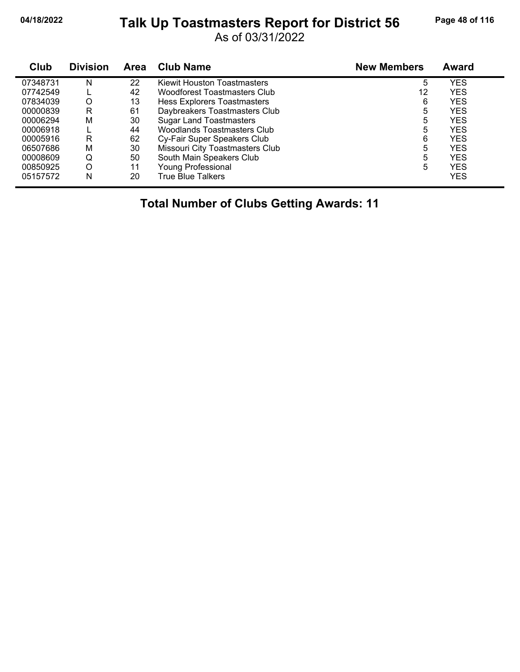## **04/18/2022 Page 48 of 116 Talk Up Toastmasters Report for District 56**

As of 03/31/2022

| <b>Club</b> | <b>Division</b> | <b>Area</b> | <b>Club Name</b>                    | <b>New Members</b> | <b>Award</b> |
|-------------|-----------------|-------------|-------------------------------------|--------------------|--------------|
| 07348731    | N               | 22          | Kiewit Houston Toastmasters         | 5                  | <b>YES</b>   |
| 07742549    |                 | 42          | <b>Woodforest Toastmasters Club</b> | 12                 | <b>YES</b>   |
| 07834039    | O               | 13          | Hess Explorers Toastmasters         | 6                  | <b>YES</b>   |
| 00000839    | R               | 61          | Daybreakers Toastmasters Club       | 5                  | <b>YES</b>   |
| 00006294    | M               | 30          | <b>Sugar Land Toastmasters</b>      | 5                  | <b>YES</b>   |
| 00006918    |                 | 44          | <b>Woodlands Toastmasters Club</b>  | 5                  | <b>YES</b>   |
| 00005916    | R               | 62          | Cy-Fair Super Speakers Club         | 6                  | <b>YES</b>   |
| 06507686    | М               | 30          | Missouri City Toastmasters Club     | 5                  | <b>YES</b>   |
| 00008609    | Q               | 50          | South Main Speakers Club            | 5                  | <b>YES</b>   |
| 00850925    | O               | 11          | <b>Young Professional</b>           | 5                  | <b>YES</b>   |
| 05157572    | N               | 20          | <b>True Blue Talkers</b>            |                    | <b>YES</b>   |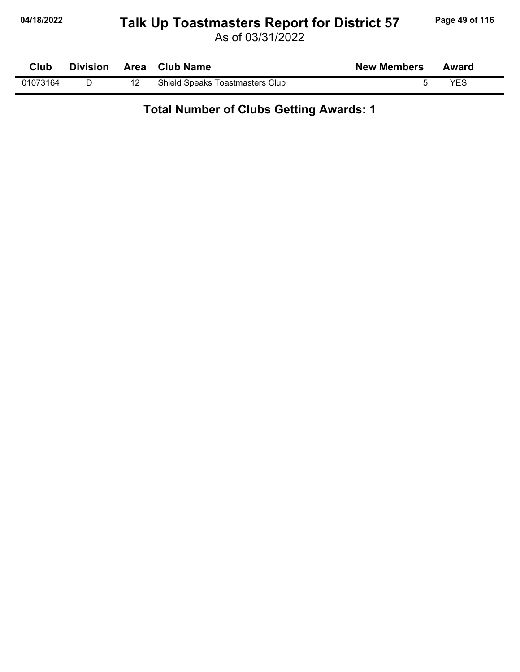## **04/18/2022 Page 49 of 116 Talk Up Toastmasters Report for District 57**

| Club     |  | Division Area Club Name         | <b>New Members</b> | Award      |  |
|----------|--|---------------------------------|--------------------|------------|--|
| 01073164 |  | Shield Speaks Toastmasters Club |                    | <b>YES</b> |  |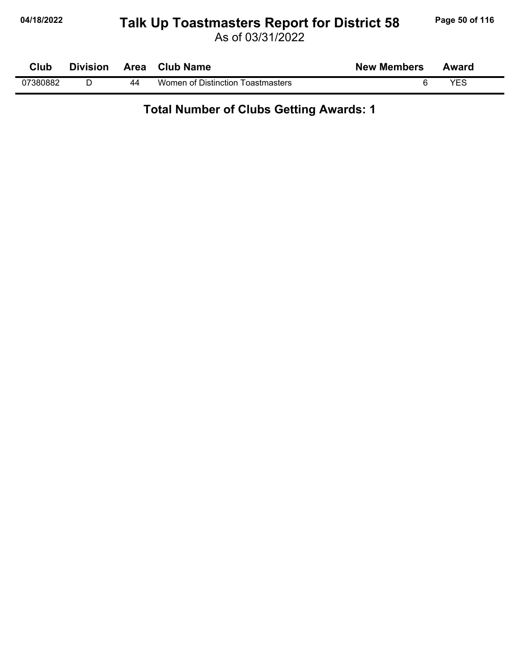## **04/18/2022 Page 50 of 116 Talk Up Toastmasters Report for District 58**

As of 03/31/2022

| Club     | <b>Division</b> | Area | <b>Club Name</b>                  | <b>New Members</b> | Award |
|----------|-----------------|------|-----------------------------------|--------------------|-------|
| 07380882 |                 | 44   | Women of Distinction Toastmasters |                    | YES   |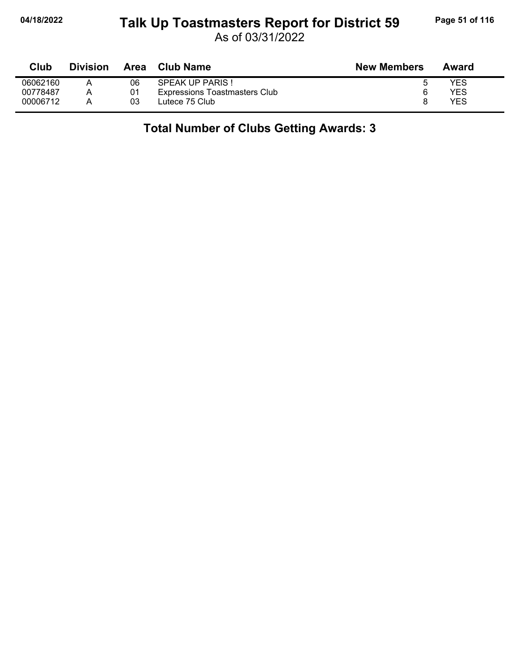## **04/18/2022 Page 51 of 116 Talk Up Toastmasters Report for District 59**

As of 03/31/2022

| Club     | <b>Division</b> | Area | Club Name                     | <b>New Members</b> | Award |
|----------|-----------------|------|-------------------------------|--------------------|-------|
| 06062160 |                 | 06   | <b>SPEAK UP PARIS!</b>        |                    | YES   |
| 00778487 |                 | 01   | Expressions Toastmasters Club |                    | YES   |
| 00006712 |                 | 03   | Lutece 75 Club                |                    | YES   |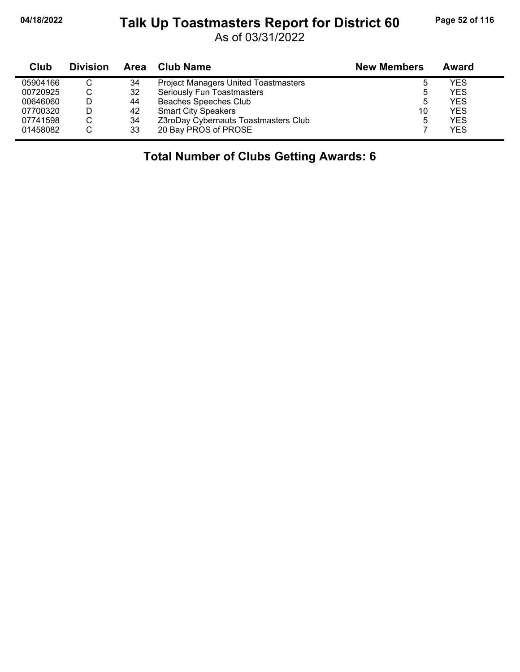#### **04/18/2022 Page 52 of 116 Talk Up Toastmasters Report for District 60**

As of 03/31/2022

| Club     | <b>Division</b> |    | Area Club Name                              | <b>New Members</b> | Award |
|----------|-----------------|----|---------------------------------------------|--------------------|-------|
| 05904166 |                 | 34 | <b>Project Managers United Toastmasters</b> | $\mathbf b$        | YES   |
| 00720925 |                 | 32 | <b>Seriously Fun Toastmasters</b>           | ხ                  | YES   |
| 00646060 | D               | 44 | <b>Beaches Speeches Club</b>                | 5                  | YES   |
| 07700320 | D               | 42 | <b>Smart City Speakers</b>                  | 10                 | YES   |
| 07741598 | C               | 34 | Z3roDay Cybernauts Toastmasters Club        | 5                  | YES   |
| 01458082 |                 | 33 | 20 Bay PROS of PROSE                        |                    | YES   |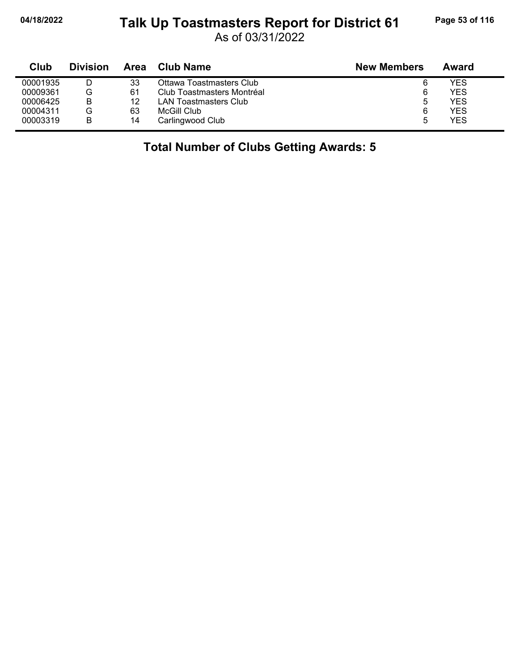# **04/18/2022 Page 53 of 116 Talk Up Toastmasters Report for District 61**

As of 03/31/2022

| Club     | <b>Division</b> | Area | <b>Club Name</b>           | <b>New Members</b> | Award |
|----------|-----------------|------|----------------------------|--------------------|-------|
| 00001935 |                 | 33   | Ottawa Toastmasters Club   | 6                  | YES   |
| 00009361 | G               | 61   | Club Toastmasters Montréal | 6                  | YES   |
| 00006425 | B               | 12   | LAN Toastmasters Club      | b                  | YES.  |
| 00004311 | G               | 63   | McGill Club                | 6                  | YES   |
| 00003319 | B               | 14   | Carlingwood Club           | b                  | YES   |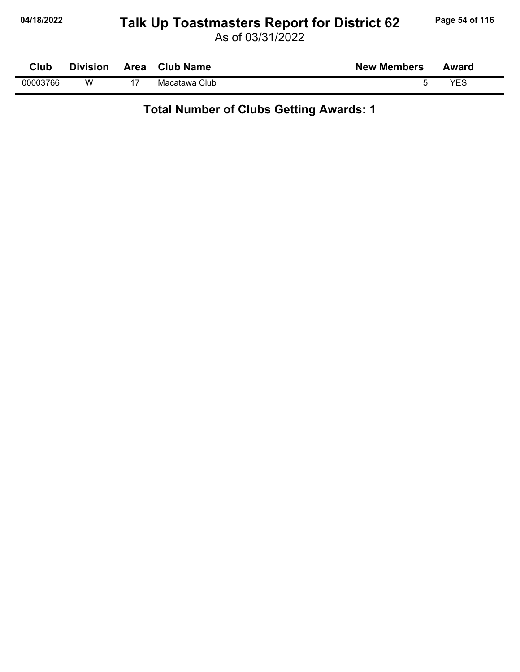## **04/18/2022 Page 54 of 116 Talk Up Toastmasters Report for District 62**

As of 03/31/2022

| Club     | <b>Division</b> | Area | <b>Club Name</b> | <b>New Members</b> | Award |  |
|----------|-----------------|------|------------------|--------------------|-------|--|
| 00003766 | W               |      | Macatawa Club    |                    | VES   |  |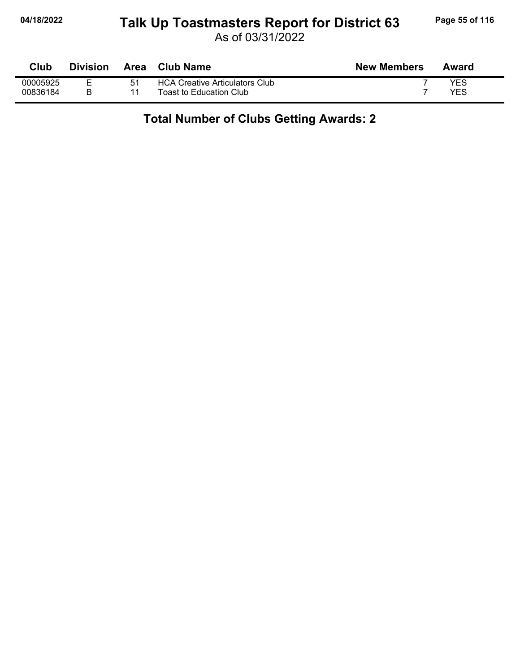## **04/18/2022 Page 55 of 116 Talk Up Toastmasters Report for District 63**

As of 03/31/2022

| Club     | <b>Division</b> | Area | Club Name                             | <b>New Members</b> | Award |
|----------|-----------------|------|---------------------------------------|--------------------|-------|
| 00005925 |                 | 51   | <b>HCA Creative Articulators Club</b> |                    | YES   |
| 00836184 |                 |      | Toast to Education Club               |                    | YES   |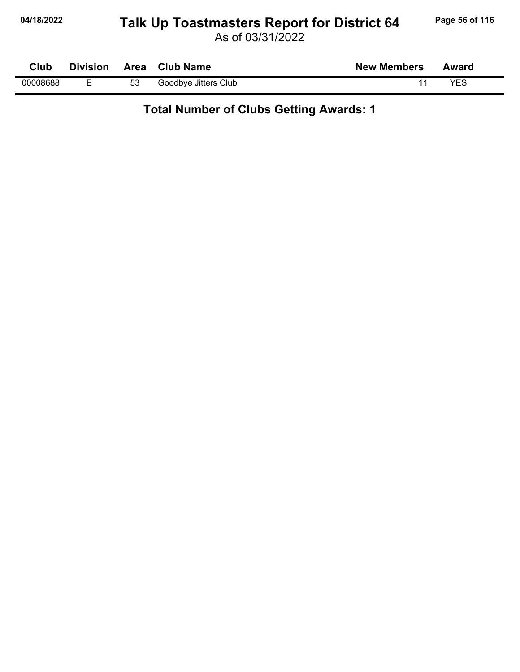## **04/18/2022 Page 56 of 116 Talk Up Toastmasters Report for District 64**

As of 03/31/2022

| Club     | <b>Division</b> | Area | <b>Club Name</b>     | <b>New Members</b> | Award |
|----------|-----------------|------|----------------------|--------------------|-------|
| 00008688 | -               | 53   | Goodbye Jitters Club |                    | YES   |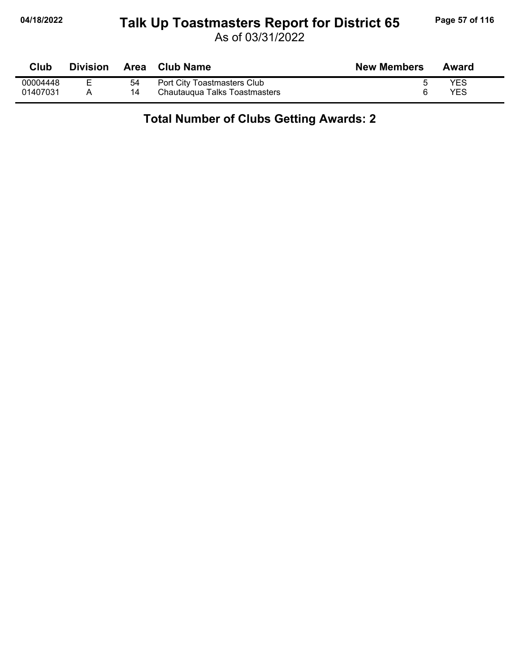## **04/18/2022 Page 57 of 116 Talk Up Toastmasters Report for District 65**

As of 03/31/2022

| Club     | <b>Division</b> | Area | <b>Club Name</b>              | <b>New Members</b> | Award |
|----------|-----------------|------|-------------------------------|--------------------|-------|
| 00004448 |                 | 54   | Port City Toastmasters Club   |                    | YES   |
| 01407031 |                 | 14   | Chautaugua Talks Toastmasters |                    | YES   |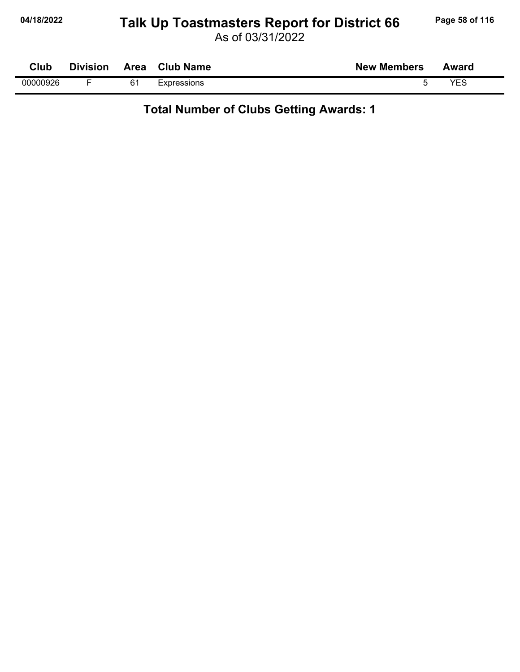## **04/18/2022 Page 58 of 116 Talk Up Toastmasters Report for District 66**

As of 03/31/2022

| $C$ lub  | <b>Division</b> | Area | <b>Club Name</b> | <b>New Members</b> | Award |
|----------|-----------------|------|------------------|--------------------|-------|
| 00000926 |                 | 61   | Expressions      |                    | マロク   |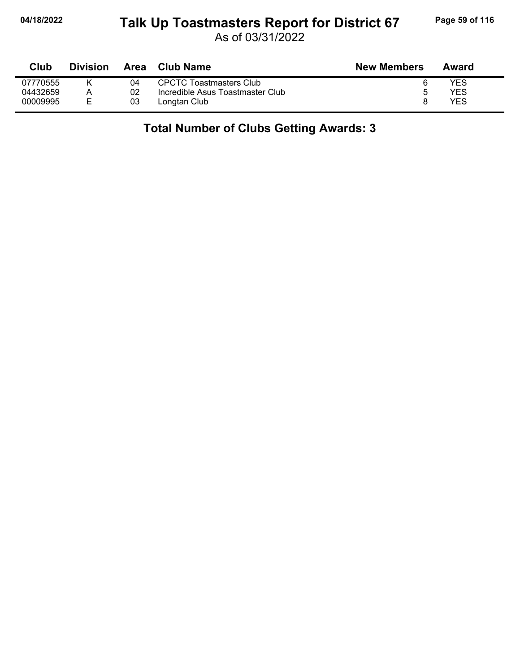## **04/18/2022 Page 59 of 116 Talk Up Toastmasters Report for District 67**

As of 03/31/2022

| Club     | <b>Division</b> | Area | Club Name                        | <b>New Members</b> | Award |
|----------|-----------------|------|----------------------------------|--------------------|-------|
| 07770555 |                 | 04   | CPCTC Toastmasters Club          |                    | YES   |
| 04432659 |                 | 02   | Incredible Asus Toastmaster Club |                    | YES   |
| 00009995 | Е               | 03   | Longtan Club                     |                    | YFS   |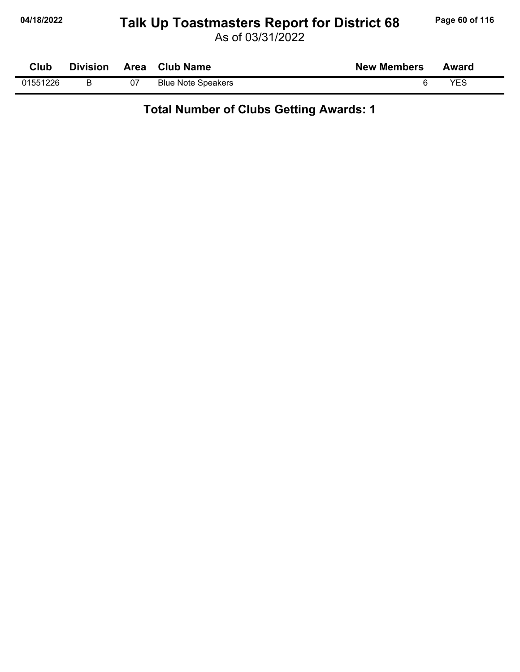## **04/18/2022 Page 60 of 116 Talk Up Toastmasters Report for District 68**

As of 03/31/2022

| Club     | <b>Division</b> |    | Area Club Name            | <b>New Members</b> | Award |
|----------|-----------------|----|---------------------------|--------------------|-------|
| 01551226 |                 | 07 | <b>Blue Note Speakers</b> |                    | VES   |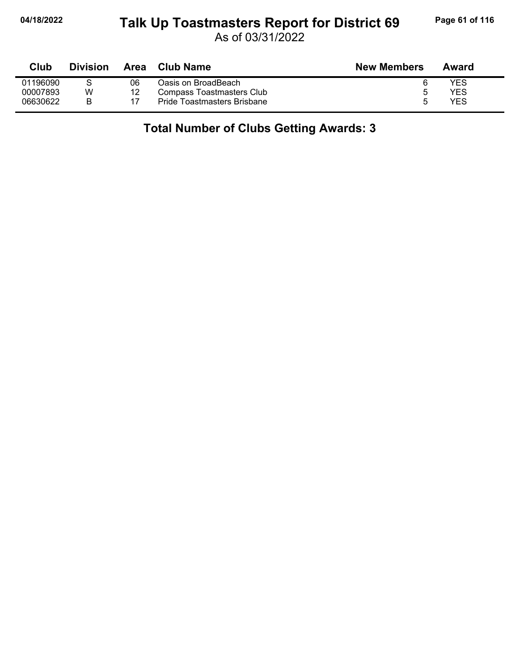#### **04/18/2022 Page 61 of 116 Talk Up Toastmasters Report for District 69**

As of 03/31/2022

| Club     | <b>Division</b> | Area | <b>Club Name</b>            | <b>New Members</b> | Award |
|----------|-----------------|------|-----------------------------|--------------------|-------|
| 01196090 |                 | 06   | Oasis on BroadBeach         |                    | YES   |
| 00007893 | W               | 12   | Compass Toastmasters Club   | ∽                  | YES   |
| 06630622 |                 |      | Pride Toastmasters Brisbane | h                  | YES   |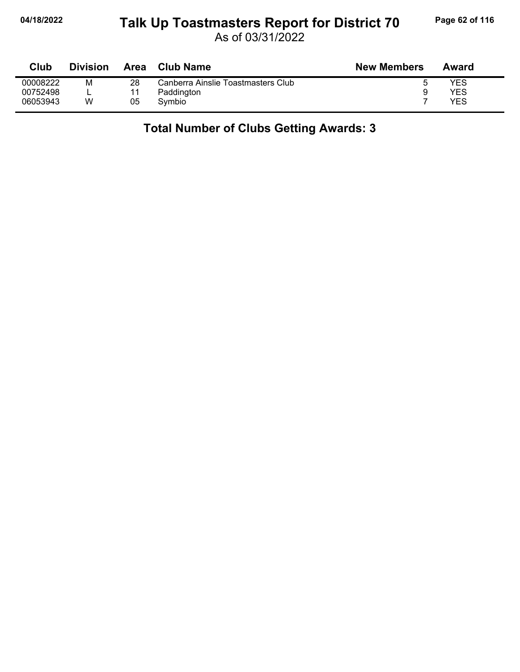## **04/18/2022 Page 62 of 116 Talk Up Toastmasters Report for District 70**

As of 03/31/2022

| Club     | <b>Division</b> | Area | <b>Club Name</b>                   | <b>New Members</b> | Award |
|----------|-----------------|------|------------------------------------|--------------------|-------|
| 00008222 | М               | 28   | Canberra Ainslie Toastmasters Club |                    | YES   |
| 00752498 |                 |      | Paddington                         | 9                  | YES   |
| 06053943 | W               | 05   | Symbio                             |                    | YES   |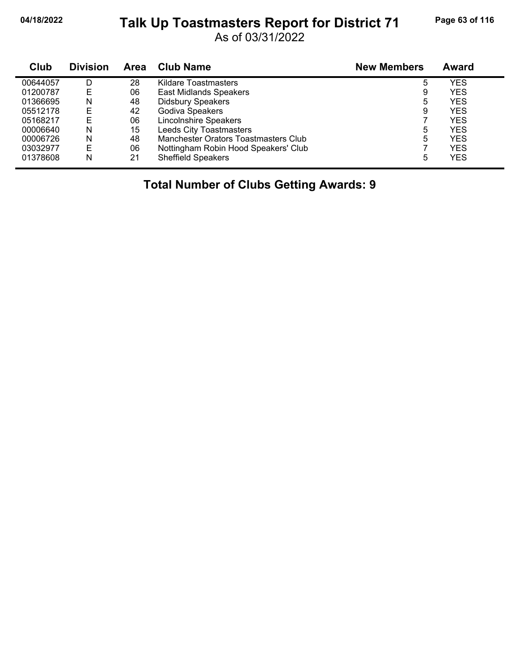## **04/18/2022 Page 63 of 116 Talk Up Toastmasters Report for District 71**

As of 03/31/2022

| Club     | <b>Division</b> | Area | <b>Club Name</b>                     | <b>New Members</b> | Award      |
|----------|-----------------|------|--------------------------------------|--------------------|------------|
| 00644057 | D               | 28   | <b>Kildare Toastmasters</b>          | 5                  | YES        |
| 01200787 | E               | 06   | <b>East Midlands Speakers</b>        | 9                  | <b>YES</b> |
| 01366695 | N               | 48   | <b>Didsbury Speakers</b>             | 5                  | <b>YES</b> |
| 05512178 | E               | 42   | Godiva Speakers                      | 9                  | YES        |
| 05168217 | E               | 06   | <b>Lincolnshire Speakers</b>         |                    | YES        |
| 00006640 | N               | 15   | Leeds City Toastmasters              | 5                  | <b>YES</b> |
| 00006726 | N               | 48   | Manchester Orators Toastmasters Club | 5                  | <b>YES</b> |
| 03032977 | E               | 06   | Nottingham Robin Hood Speakers' Club |                    | <b>YES</b> |
| 01378608 | N               | 21   | <b>Sheffield Speakers</b>            | 5                  | <b>YES</b> |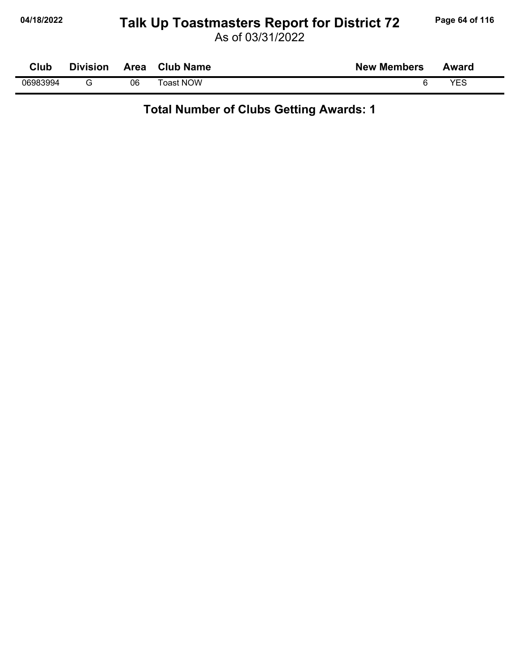# **04/18/2022 Page 64 of 116 Talk Up Toastmasters Report for District 72**

As of 03/31/2022

| Club     | <b>Division</b> | Area | <b>Club Name</b> | <b>New Members</b> | Award |
|----------|-----------------|------|------------------|--------------------|-------|
| 06983994 |                 | 06   | Toast NOW        |                    | VEC   |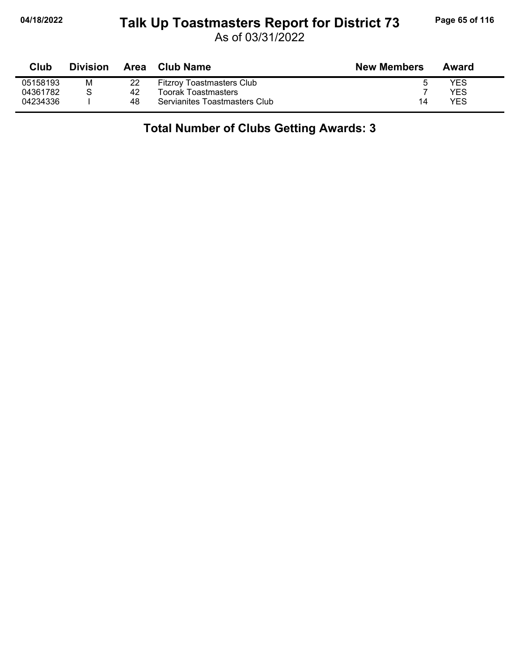#### **04/18/2022 Page 65 of 116 Talk Up Toastmasters Report for District 73**

As of 03/31/2022

| Club     | <b>Division</b> | Area | Club Name                        | <b>New Members</b> | Award |
|----------|-----------------|------|----------------------------------|--------------------|-------|
| 05158193 | M               | 22   | <b>Fitzroy Toastmasters Club</b> |                    | YES   |
| 04361782 |                 | 42   | <b>Toorak Toastmasters</b>       |                    | YFS   |
| 04234336 |                 | 48   | Servianites Toastmasters Club    | 14                 | YES   |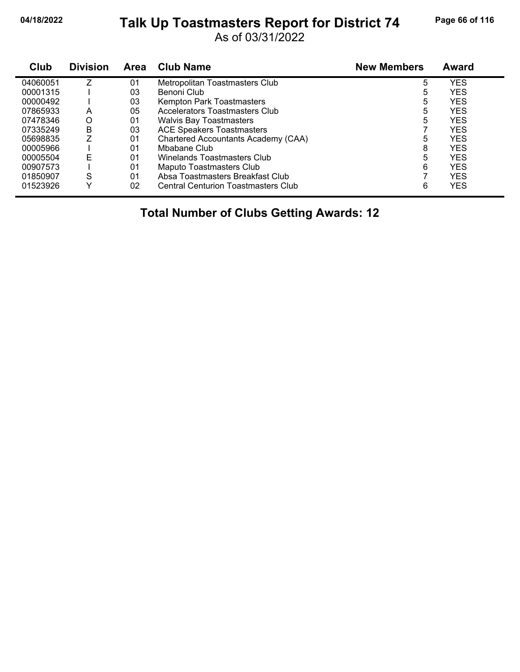#### **04/18/2022 Page 66 of 116 Talk Up Toastmasters Report for District 74**

As of 03/31/2022

| Club     | <b>Division</b> | Area | <b>Club Name</b>                           | <b>New Members</b> | Award      |
|----------|-----------------|------|--------------------------------------------|--------------------|------------|
| 04060051 | 7               | 01   | Metropolitan Toastmasters Club             | 5                  | <b>YES</b> |
| 00001315 |                 | 03   | Benoni Club                                | 5                  | <b>YES</b> |
| 00000492 |                 | 03   | Kempton Park Toastmasters                  | 5                  | <b>YES</b> |
| 07865933 | А               | 05   | Accelerators Toastmasters Club             | 5                  | <b>YES</b> |
| 07478346 | O               | 01   | <b>Walvis Bay Toastmasters</b>             | 5                  | <b>YES</b> |
| 07335249 | B               | 03   | <b>ACE Speakers Toastmasters</b>           |                    | <b>YES</b> |
| 05698835 | 7               | 01   | Chartered Accountants Academy (CAA)        | 5                  | <b>YES</b> |
| 00005966 |                 | 01   | Mbabane Club                               | 8                  | <b>YES</b> |
| 00005504 | E               | 01   | Winelands Toastmasters Club                | 5                  | <b>YES</b> |
| 00907573 |                 | 01   | Maputo Toastmasters Club                   | 6                  | <b>YES</b> |
| 01850907 | S               | 01   | Absa Toastmasters Breakfast Club           |                    | <b>YES</b> |
| 01523926 | ∨               | 02   | <b>Central Centurion Toastmasters Club</b> | 6                  | <b>YES</b> |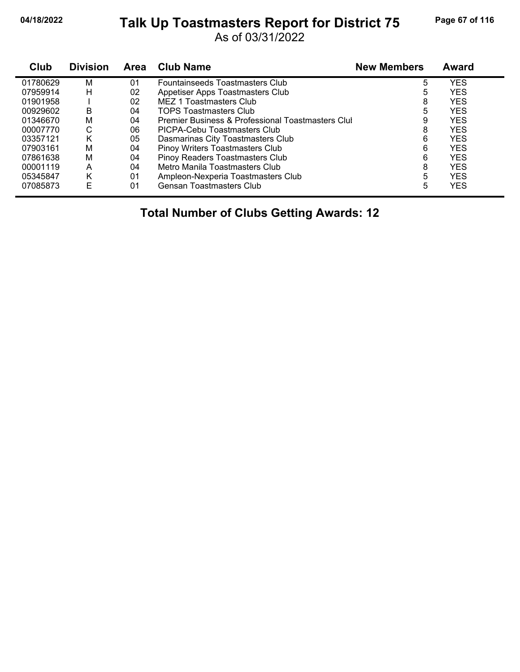#### **04/18/2022 Page 67 of 116 Talk Up Toastmasters Report for District 75**

As of 03/31/2022

| <b>Club</b> | <b>Division</b> | <b>Area</b> | <b>Club Name</b>                                  | <b>New Members</b> | <b>Award</b> |
|-------------|-----------------|-------------|---------------------------------------------------|--------------------|--------------|
| 01780629    | M               | 01          | Fountainseeds Toastmasters Club                   | 5                  | <b>YES</b>   |
| 07959914    | н               | 02          | Appetiser Apps Toastmasters Club                  | 5                  | <b>YES</b>   |
| 01901958    |                 | 02          | MEZ 1 Toastmasters Club                           | 8                  | <b>YES</b>   |
| 00929602    | В               | 04          | <b>TOPS Toastmasters Club</b>                     | 5                  | <b>YES</b>   |
| 01346670    | М               | 04          | Premier Business & Professional Toastmasters Clul | 9                  | <b>YES</b>   |
| 00007770    | C               | 06          | PICPA-Cebu Toastmasters Club                      | 8                  | <b>YES</b>   |
| 03357121    | Κ               | 05          | Dasmarinas City Toastmasters Club                 | 6                  | <b>YES</b>   |
| 07903161    | м               | 04          | Pinoy Writers Toastmasters Club                   | 6                  | <b>YES</b>   |
| 07861638    | M               | 04          | Pinoy Readers Toastmasters Club                   | 6                  | <b>YES</b>   |
| 00001119    | А               | 04          | Metro Manila Toastmasters Club                    | 8                  | <b>YES</b>   |
| 05345847    | Κ               | 01          | Ampleon-Nexperia Toastmasters Club                | 5                  | <b>YES</b>   |
| 07085873    | E               | 01          | <b>Gensan Toastmasters Club</b>                   | 5                  | <b>YES</b>   |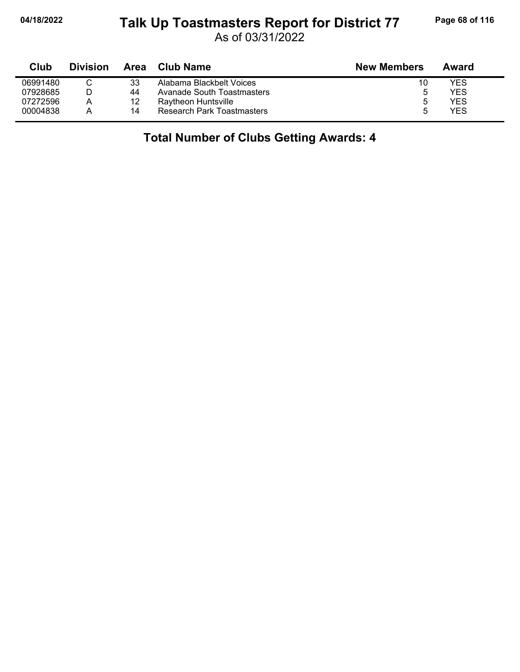#### **04/18/2022 Page 68 of 116 Talk Up Toastmasters Report for District 77**

As of 03/31/2022

| Club     | <b>Division</b> | Area | Club Name                         | <b>New Members</b> | Award |
|----------|-----------------|------|-----------------------------------|--------------------|-------|
| 06991480 |                 | 33   | Alabama Blackbelt Voices          | 10                 | YES   |
| 07928685 |                 | 44   | Avanade South Toastmasters        | 5                  | YES   |
| 07272596 | А               | 12   | Raytheon Huntsville               | 5                  | YES   |
| 00004838 | А               | 14   | <b>Research Park Toastmasters</b> | h                  | YES   |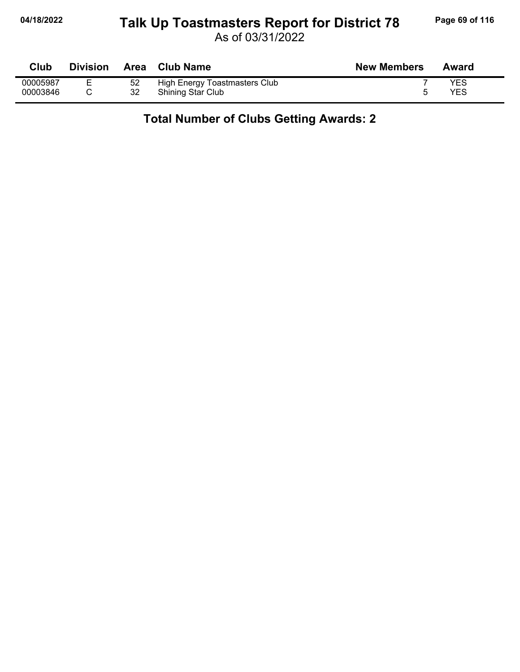## **04/18/2022 Page 69 of 116 Talk Up Toastmasters Report for District 78**

As of 03/31/2022

| Club     | <b>Division</b> | <b>Area</b> | <b>Club Name</b>              | <b>New Members</b> | Award |
|----------|-----------------|-------------|-------------------------------|--------------------|-------|
| 00005987 | -               | 52          | High Energy Toastmasters Club |                    | YES   |
| 00003846 |                 | 32          | <b>Shining Star Club</b>      |                    | YES   |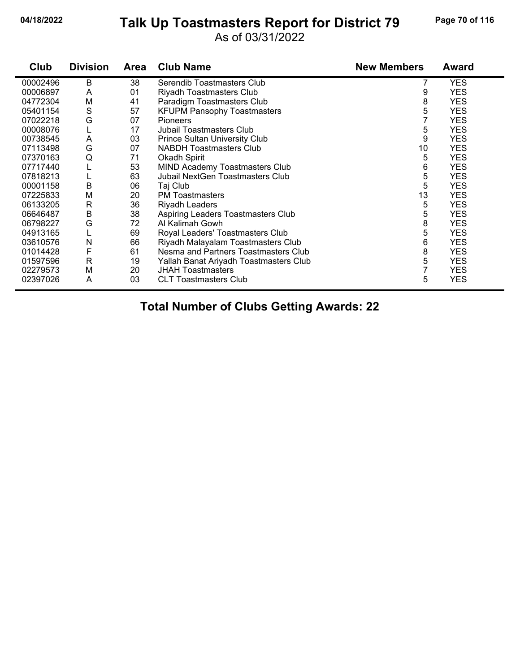## **04/18/2022 Page 70 of 116 Talk Up Toastmasters Report for District 79**

As of 03/31/2022

| Club     | <b>Division</b> | <b>Area</b> | <b>Club Name</b>                        | <b>New Members</b> | <b>Award</b> |
|----------|-----------------|-------------|-----------------------------------------|--------------------|--------------|
| 00002496 | В               | 38          | Serendib Toastmasters Club              |                    | <b>YES</b>   |
| 00006897 | A               | 01          | Riyadh Toastmasters Club                | 9                  | <b>YES</b>   |
| 04772304 | M               | 41          | Paradigm Toastmasters Club              | 8                  | <b>YES</b>   |
| 05401154 | S               | 57          | <b>KFUPM Pansophy Toastmasters</b>      | 5                  | <b>YES</b>   |
| 07022218 | G               | 07          | <b>Pioneers</b>                         |                    | <b>YES</b>   |
| 00008076 | L               | 17          | <b>Jubail Toastmasters Club</b>         | 5                  | <b>YES</b>   |
| 00738545 | A               | 03          | <b>Prince Sultan University Club</b>    | 9                  | <b>YES</b>   |
| 07113498 | G               | 07          | <b>NABDH Toastmasters Club</b>          | 10                 | <b>YES</b>   |
| 07370163 | Q               | 71          | Okadh Spirit                            | 5                  | <b>YES</b>   |
| 07717440 | L               | 53          | <b>MIND Academy Toastmasters Club</b>   | 6                  | <b>YES</b>   |
| 07818213 | L               | 63          | <b>Jubail NextGen Toastmasters Club</b> | 5                  | <b>YES</b>   |
| 00001158 | $\sf B$         | 06          | Taj Club                                | 5                  | <b>YES</b>   |
| 07225833 | M               | 20          | <b>PM</b> Toastmasters                  | 13                 | <b>YES</b>   |
| 06133205 | R               | 36          | <b>Riyadh Leaders</b>                   | 5                  | <b>YES</b>   |
| 06646487 | B               | 38          | Aspiring Leaders Toastmasters Club      | 5                  | <b>YES</b>   |
| 06798227 | G               | 72          | Al Kalimah Gowh                         | 8                  | <b>YES</b>   |
| 04913165 | L               | 69          | Royal Leaders' Toastmasters Club        | 5                  | <b>YES</b>   |
| 03610576 | N               | 66          | Riyadh Malayalam Toastmasters Club      | 6                  | <b>YES</b>   |
| 01014428 | F               | 61          | Nesma and Partners Toastmasters Club    | 8                  | <b>YES</b>   |
| 01597596 | $\mathsf{R}$    | 19          | Yallah Banat Ariyadh Toastmasters Club  | 5                  | <b>YES</b>   |
| 02279573 | M               | 20          | <b>JHAH Toastmasters</b>                | 7                  | <b>YES</b>   |
| 02397026 | Α               | 03          | <b>CLT Toastmasters Club</b>            | 5                  | <b>YES</b>   |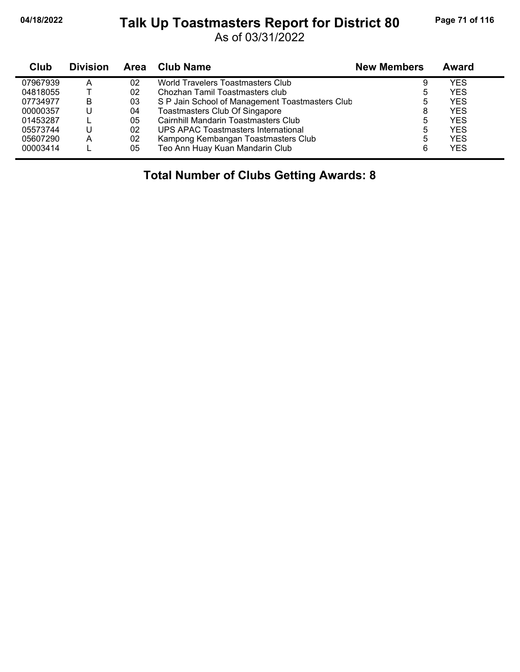#### **04/18/2022 Page 71 of 116 Talk Up Toastmasters Report for District 80**

As of 03/31/2022

| Club     | <b>Division</b> | <b>Area</b> | <b>Club Name</b>                                | <b>New Members</b> | Award      |  |
|----------|-----------------|-------------|-------------------------------------------------|--------------------|------------|--|
| 07967939 | А               | 02          | World Travelers Toastmasters Club               | 9                  | YES        |  |
| 04818055 |                 | 02          | Chozhan Tamil Toastmasters club                 | 5                  | YES        |  |
| 07734977 | в               | 03          | S P Jain School of Management Toastmasters Club | 5                  | YES        |  |
| 00000357 |                 | 04          | Toastmasters Club Of Singapore                  | 8                  | <b>YES</b> |  |
| 01453287 |                 | 05          | Cairnhill Mandarin Toastmasters Club            | 5                  | YES        |  |
| 05573744 | U               | 02          | UPS APAC Toastmasters International             | 5                  | <b>YES</b> |  |
| 05607290 | А               | 02          | Kampong Kembangan Toastmasters Club             | 5                  | <b>YES</b> |  |
| 00003414 |                 | 05          | Teo Ann Huay Kuan Mandarin Club                 | 6                  | <b>YES</b> |  |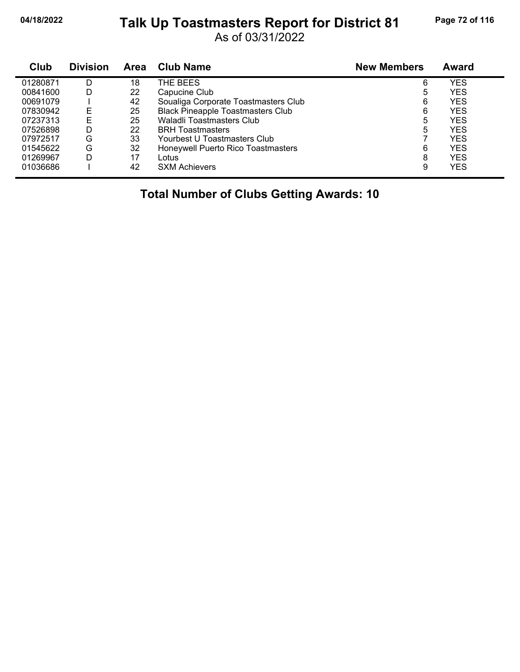#### **04/18/2022 Page 72 of 116 Talk Up Toastmasters Report for District 81**

As of 03/31/2022

| Club     | <b>Division</b> | Area | <b>Club Name</b>                         | <b>New Members</b> | <b>Award</b> |  |
|----------|-----------------|------|------------------------------------------|--------------------|--------------|--|
| 01280871 | D               | 18   | THE BEES                                 | 6                  | YES          |  |
| 00841600 | D               | 22   | Capucine Club                            | 5                  | YES          |  |
| 00691079 |                 | 42   | Soualiga Corporate Toastmasters Club     | 6                  | <b>YES</b>   |  |
| 07830942 | E               | 25   | <b>Black Pineapple Toastmasters Club</b> | 6                  | <b>YES</b>   |  |
| 07237313 | F               | 25   | <b>Waladli Toastmasters Club</b>         | 5                  | YES          |  |
| 07526898 | D               | 22   | <b>BRH Toastmasters</b>                  | 5                  | YES          |  |
| 07972517 | G               | 33   | Yourbest U Toastmasters Club             |                    | YES          |  |
| 01545622 | G               | 32   | Honeywell Puerto Rico Toastmasters       | 6                  | <b>YES</b>   |  |
| 01269967 | D               | 17   | Lotus                                    | 8                  | YES          |  |
| 01036686 |                 | 42   | <b>SXM Achievers</b>                     | 9                  | YES          |  |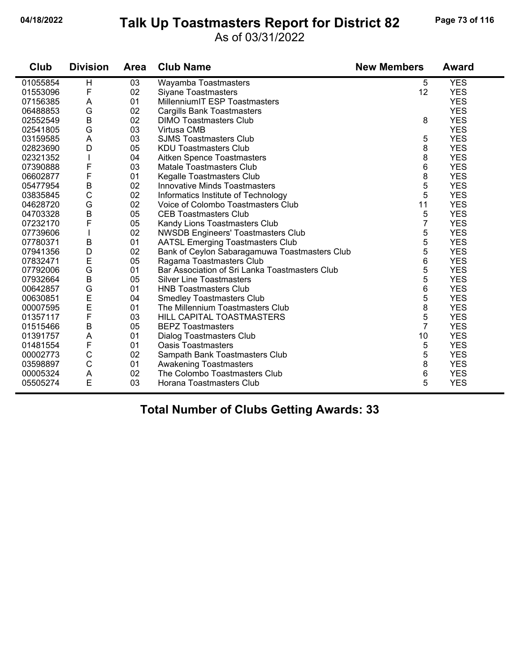#### **04/18/2022 Page 73 of 116 Talk Up Toastmasters Report for District 82**

#### As of 03/31/2022

| Club     | <b>Division</b> | Area | <b>Club Name</b>                               | <b>New Members</b> | <b>Award</b> |
|----------|-----------------|------|------------------------------------------------|--------------------|--------------|
| 01055854 | H               | 03   | Wayamba Toastmasters                           | 5                  | <b>YES</b>   |
| 01553096 | F               | 02   | Siyane Toastmasters                            | 12                 | <b>YES</b>   |
| 07156385 | A               | 01   | MillenniumIT ESP Toastmasters                  |                    | <b>YES</b>   |
| 06488853 | G               | 02   | <b>Cargills Bank Toastmasters</b>              |                    | <b>YES</b>   |
| 02552549 | B               | 02   | <b>DIMO Toastmasters Club</b>                  | 8                  | <b>YES</b>   |
| 02541805 | G               | 03   | Virtusa CMB                                    |                    | <b>YES</b>   |
| 03159585 | A               | 03   | <b>SJMS Toastmasters Club</b>                  | 5                  | <b>YES</b>   |
| 02823690 | D               | 05   | <b>KDU Toastmasters Club</b>                   | 8                  | <b>YES</b>   |
| 02321352 |                 | 04   | Aitken Spence Toastmasters                     | 8                  | <b>YES</b>   |
| 07390888 | F               | 03   | <b>Matale Toastmasters Club</b>                | 6                  | <b>YES</b>   |
| 06602877 | F               | 01   | Kegalle Toastmasters Club                      | 8                  | <b>YES</b>   |
| 05477954 | B               | 02   | <b>Innovative Minds Toastmasters</b>           | 5                  | <b>YES</b>   |
| 03835845 | C               | 02   | Informatics Institute of Technology            | 5                  | <b>YES</b>   |
| 04628720 | G               | 02   | Voice of Colombo Toastmasters Club             | 11                 | <b>YES</b>   |
| 04703328 | B               | 05   | <b>CEB Toastmasters Club</b>                   | 5                  | <b>YES</b>   |
| 07232170 | F               | 05   | Kandy Lions Toastmasters Club                  | 7                  | <b>YES</b>   |
| 07739606 |                 | 02   | <b>NWSDB Engineers' Toastmasters Club</b>      | 5                  | <b>YES</b>   |
| 07780371 | B               | 01   | <b>AATSL Emerging Toastmasters Club</b>        | 5                  | <b>YES</b>   |
| 07941356 | D               | 02   | Bank of Ceylon Sabaragamuwa Toastmasters Club  | 5                  | <b>YES</b>   |
| 07832471 | E               | 05   | Ragama Toastmasters Club                       | 6                  | <b>YES</b>   |
| 07792006 | G               | 01   | Bar Association of Sri Lanka Toastmasters Club | 5                  | <b>YES</b>   |
| 07932664 | $\sf B$         | 05   | <b>Silver Line Toastmasters</b>                | 5                  | <b>YES</b>   |
| 00642857 | G               | 01   | <b>HNB Toastmasters Club</b>                   | 6                  | <b>YES</b>   |
| 00630851 | $\mathsf{E}$    | 04   | <b>Smedley Toastmasters Club</b>               | 5                  | <b>YES</b>   |
| 00007595 | E               | 01   | The Millennium Toastmasters Club               | 8                  | <b>YES</b>   |
| 01357117 | F               | 03   | HILL CAPITAL TOASTMASTERS                      | 5                  | <b>YES</b>   |
| 01515466 | B               | 05   | <b>BEPZ Toastmasters</b>                       | $\overline{7}$     | <b>YES</b>   |
| 01391757 | A               | 01   | <b>Dialog Toastmasters Club</b>                | 10                 | <b>YES</b>   |
| 01481554 | F               | 01   | <b>Oasis Toastmasters</b>                      | 5                  | <b>YES</b>   |
| 00002773 | С               | 02   | Sampath Bank Toastmasters Club                 | 5                  | <b>YES</b>   |
| 03598897 | $\mathsf C$     | 01   | <b>Awakening Toastmasters</b>                  | 8                  | <b>YES</b>   |
| 00005324 | A               | 02   | The Colombo Toastmasters Club                  | 6                  | <b>YES</b>   |
| 05505274 | E               | 03   | Horana Toastmasters Club                       | 5                  | <b>YES</b>   |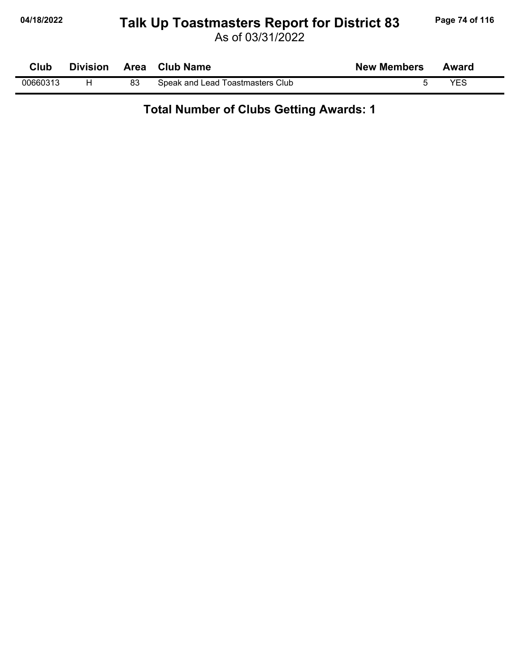## **04/18/2022 Page 74 of 116 Talk Up Toastmasters Report for District 83**

As of 03/31/2022

| Club     |    | Division Area Club Name          | <b>New Members</b> | Award |
|----------|----|----------------------------------|--------------------|-------|
| 00660313 | 83 | Speak and Lead Toastmasters Club |                    | YES   |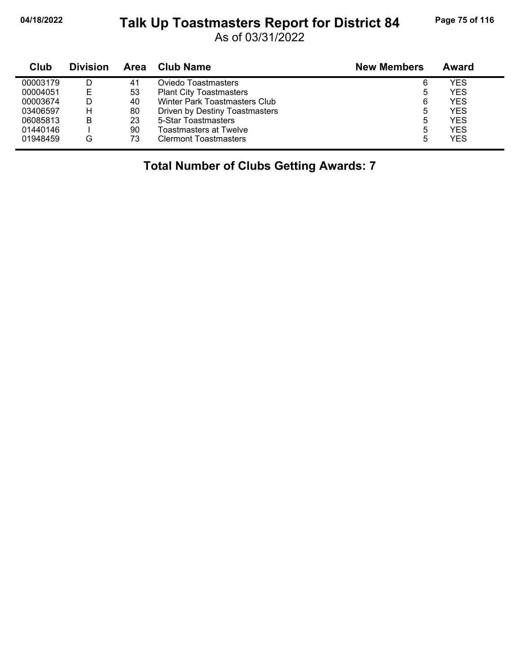#### **04/18/2022 Page 75 of 116 Talk Up Toastmasters Report for District 84**

As of 03/31/2022

| Club     | <b>Division</b> | Area | <b>Club Name</b>               | <b>New Members</b> | Award      |
|----------|-----------------|------|--------------------------------|--------------------|------------|
| 00003179 |                 | 41   | Oviedo Toastmasters            | 6                  | YES        |
| 00004051 | Е               | 53   | <b>Plant City Toastmasters</b> | 5                  | <b>YES</b> |
| 00003674 |                 | 40   | Winter Park Toastmasters Club  | 6                  | <b>YES</b> |
| 03406597 | н               | 80   | Driven by Destiny Toastmasters | 5                  | <b>YES</b> |
| 06085813 | В               | 23   | 5-Star Toastmasters            | 5                  | <b>YES</b> |
| 01440146 |                 | 90   | <b>Toastmasters at Twelve</b>  | 5                  | <b>YES</b> |
| 01948459 | G               | 73   | <b>Clermont Toastmasters</b>   | 5                  | <b>YES</b> |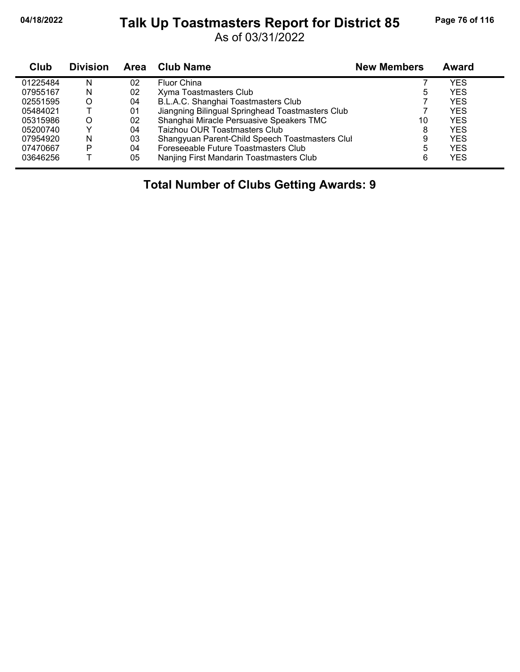## **04/18/2022 Page 76 of 116 Talk Up Toastmasters Report for District 85**

As of 03/31/2022

| Club     | <b>Division</b> | <b>Area</b> | <b>Club Name</b>                                 | <b>New Members</b> | <b>Award</b> |
|----------|-----------------|-------------|--------------------------------------------------|--------------------|--------------|
| 01225484 | N               | 02          | Fluor China                                      |                    | <b>YES</b>   |
| 07955167 | N               | 02          | Xyma Toastmasters Club                           | 5                  | <b>YES</b>   |
| 02551595 | O               | 04          | B.L.A.C. Shanghai Toastmasters Club              |                    | <b>YES</b>   |
| 05484021 |                 | 01          | Jiangning Bilingual Springhead Toastmasters Club |                    | <b>YES</b>   |
| 05315986 | O               | 02          | Shanghai Miracle Persuasive Speakers TMC         | 10                 | <b>YES</b>   |
| 05200740 |                 | 04          | Taizhou OUR Toastmasters Club                    | 8                  | <b>YES</b>   |
| 07954920 | N               | 03          | Shangyuan Parent-Child Speech Toastmasters Clul  | 9                  | <b>YES</b>   |
| 07470667 | P               | 04          | Foreseeable Future Toastmasters Club             | 5                  | <b>YES</b>   |
| 03646256 |                 | 05          | Nanjing First Mandarin Toastmasters Club         | 6                  | <b>YES</b>   |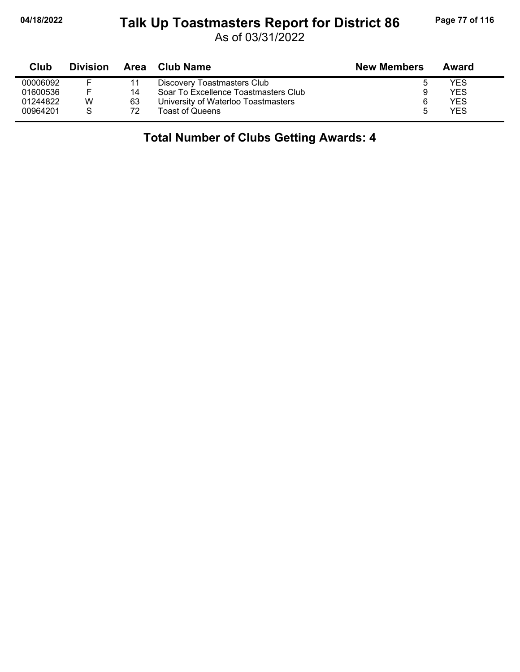#### **04/18/2022 Page 77 of 116 Talk Up Toastmasters Report for District 86**

As of 03/31/2022

| Club     | <b>Division</b> |    | Area Club Name                       | <b>New Members</b> | Award |  |
|----------|-----------------|----|--------------------------------------|--------------------|-------|--|
| 00006092 |                 | 11 | Discovery Toastmasters Club          | G                  | YES   |  |
| 01600536 | F.              | 14 | Soar To Excellence Toastmasters Club |                    | YES   |  |
| 01244822 | W               | 63 | University of Waterloo Toastmasters  | 6                  | YES   |  |
| 00964201 | S               | 72 | Toast of Queens                      | 5                  | YES   |  |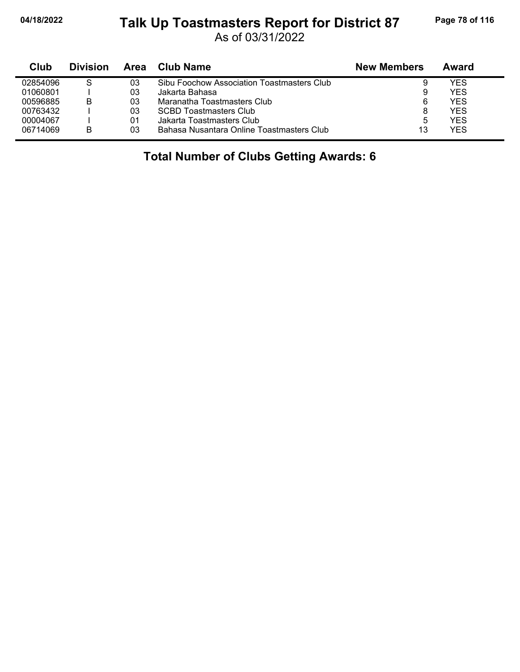#### **04/18/2022 Page 78 of 116 Talk Up Toastmasters Report for District 87**

As of 03/31/2022

| Club     | <b>Division</b> | Area | Club Name                                  | <b>New Members</b> | Award |
|----------|-----------------|------|--------------------------------------------|--------------------|-------|
| 02854096 | S               | 03   | Sibu Foochow Association Toastmasters Club | 9                  | YES   |
| 01060801 |                 | 03   | Jakarta Bahasa                             | 9                  | YES   |
| 00596885 | B               | 03   | Maranatha Toastmasters Club                | 6                  | YES   |
| 00763432 |                 | 03   | <b>SCBD Toastmasters Club</b>              | 8                  | YES   |
| 00004067 |                 | 01   | Jakarta Toastmasters Club                  | 5                  | YES   |
| 06714069 | В               | 03   | Bahasa Nusantara Online Toastmasters Club  | 13                 | YES   |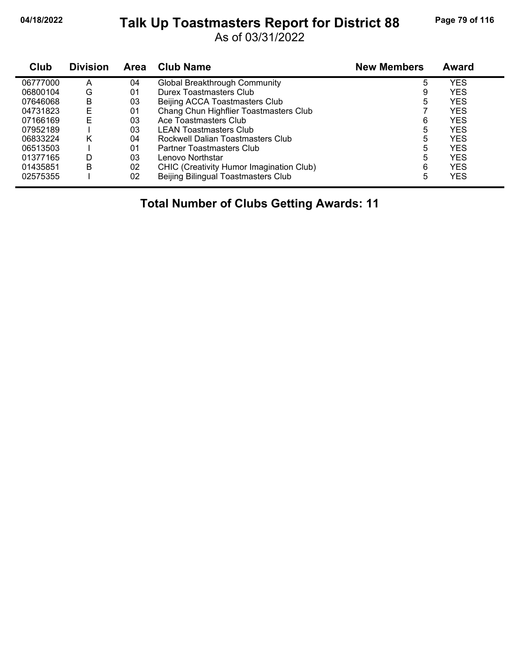## **04/18/2022 Page 79 of 116 Talk Up Toastmasters Report for District 88**

As of 03/31/2022

| Club     | <b>Division</b> | <b>Area</b> | <b>Club Name</b>                         | <b>New Members</b> | Award      |
|----------|-----------------|-------------|------------------------------------------|--------------------|------------|
| 06777000 | Α               | 04          | Global Breakthrough Community            | 5                  | YES        |
| 06800104 | G               | 01          | Durex Toastmasters Club                  | 9                  | <b>YES</b> |
| 07646068 | в               | 03          | Beijing ACCA Toastmasters Club           | 5                  | YES        |
| 04731823 | E               | 01          | Chang Chun Highflier Toastmasters Club   |                    | <b>YES</b> |
| 07166169 | F               | 03          | Ace Toastmasters Club                    | 6                  | <b>YES</b> |
| 07952189 |                 | 03          | <b>LEAN Toastmasters Club</b>            | 5                  | <b>YES</b> |
| 06833224 | Κ               | 04          | Rockwell Dalian Toastmasters Club        | 5                  | <b>YES</b> |
| 06513503 |                 | 01          | Partner Toastmasters Club                | 5                  | <b>YES</b> |
| 01377165 | D               | 03          | Lenovo Northstar                         | 5                  | YES        |
| 01435851 | B               | 02          | CHIC (Creativity Humor Imagination Club) | 6                  | <b>YES</b> |
| 02575355 |                 | 02          | Beijing Bilingual Toastmasters Club      | 5                  | YES        |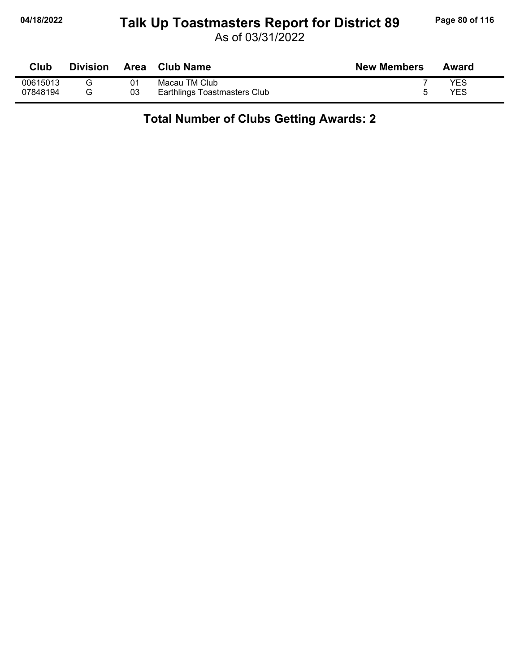## **04/18/2022 Page 80 of 116 Talk Up Toastmasters Report for District 89**

As of 03/31/2022

| Club     | <b>Division</b> | Area | <b>Club Name</b>             | <b>New Members</b> | Award |
|----------|-----------------|------|------------------------------|--------------------|-------|
| 00615013 |                 | 01   | Macau TM Club                |                    | YES   |
| 07848194 |                 | 03   | Earthlings Toastmasters Club |                    | YES   |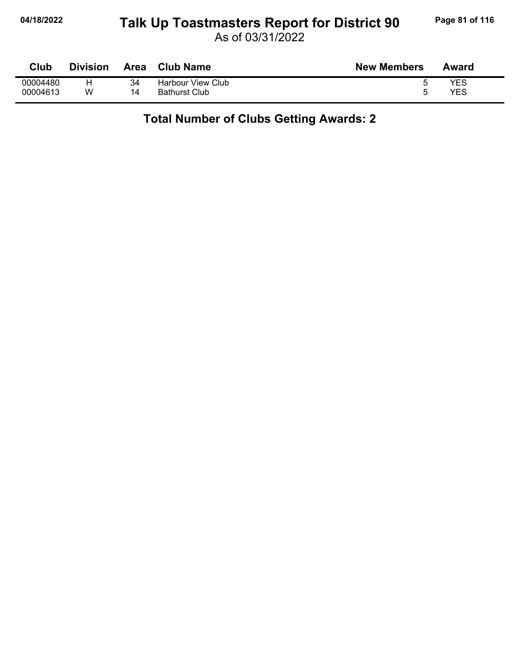## **04/18/2022 Page 81 of 116 Talk Up Toastmasters Report for District 90**

As of 03/31/2022

| Club     | <b>Division</b> | Area | <b>Club Name</b>     | <b>New Members</b> | Award |
|----------|-----------------|------|----------------------|--------------------|-------|
| 00004480 |                 | 34   | Harbour View Club    |                    | YES   |
| 00004613 | w               | 14   | <b>Bathurst Club</b> |                    | YES   |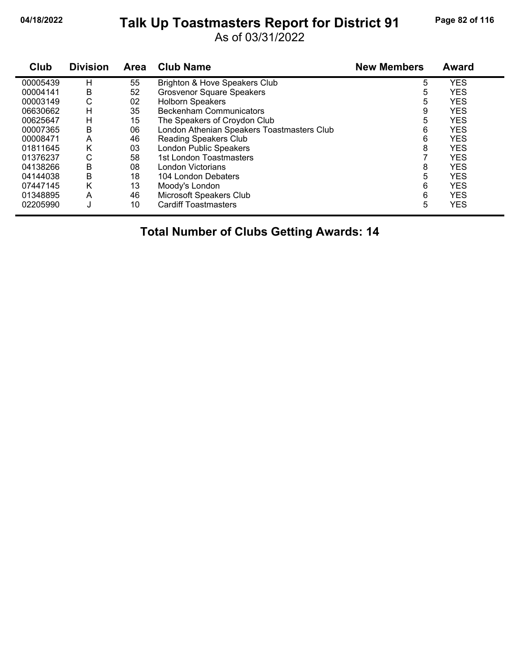## **04/18/2022 Page 82 of 116 Talk Up Toastmasters Report for District 91**

As of 03/31/2022

| Club     | <b>Division</b> | <b>Area</b> | <b>Club Name</b>                           | <b>New Members</b> | <b>Award</b> |
|----------|-----------------|-------------|--------------------------------------------|--------------------|--------------|
| 00005439 | н               | 55          | Brighton & Hove Speakers Club              | 5                  | <b>YES</b>   |
| 00004141 | B               | 52          | <b>Grosvenor Square Speakers</b>           | 5                  | <b>YES</b>   |
| 00003149 | С               | 02          | <b>Holborn Speakers</b>                    | 5                  | <b>YES</b>   |
| 06630662 | н               | 35          | <b>Beckenham Communicators</b>             | 9                  | <b>YES</b>   |
| 00625647 | н               | 15          | The Speakers of Croydon Club               | 5                  | <b>YES</b>   |
| 00007365 | B               | 06          | London Athenian Speakers Toastmasters Club | 6                  | <b>YES</b>   |
| 00008471 | A               | 46          | <b>Reading Speakers Club</b>               | 6                  | <b>YES</b>   |
| 01811645 | Κ               | 03          | London Public Speakers                     | 8                  | <b>YES</b>   |
| 01376237 | С               | 58          | 1st London Toastmasters                    |                    | <b>YES</b>   |
| 04138266 | B               | 08          | London Victorians                          | 8                  | <b>YES</b>   |
| 04144038 | B               | 18          | 104 London Debaters                        | 5                  | <b>YES</b>   |
| 07447145 | Κ               | 13          | Moody's London                             | 6                  | <b>YES</b>   |
| 01348895 | A               | 46          | Microsoft Speakers Club                    | 6                  | <b>YES</b>   |
| 02205990 | J               | 10          | <b>Cardiff Toastmasters</b>                | 5                  | <b>YES</b>   |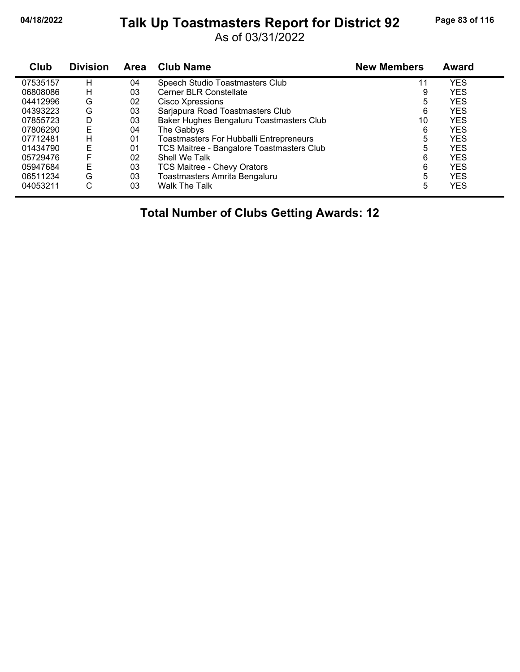## **04/18/2022 Page 83 of 116 Talk Up Toastmasters Report for District 92**

As of 03/31/2022

| Club     | <b>Division</b> | Area | <b>Club Name</b>                               | <b>New Members</b> | <b>Award</b> |
|----------|-----------------|------|------------------------------------------------|--------------------|--------------|
| 07535157 | н               | 04   | Speech Studio Toastmasters Club                | 11                 | <b>YES</b>   |
| 06808086 | н               | 03   | Cerner BLR Constellate                         | 9                  | <b>YES</b>   |
| 04412996 | G               | 02   | Cisco Xpressions                               | 5                  | <b>YES</b>   |
| 04393223 | G               | 03   | Sarjapura Road Toastmasters Club               | 6                  | <b>YES</b>   |
| 07855723 | D               | 03   | Baker Hughes Bengaluru Toastmasters Club       | 10                 | <b>YES</b>   |
| 07806290 | E               | 04   | The Gabbys                                     | 6                  | <b>YES</b>   |
| 07712481 | н               | 01   | <b>Toastmasters For Hubballi Entrepreneurs</b> | 5                  | <b>YES</b>   |
| 01434790 | Е               | 01   | TCS Maitree - Bangalore Toastmasters Club      | 5                  | <b>YES</b>   |
| 05729476 | F               | 02   | Shell We Talk                                  | 6                  | <b>YES</b>   |
| 05947684 | Ε               | 03   | <b>TCS Maitree - Chevy Orators</b>             | 6                  | <b>YES</b>   |
| 06511234 | G               | 03   | Toastmasters Amrita Bengaluru                  | 5                  | <b>YES</b>   |
| 04053211 | С               | 03   | <b>Walk The Talk</b>                           | 5                  | <b>YES</b>   |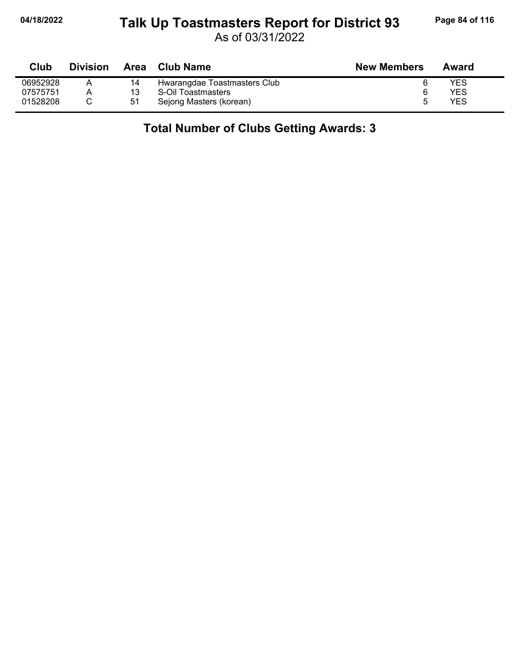#### **04/18/2022 Page 84 of 116 Talk Up Toastmasters Report for District 93**

As of 03/31/2022

| Club     | <b>Division</b> | Area | <b>Club Name</b>             | <b>New Members</b> | Award |
|----------|-----------------|------|------------------------------|--------------------|-------|
| 06952928 |                 | 14   | Hwarangdae Toastmasters Club |                    | YES   |
| 07575751 |                 |      | S-Oil Toastmasters           |                    | YES   |
| 01528208 |                 | 51   | Sejong Masters (korean)      |                    | YES   |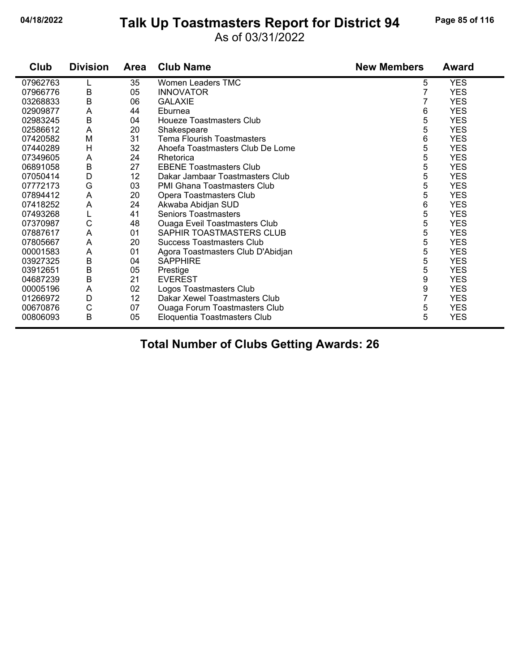# **04/18/2022 Page 85 of 116 Talk Up Toastmasters Report for District 94**

#### As of 03/31/2022

| Club     | <b>Division</b> | Area | <b>Club Name</b>                     | <b>New Members</b> | <b>Award</b> |
|----------|-----------------|------|--------------------------------------|--------------------|--------------|
| 07962763 |                 | 35   | Women Leaders TMC                    | 5                  | <b>YES</b>   |
| 07966776 | B               | 05   | <b>INNOVATOR</b>                     | 7                  | <b>YES</b>   |
| 03268833 | B               | 06   | <b>GALAXIE</b>                       |                    | <b>YES</b>   |
| 02909877 | A               | 44   | Eburnea                              | 6                  | <b>YES</b>   |
| 02983245 | $\sf B$         | 04   | Houeze Toastmasters Club             | 5                  | <b>YES</b>   |
| 02586612 | A               | 20   | Shakespeare                          | 5                  | <b>YES</b>   |
| 07420582 | M               | 31   | Tema Flourish Toastmasters           | 6                  | <b>YES</b>   |
| 07440289 | H               | 32   | Ahoefa Toastmasters Club De Lome     | 5                  | <b>YES</b>   |
| 07349605 | A               | 24   | Rhetorica                            | 5                  | <b>YES</b>   |
| 06891058 | $\sf B$         | 27   | <b>EBENE Toastmasters Club</b>       | 5                  | <b>YES</b>   |
| 07050414 | D               | 12   | Dakar Jambaar Toastmasters Club      | 5                  | <b>YES</b>   |
| 07772173 | G               | 03   | <b>PMI Ghana Toastmasters Club</b>   | 5                  | <b>YES</b>   |
| 07894412 | A               | 20   | Opera Toastmasters Club              | 5                  | <b>YES</b>   |
| 07418252 | A               | 24   | Akwaba Abidjan SUD                   | 6                  | <b>YES</b>   |
| 07493268 | L               | 41   | <b>Seniors Toastmasters</b>          | 5                  | <b>YES</b>   |
| 07370987 | C               | 48   | <b>Ouaga Eveil Toastmasters Club</b> | 5                  | <b>YES</b>   |
| 07887617 | A               | 01   | SAPHIR TOASTMASTERS CLUB             | 5                  | <b>YES</b>   |
| 07805667 | A               | 20   | Success Toastmasters Club            | 5                  | <b>YES</b>   |
| 00001583 | A               | 01   | Agora Toastmasters Club D'Abidjan    | 5                  | <b>YES</b>   |
| 03927325 | B               | 04   | <b>SAPPHIRE</b>                      | 5                  | <b>YES</b>   |
| 03912651 | B               | 05   | Prestige                             | 5                  | <b>YES</b>   |
| 04687239 | $\sf B$         | 21   | <b>EVEREST</b>                       | 9                  | <b>YES</b>   |
| 00005196 | A               | 02   | Logos Toastmasters Club              | 9                  | <b>YES</b>   |
| 01266972 | D               | 12   | Dakar Xewel Toastmasters Club        | 7                  | <b>YES</b>   |
| 00670876 | C               | 07   | <b>Ouaga Forum Toastmasters Club</b> | 5                  | <b>YES</b>   |
| 00806093 | $\mathsf B$     | 05   | Eloquentia Toastmasters Club         | 5                  | <b>YES</b>   |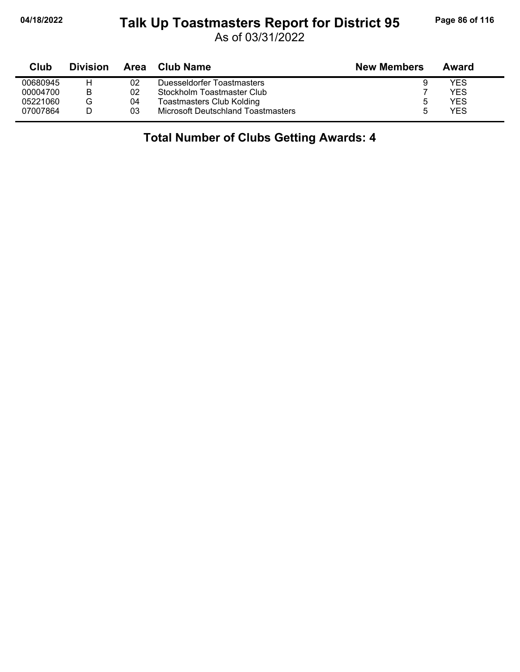#### **04/18/2022 Page 86 of 116 Talk Up Toastmasters Report for District 95**

As of 03/31/2022

| Club     | <b>Division</b> | Area | Club Name                          | <b>New Members</b> | Award      |  |
|----------|-----------------|------|------------------------------------|--------------------|------------|--|
| 00680945 | н               | 02   | Duesseldorfer Toastmasters         | 9                  | YES        |  |
| 00004700 | В               | 02   | Stockholm Toastmaster Club         |                    | YES        |  |
| 05221060 | G               | 04   | <b>Toastmasters Club Kolding</b>   | 5                  | YES        |  |
| 07007864 |                 | 03   | Microsoft Deutschland Toastmasters | ۰.                 | <b>YES</b> |  |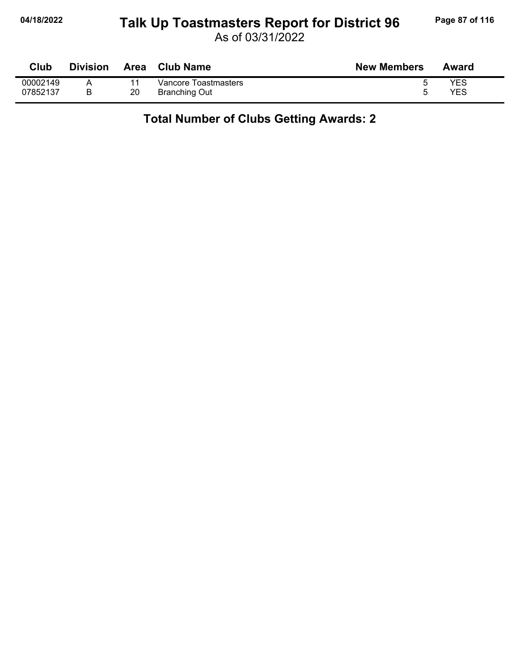## **04/18/2022 Page 87 of 116 Talk Up Toastmasters Report for District 96**

As of 03/31/2022

| Club     | <b>Division</b> | <b>Area</b> | <b>Club Name</b>     | <b>New Members</b> | Award |
|----------|-----------------|-------------|----------------------|--------------------|-------|
| 00002149 |                 |             | Vancore Toastmasters |                    | YES   |
| 07852137 |                 | 20          | <b>Branching Out</b> |                    | YES   |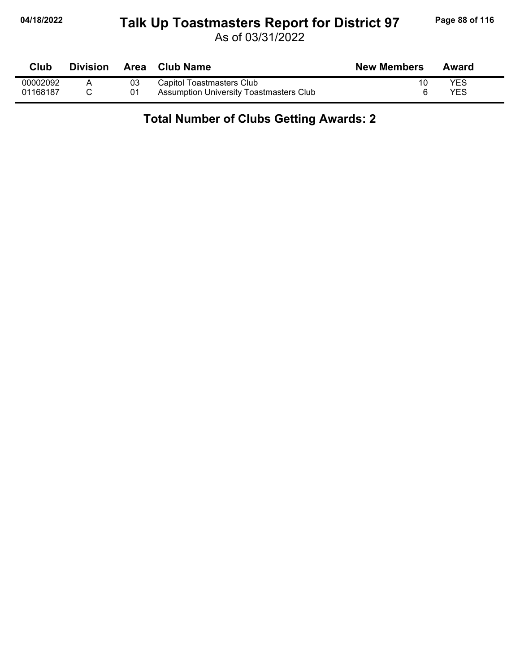## **04/18/2022 Page 88 of 116 Talk Up Toastmasters Report for District 97**

As of 03/31/2022

| Club     | <b>Division</b> |    | Area Club Name                          | <b>New Members</b> | Award      |
|----------|-----------------|----|-----------------------------------------|--------------------|------------|
| 00002092 |                 | 03 | Capitol Toastmasters Club               |                    | <b>YES</b> |
| 01168187 |                 |    | Assumption University Toastmasters Club |                    | YES        |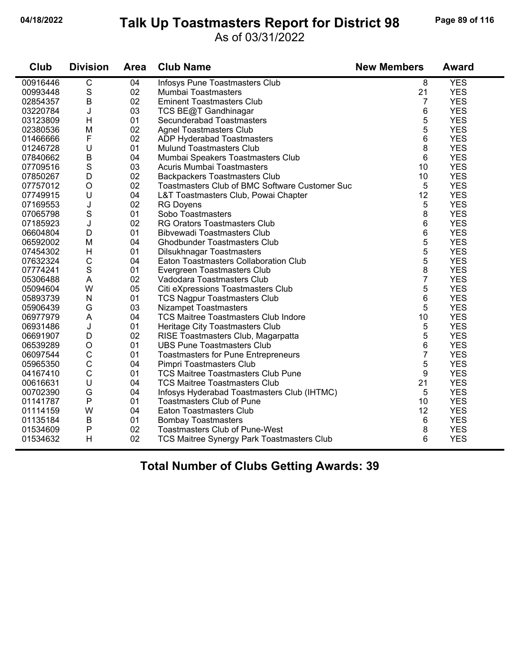#### **04/18/2022 Page 89 of 116 Talk Up Toastmasters Report for District 98**

#### As of 03/31/2022

| Club     | <b>Division</b> | <b>Area</b> | <b>Club Name</b>                               | <b>New Members</b> | <b>Award</b> |
|----------|-----------------|-------------|------------------------------------------------|--------------------|--------------|
| 00916446 | $\overline{C}$  | 04          | Infosys Pune Toastmasters Club                 | 8                  | <b>YES</b>   |
| 00993448 | $\mathbf S$     | 02          | Mumbai Toastmasters                            | 21                 | <b>YES</b>   |
| 02854357 | $\sf B$         | 02          | <b>Eminent Toastmasters Club</b>               | $\overline{7}$     | <b>YES</b>   |
| 03220784 | J               | 03          | TCS BE@T Gandhinagar                           | 6                  | <b>YES</b>   |
| 03123809 | H               | 01          | Secunderabad Toastmasters                      | 5                  | <b>YES</b>   |
| 02380536 | M               | 02          | <b>Agnel Toastmasters Club</b>                 | 5                  | <b>YES</b>   |
| 01466666 | F               | 02          | ADP Hyderabad Toastmasters                     | 6                  | <b>YES</b>   |
| 01246728 | U               | 01          | <b>Mulund Toastmasters Club</b>                | 8                  | <b>YES</b>   |
| 07840662 | $\sf B$         | 04          | Mumbai Speakers Toastmasters Club              | 6                  | <b>YES</b>   |
| 07709516 | S               | 03          | <b>Acuris Mumbai Toastmasters</b>              | 10                 | <b>YES</b>   |
| 07850267 | D               | 02          | <b>Backpackers Toastmasters Club</b>           | 10                 | <b>YES</b>   |
| 07757012 | $\bigcirc$      | 02          | Toastmasters Club of BMC Software Customer Suc | 5                  | <b>YES</b>   |
| 07749915 | U               | 04          | L&T Toastmasters Club, Powai Chapter           | 12                 | <b>YES</b>   |
| 07169553 | J               | 02          | <b>RG Doyens</b>                               | 5                  | <b>YES</b>   |
| 07065798 | S               | 01          | Sobo Toastmasters                              | 8                  | <b>YES</b>   |
| 07185923 | J               | 02          | RG Orators Toastmasters Club                   | 6                  | <b>YES</b>   |
| 06604804 | D               | 01          | <b>Bibvewadi Toastmasters Club</b>             | 6                  | <b>YES</b>   |
| 06592002 | M               | 04          | <b>Ghodbunder Toastmasters Club</b>            | 5                  | <b>YES</b>   |
| 07454302 | H               | 01          | Dilsukhnagar Toastmasters                      | 5                  | <b>YES</b>   |
| 07632324 | $\mathsf{C}$    | 04          | Eaton Toastmasters Collaboration Club          | 5                  | <b>YES</b>   |
| 07774241 | S               | 01          | Evergreen Toastmasters Club                    | 8                  | <b>YES</b>   |
| 05306488 | A               | 02          | Vadodara Toastmasters Club                     | $\overline{7}$     | <b>YES</b>   |
| 05094604 | W               | 05          | Citi eXpressions Toastmasters Club             | 5                  | <b>YES</b>   |
| 05893739 | ${\sf N}$       | 01          | <b>TCS Nagpur Toastmasters Club</b>            | 6                  | <b>YES</b>   |
| 05906439 | G               | 03          | <b>Nizampet Toastmasters</b>                   | 5                  | <b>YES</b>   |
| 06977979 | A               | 04          | <b>TCS Maitree Toastmasters Club Indore</b>    | 10                 | <b>YES</b>   |
| 06931486 | J               | 01          | Heritage City Toastmasters Club                | 5                  | <b>YES</b>   |
| 06691907 | D               | 02          | RISE Toastmasters Club, Magarpatta             | 5                  | <b>YES</b>   |
| 06539289 | $\mathsf O$     | 01          | <b>UBS Pune Toastmasters Club</b>              | 6                  | <b>YES</b>   |
| 06097544 | C               | 01          | Toastmasters for Pune Entrepreneurs            | $\overline{7}$     | <b>YES</b>   |
| 05965350 | $\mathsf{C}$    | 04          | Pimpri Toastmasters Club                       | 5                  | <b>YES</b>   |
| 04167410 | $\mathbf C$     | 01          | <b>TCS Maitree Toastmasters Club Pune</b>      | 9                  | <b>YES</b>   |
| 00616631 | U               | 04          | <b>TCS Maitree Toastmasters Club</b>           | 21                 | <b>YES</b>   |
| 00702390 | G               | 04          | Infosys Hyderabad Toastmasters Club (IHTMC)    | 5                  | <b>YES</b>   |
| 01141787 | P               | 01          | <b>Toastmasters Club of Pune</b>               | 10                 | <b>YES</b>   |
| 01114159 | W               | 04          | Eaton Toastmasters Club                        | 12                 | <b>YES</b>   |
| 01135184 | B               | 01          | <b>Bombay Toastmasters</b>                     | 6                  | <b>YES</b>   |
| 01534609 | P               | 02          | Toastmasters Club of Pune-West                 | 8                  | <b>YES</b>   |
| 01534632 | H               | 02          | TCS Maitree Synergy Park Toastmasters Club     | 6                  | <b>YES</b>   |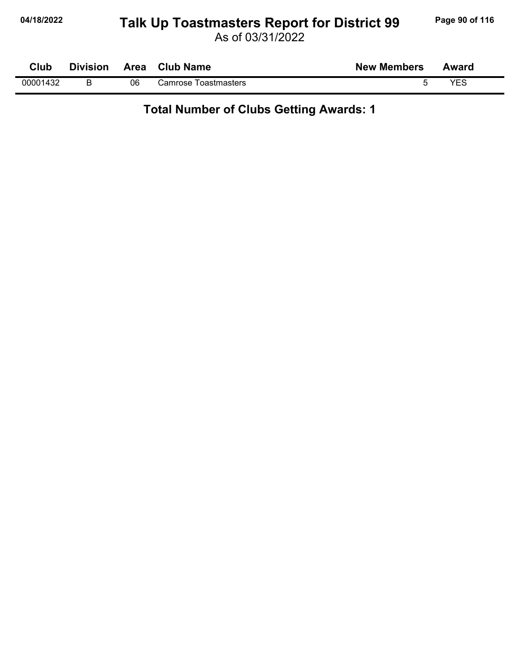## **04/18/2022 Page 90 of 116 Talk Up Toastmasters Report for District 99**

As of 03/31/2022

| Club     | <b>Division</b> | Area | <b>Club Name</b>               | <b>New Members</b> | Award |
|----------|-----------------|------|--------------------------------|--------------------|-------|
| 00001432 |                 | 06   | <b>Toastmasters</b><br>∴amrose |                    | VES   |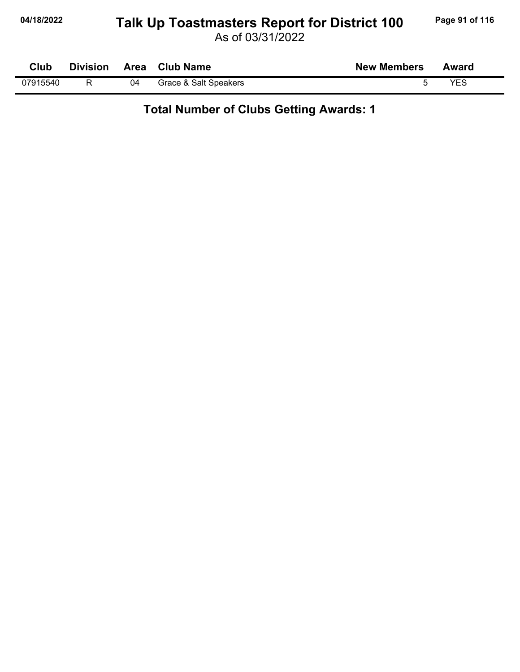## 04/18/2022 Talk Up Toastmasters Report for District 100 Page 91 of 116

As of 03/31/2022

| Club     | <b>Division</b> |    | Area Club Name        | <b>New Members</b> | Award |
|----------|-----------------|----|-----------------------|--------------------|-------|
| 07915540 |                 | 04 | Grace & Salt Speakers |                    | YES   |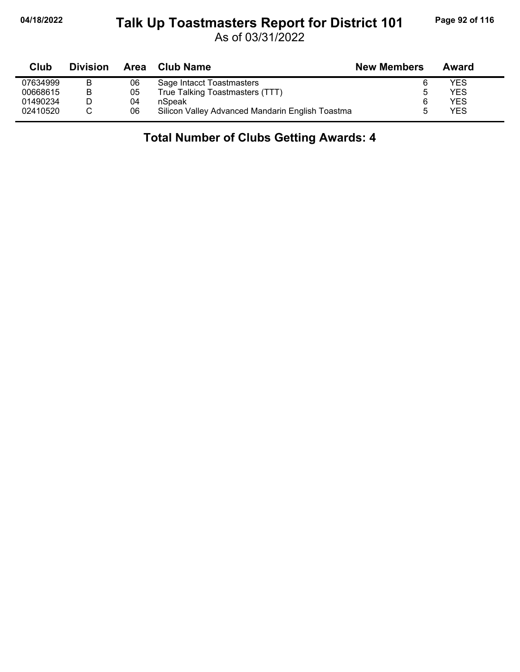#### **04/18/2022 Page 92 of 116 Talk Up Toastmasters Report for District 101**

As of 03/31/2022

| Club     | <b>Division</b> | Area | <b>Club Name</b>                                 | <b>New Members</b> | Award |  |
|----------|-----------------|------|--------------------------------------------------|--------------------|-------|--|
| 07634999 | в               | 06   | Sage Intacct Toastmasters                        |                    | YES   |  |
| 00668615 | в               | 05   | True Talking Toastmasters (TTT)                  | 5                  | YES   |  |
| 01490234 |                 | 04   | nSpeak                                           | 6                  | YES   |  |
| 02410520 |                 | 06   | Silicon Valley Advanced Mandarin English Toastma |                    | YES   |  |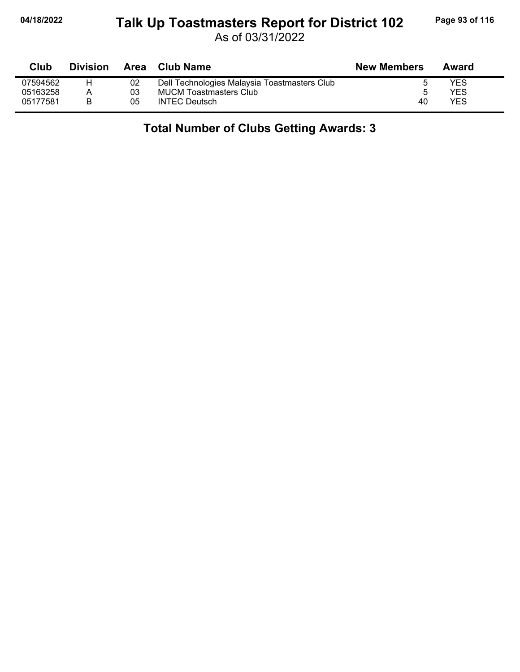#### **04/18/2022 Page 93 of 116 Talk Up Toastmasters Report for District 102**

As of 03/31/2022

| Club     | <b>Division</b> |    | Area Club Name                               | <b>New Members</b> | Award |
|----------|-----------------|----|----------------------------------------------|--------------------|-------|
| 07594562 | н               | 02 | Dell Technologies Malaysia Toastmasters Club |                    | YES   |
| 05163258 | А               | 03 | <b>MUCM Toastmasters Club</b>                |                    | YES   |
| 05177581 |                 | 05 | <b>INTEC Deutsch</b>                         | 40                 | YES   |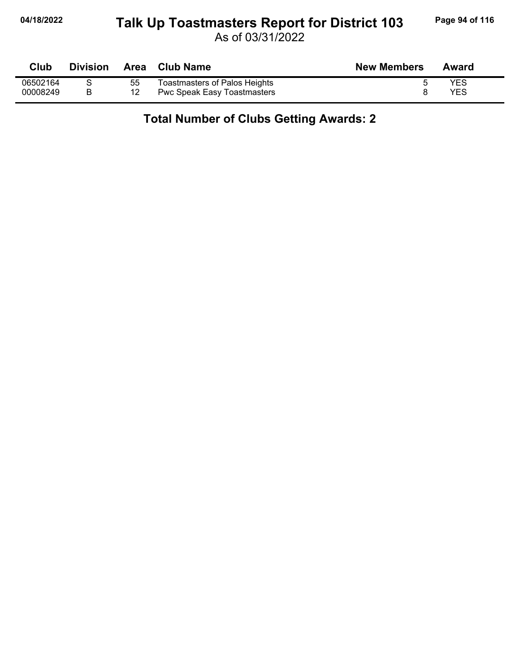# **04/18/2022 Page 94 of 116 Talk Up Toastmasters Report for District 103**

As of 03/31/2022

| <b>Club</b> | <b>Division</b> | Area | <b>Club Name</b>              | <b>New Members</b> | Award      |
|-------------|-----------------|------|-------------------------------|--------------------|------------|
| 06502164    |                 | 55   | Toastmasters of Palos Heights |                    | <b>YES</b> |
| 00008249    |                 | 12   | Pwc Speak Easy Toastmasters   |                    | YES        |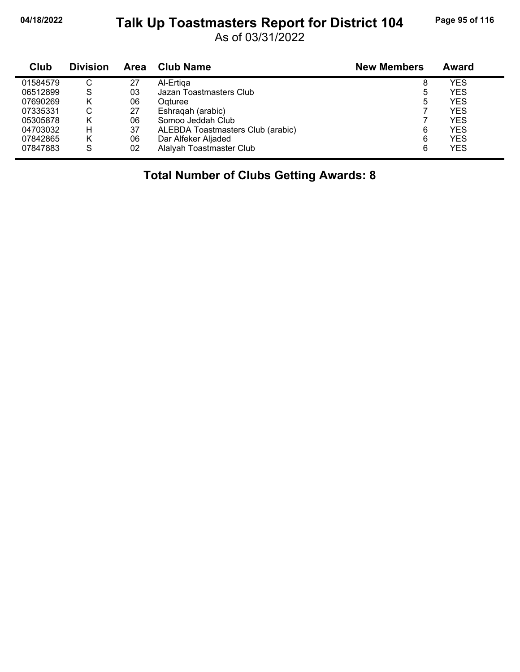# 04/18/2022 Talk Up Toastmasters Report for District 104 Page 95 of 116

As of 03/31/2022

| Club     | <b>Division</b> | <b>Area</b> | <b>Club Name</b>                  | <b>New Members</b> | Award      |
|----------|-----------------|-------------|-----------------------------------|--------------------|------------|
| 01584579 | С               | 27          | Al-Ertiga                         | 8                  | YES        |
| 06512899 | S               | 03          | Jazan Toastmasters Club           | 5                  | <b>YES</b> |
| 07690269 | κ               | 06          | Ogturee                           | 5                  | <b>YES</b> |
| 07335331 | С               | 27          | Eshragah (arabic)                 |                    | <b>YES</b> |
| 05305878 | κ               | 06          | Somoo Jeddah Club                 |                    | <b>YES</b> |
| 04703032 | н               | 37          | ALEBDA Toastmasters Club (arabic) | 6                  | YES        |
| 07842865 | Κ               | 06          | Dar Alfeker Aljaded               | 6                  | <b>YES</b> |
| 07847883 | S               | 02          | Alalyah Toastmaster Club          | 6                  | <b>YES</b> |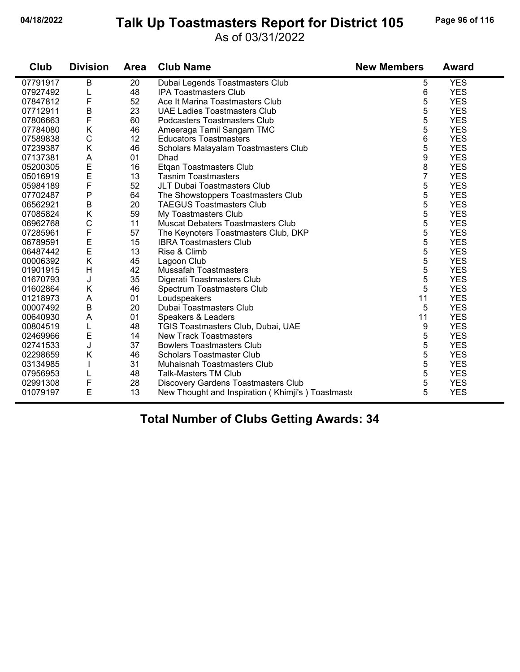# **04/18/2022 Page 96 of 116 Talk Up Toastmasters Report for District 105**

#### As of 03/31/2022

| Club     | <b>Division</b> | <b>Area</b> | <b>Club Name</b>                                  | <b>New Members</b> | <b>Award</b> |
|----------|-----------------|-------------|---------------------------------------------------|--------------------|--------------|
| 07791917 | $\sf B$         | 20          | Dubai Legends Toastmasters Club                   | 5                  | <b>YES</b>   |
| 07927492 |                 | 48          | <b>IPA Toastmasters Club</b>                      | 6                  | <b>YES</b>   |
| 07847812 | F               | 52          | Ace It Marina Toastmasters Club                   | 5                  | <b>YES</b>   |
| 07712911 | B               | 23          | <b>UAE Ladies Toastmasters Club</b>               | 5                  | <b>YES</b>   |
| 07806663 | F               | 60          | Podcasters Toastmasters Club                      | 5                  | <b>YES</b>   |
| 07784080 | Κ               | 46          | Ameeraga Tamil Sangam TMC                         | 5                  | <b>YES</b>   |
| 07589838 | $\mathsf{C}$    | 12          | <b>Educators Toastmasters</b>                     | 6                  | <b>YES</b>   |
| 07239387 | Κ               | 46          | Scholars Malayalam Toastmasters Club              | 5                  | <b>YES</b>   |
| 07137381 | A               | 01          | Dhad                                              | 9                  | <b>YES</b>   |
| 05200305 | E               | 16          | Etgan Toastmasters Club                           | 8                  | <b>YES</b>   |
| 05016919 | E               | 13          | <b>Tasnim Toastmasters</b>                        | $\overline{7}$     | <b>YES</b>   |
| 05984189 | $\mathsf{F}$    | 52          | JLT Dubai Toastmasters Club                       | 5                  | <b>YES</b>   |
| 07702487 | P               | 64          | The Showstoppers Toastmasters Club                | 5                  | <b>YES</b>   |
| 06562921 | B               | 20          | <b>TAEGUS Toastmasters Club</b>                   | 5                  | <b>YES</b>   |
| 07085824 | Κ               | 59          | My Toastmasters Club                              | 5                  | <b>YES</b>   |
| 06962768 | C               | 11          | <b>Muscat Debaters Toastmasters Club</b>          | 5                  | <b>YES</b>   |
| 07285961 | $\mathsf F$     | 57          | The Keynoters Toastmasters Club, DKP              | 5                  | <b>YES</b>   |
| 06789591 | Ε               | 15          | <b>IBRA Toastmasters Club</b>                     | 5                  | <b>YES</b>   |
| 06487442 | E               | 13          | Rise & Climb                                      | 5                  | <b>YES</b>   |
| 00006392 | K               | 45          | Lagoon Club                                       | 5                  | <b>YES</b>   |
| 01901915 | H               | 42          | Mussafah Toastmasters                             | 5                  | <b>YES</b>   |
| 01670793 | J               | 35          | Digerati Toastmasters Club                        | 5                  | <b>YES</b>   |
| 01602864 | K               | 46          | Spectrum Toastmasters Club                        | 5                  | <b>YES</b>   |
| 01218973 | A               | 01          | Loudspeakers                                      | 11                 | <b>YES</b>   |
| 00007492 | B               | 20          | Dubai Toastmasters Club                           | 5                  | <b>YES</b>   |
| 00640930 | A               | 01          | Speakers & Leaders                                | 11                 | <b>YES</b>   |
| 00804519 |                 | 48          | TGIS Toastmasters Club, Dubai, UAE                | 9                  | <b>YES</b>   |
| 02469966 | Ε               | 14          | <b>New Track Toastmasters</b>                     | 5                  | <b>YES</b>   |
| 02741533 | J               | 37          | <b>Bowlers Toastmasters Club</b>                  | 5                  | <b>YES</b>   |
| 02298659 | Κ               | 46          | <b>Scholars Toastmaster Club</b>                  | 5                  | <b>YES</b>   |
| 03134985 |                 | 31          | Muhaisnah Toastmasters Club                       | 5                  | <b>YES</b>   |
| 07956953 |                 | 48          | <b>Talk-Masters TM Club</b>                       | 5                  | <b>YES</b>   |
| 02991308 | F               | 28          | <b>Discovery Gardens Toastmasters Club</b>        | 5                  | <b>YES</b>   |
| 01079197 | E               | 13          | New Thought and Inspiration (Khimji's) Toastmaste | 5                  | <b>YES</b>   |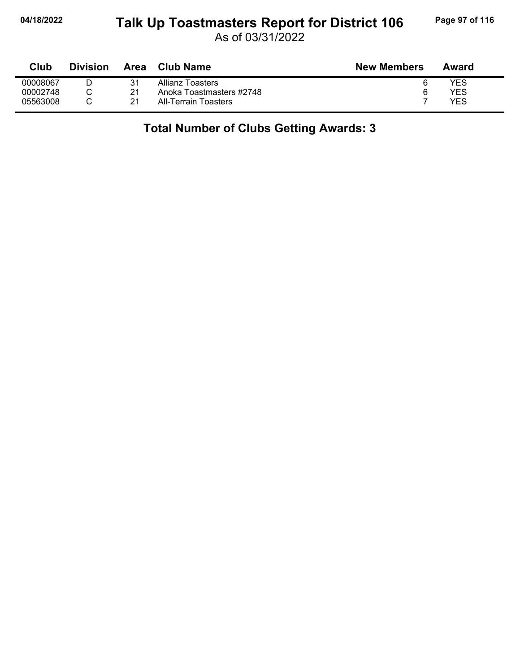#### **04/18/2022 Page 97 of 116 Talk Up Toastmasters Report for District 106**

As of 03/31/2022

| <b>Club</b> | <b>Division</b> | Area | <b>Club Name</b>         | <b>New Members</b> | Award |
|-------------|-----------------|------|--------------------------|--------------------|-------|
| 00008067    |                 | 31   | Allianz Toasters         | 6                  | YES   |
| 00002748    |                 | 21   | Anoka Toastmasters #2748 | 6                  | YES   |
| 05563008    |                 |      | All-Terrain Toasters     |                    | YES   |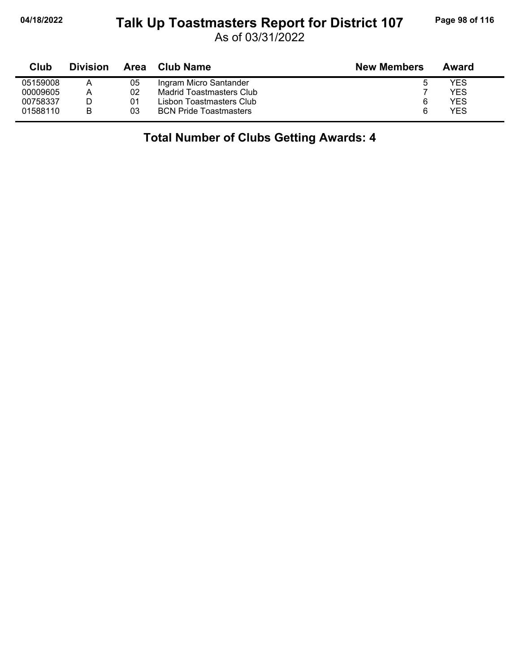#### **04/18/2022 Page 98 of 116 Talk Up Toastmasters Report for District 107**

As of 03/31/2022

| Club     | <b>Division</b> | Area | Club Name                     | <b>New Members</b> | Award |
|----------|-----------------|------|-------------------------------|--------------------|-------|
| 05159008 |                 | 05   | Ingram Micro Santander        | 0                  | YES   |
| 00009605 | А               | 02   | Madrid Toastmasters Club      |                    | YES   |
| 00758337 |                 | 01   | Lisbon Toastmasters Club      | 6                  | YES   |
| 01588110 | В               | 03   | <b>BCN Pride Toastmasters</b> | 6                  | YES   |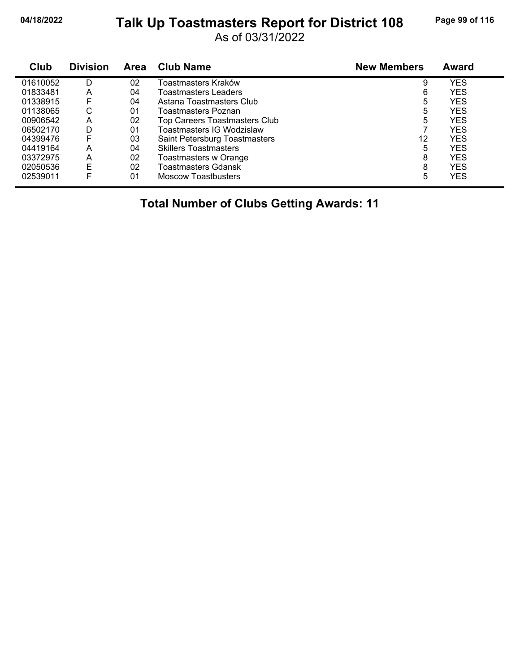## **04/18/2022 Page 99 of 116 Talk Up Toastmasters Report for District 108**

As of 03/31/2022

| Club     | <b>Division</b> | Area | <b>Club Name</b>              | <b>New Members</b> | Award      |
|----------|-----------------|------|-------------------------------|--------------------|------------|
| 01610052 | D               | 02   | Toastmasters Kraków           | 9                  | <b>YES</b> |
| 01833481 | А               | 04   | <b>Toastmasters Leaders</b>   | 6                  | YES        |
| 01338915 |                 | 04   | Astana Toastmasters Club      | 5                  | YES        |
| 01138065 | С               | 01   | Toastmasters Poznan           | 5                  | <b>YES</b> |
| 00906542 | А               | 02   | Top Careers Toastmasters Club | 5                  | YES        |
| 06502170 | D               | 01   | Toastmasters IG Wodzislaw     |                    | <b>YES</b> |
| 04399476 |                 | 03   | Saint Petersburg Toastmasters | 12                 | YES        |
| 04419164 | А               | 04   | <b>Skillers Toastmasters</b>  | 5                  | YES        |
| 03372975 | А               | 02   | Toastmasters w Orange         | 8                  | <b>YES</b> |
| 02050536 | E               | 02   | Toastmasters Gdansk           | 8                  | YES        |
| 02539011 |                 | 01   | <b>Moscow Toastbusters</b>    | 5                  | YES        |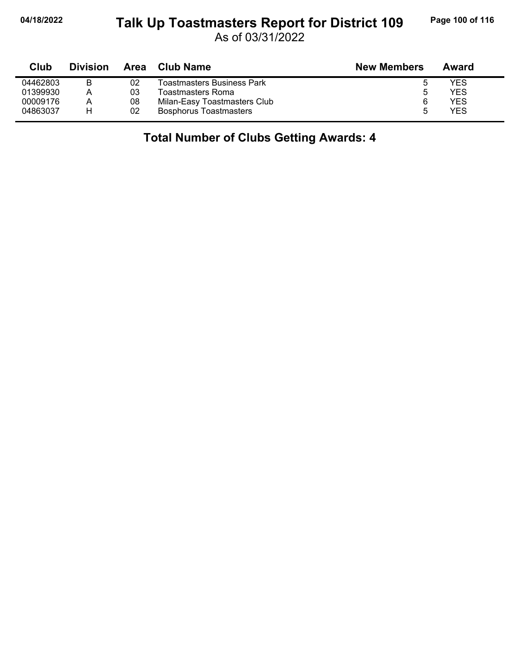#### **04/18/2022 Page 100 of 116 Talk Up Toastmasters Report for District 109**

As of 03/31/2022

| Club     | <b>Division</b> | Area | Club Name                     | <b>New Members</b> | Award |  |
|----------|-----------------|------|-------------------------------|--------------------|-------|--|
| 04462803 | B               | 02   | Toastmasters Business Park    | 5                  | YES   |  |
| 01399930 | Α               | 03   | Toastmasters Roma             | 5                  | YES   |  |
| 00009176 | А               | 08   | Milan-Easy Toastmasters Club  | 6                  | YES   |  |
| 04863037 | н               | 02   | <b>Bosphorus Toastmasters</b> | 5                  | YES   |  |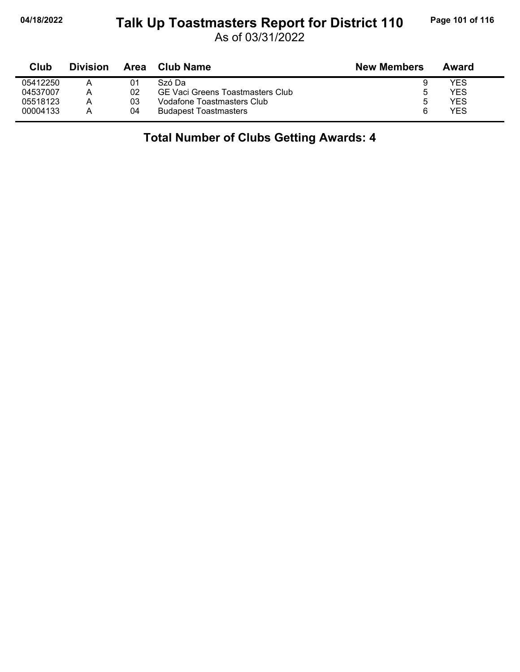#### **04/18/2022 Page 101 of 116 Talk Up Toastmasters Report for District 110**

As of 03/31/2022

| Club     | <b>Division</b> | Area | Club Name                               | <b>New Members</b> | Award |
|----------|-----------------|------|-----------------------------------------|--------------------|-------|
| 05412250 |                 | 01   | Szó Da                                  |                    | YES   |
| 04537007 | А               | 02   | <b>GE Vaci Greens Toastmasters Club</b> | 5                  | YES   |
| 05518123 | Α               | 03   | Vodafone Toastmasters Club              |                    | YES   |
| 00004133 |                 | 04   | <b>Budapest Toastmasters</b>            | ิค                 | YES   |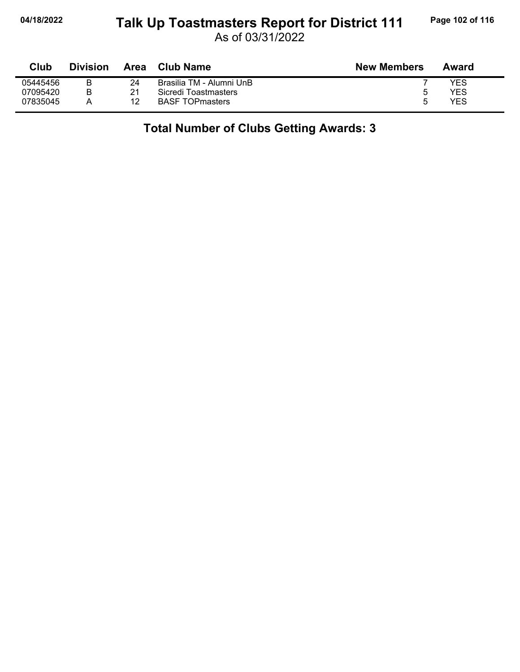#### **04/18/2022 Page 102 of 116 Talk Up Toastmasters Report for District 111**

As of 03/31/2022

| <b>Club</b> | <b>Division</b> | Area | <b>Club Name</b>         | <b>New Members</b> | Award |
|-------------|-----------------|------|--------------------------|--------------------|-------|
| 05445456    | R               | 24   | Brasilia TM - Alumni UnB |                    | YES   |
| 07095420    | В               | 21   | Sicredi Toastmasters     | b                  | YES   |
| 07835045    |                 | 12   | <b>BASF TOPmasters</b>   | г                  | YES   |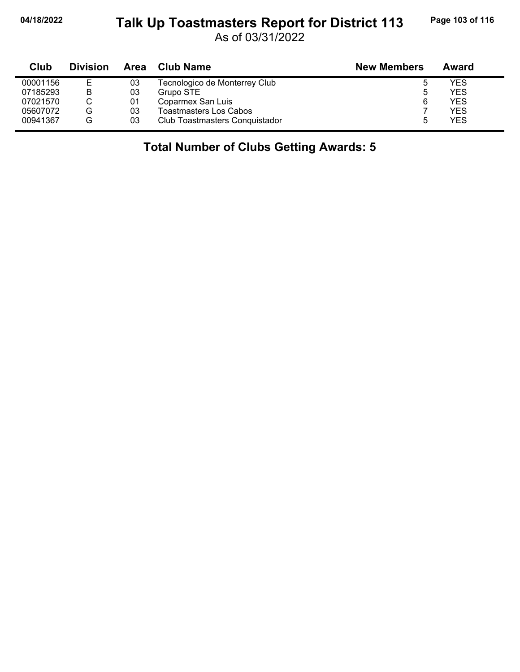# **04/18/2022 Page 103 of 116** Talk Up Toastmasters Report for District 113 Page 103 of 116

As of 03/31/2022

| Club     | <b>Division</b> | Area | <b>Club Name</b>               | <b>New Members</b> | Award |
|----------|-----------------|------|--------------------------------|--------------------|-------|
| 00001156 | Е               | 03   | Tecnologico de Monterrey Club  |                    | YES   |
| 07185293 | B               | 03   | Grupo STE                      | 5                  | YES   |
| 07021570 |                 | 01   | Coparmex San Luis              | 6                  | YES   |
| 05607072 | G               | 03   | <b>Toastmasters Los Cabos</b>  |                    | YES   |
| 00941367 | G               | 03   | Club Toastmasters Conquistador |                    | YES   |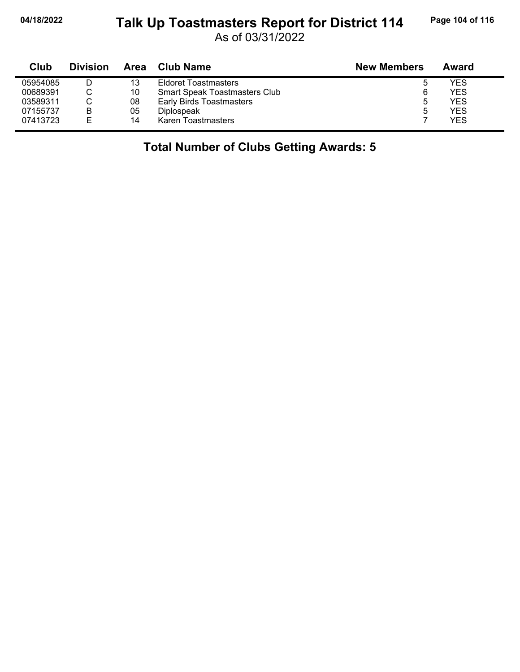# 04/18/2022 Talk Up Toastmasters Report for District 114 Page 104 of 116

As of 03/31/2022

| Club     | <b>Division</b> | Area | <b>Club Name</b>                     | <b>New Members</b> | Award |
|----------|-----------------|------|--------------------------------------|--------------------|-------|
| 05954085 |                 | 13   | <b>Eldoret Toastmasters</b>          | 5                  | YES   |
| 00689391 |                 | 10   | <b>Smart Speak Toastmasters Club</b> | 6                  | YES   |
| 03589311 |                 | 08   | <b>Early Birds Toastmasters</b>      | 5                  | YES   |
| 07155737 | B               | 05   | Diplospeak                           | 5                  | YES   |
| 07413723 | E               | 14   | Karen Toastmasters                   |                    | YES   |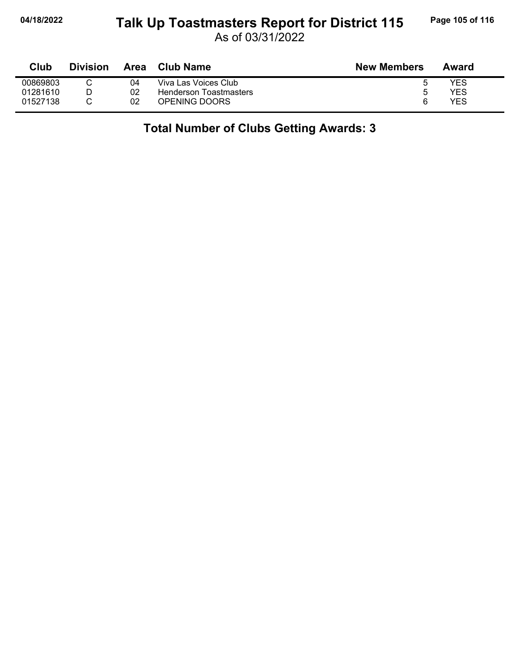#### **04/18/2022 Page 105 of 116 Talk Up Toastmasters Report for District 115**

As of 03/31/2022

| Club     | <b>Division</b> | Area | Club Name              | <b>New Members</b> | Award |
|----------|-----------------|------|------------------------|--------------------|-------|
| 00869803 |                 | 04   | Viva Las Voices Club   |                    | YES   |
| 01281610 |                 | 02   | Henderson Toastmasters |                    | YES   |
| 01527138 |                 | 02   | OPENING DOORS          | 6                  | YES   |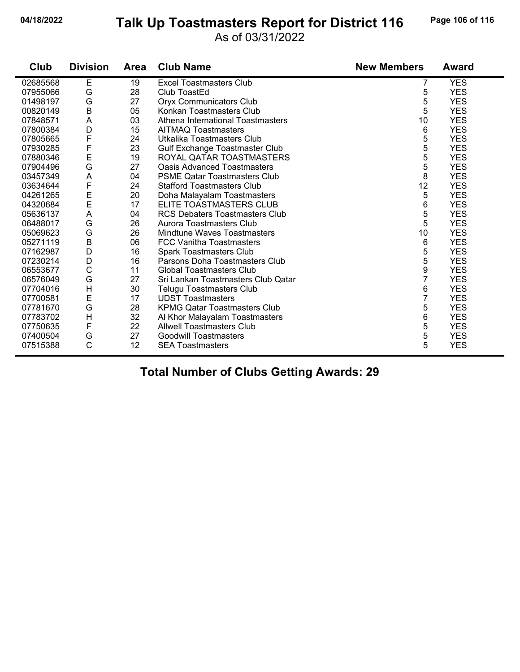#### **04/18/2022 Page 106 of 116 Talk Up Toastmasters Report for District 116**

#### As of 03/31/2022

| Club     | <b>Division</b> | <b>Area</b> | <b>Club Name</b>                      | <b>New Members</b> | Award      |
|----------|-----------------|-------------|---------------------------------------|--------------------|------------|
| 02685568 | E               | 19          | <b>Excel Toastmasters Club</b>        | 7                  | <b>YES</b> |
| 07955066 | G               | 28          | Club ToastEd                          | 5                  | <b>YES</b> |
| 01498197 | G               | 27          | <b>Oryx Communicators Club</b>        | 5                  | <b>YES</b> |
| 00820149 | B               | 05          | Konkan Toastmasters Club              | 5                  | <b>YES</b> |
| 07848571 | A               | 03          | Athena International Toastmasters     | 10                 | <b>YES</b> |
| 07800384 | D               | 15          | <b>AITMAQ Toastmasters</b>            | 6                  | <b>YES</b> |
| 07805665 | F               | 24          | Utkalika Toastmasters Club            | 5                  | <b>YES</b> |
| 07930285 | F               | 23          | Gulf Exchange Toastmaster Club        | 5                  | <b>YES</b> |
| 07880346 | E               | 19          | ROYAL QATAR TOASTMASTERS              | 5                  | <b>YES</b> |
| 07904496 | G               | 27          | <b>Oasis Advanced Toastmasters</b>    | 5                  | <b>YES</b> |
| 03457349 | A               | 04          | <b>PSME Qatar Toastmasters Club</b>   | 8                  | <b>YES</b> |
| 03634644 | F               | 24          | <b>Stafford Toastmasters Club</b>     | 12                 | <b>YES</b> |
| 04261265 |                 | 20          | Doha Malayalam Toastmasters           | 5                  | <b>YES</b> |
| 04320684 | E<br>E          | 17          | ELITE TOASTMASTERS CLUB               | 6                  | <b>YES</b> |
| 05636137 | A               | 04          | <b>RCS Debaters Toastmasters Club</b> | 5                  | <b>YES</b> |
| 06488017 | G               | 26          | Aurora Toastmasters Club              | 5                  | <b>YES</b> |
| 05069623 | G               | 26          | Mindtune Waves Toastmasters           | 10                 | <b>YES</b> |
| 05271119 | $\sf B$         | 06          | <b>FCC Vanitha Toastmasters</b>       | 6                  | <b>YES</b> |
| 07162987 | D               | 16          | <b>Spark Toastmasters Club</b>        | 5                  | <b>YES</b> |
| 07230214 | D               | 16          | Parsons Doha Toastmasters Club        | 5                  | <b>YES</b> |
| 06553677 | C               | 11          | Global Toastmasters Club              | 9                  | <b>YES</b> |
| 06576049 | G               | 27          | Sri Lankan Toastmasters Club Qatar    | 7                  | <b>YES</b> |
| 07704016 | H               | 30          | Telugu Toastmasters Club              | 6                  | <b>YES</b> |
| 07700581 | E               | 17          | <b>UDST Toastmasters</b>              | 7                  | <b>YES</b> |
| 07781670 | G               | 28          | <b>KPMG Qatar Toastmasters Club</b>   | 5                  | <b>YES</b> |
| 07783702 | H               | 32          | Al Khor Malayalam Toastmasters        | 6                  | <b>YES</b> |
| 07750635 | F               | 22          | <b>Allwell Toastmasters Club</b>      | 5                  | <b>YES</b> |
| 07400504 | G               | 27          | <b>Goodwill Toastmasters</b>          | 5                  | <b>YES</b> |
| 07515388 | $\mathsf{C}$    | 12          | <b>SEA Toastmasters</b>               | 5                  | <b>YES</b> |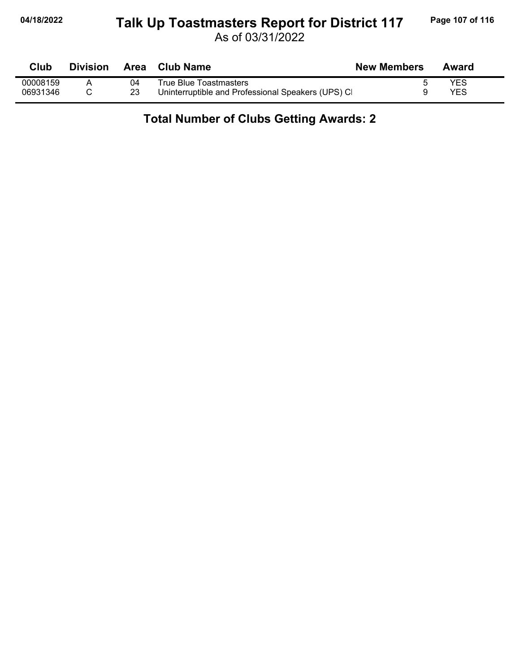#### **04/18/2022 Page 107 of 116 Talk Up Toastmasters Report for District 117**

As of 03/31/2022

| Club     | <b>Division</b> |    | Area Club Name                                    | <b>New Members</b> | Award |
|----------|-----------------|----|---------------------------------------------------|--------------------|-------|
| 00008159 |                 | 04 | True Blue Toastmasters                            |                    | YES   |
| 06931346 |                 |    | Uninterruptible and Professional Speakers (UPS) C |                    | YES   |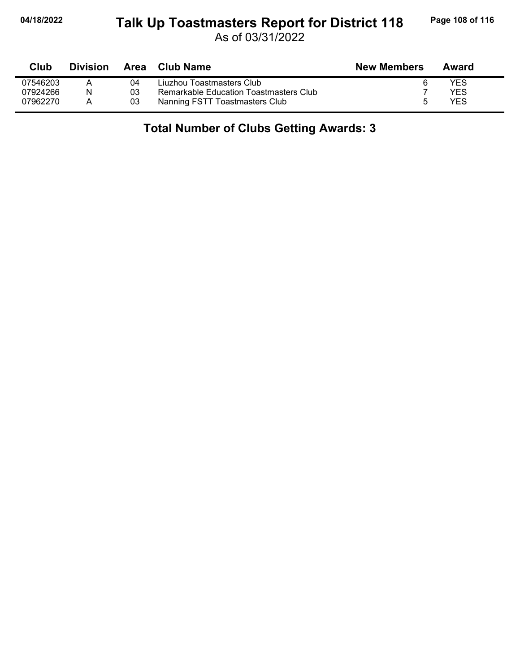#### **04/18/2022 Page 108 of 116 Talk Up Toastmasters Report for District 118**

As of 03/31/2022

| Club     | <b>Division</b> |    | Area Club Name                         | <b>New Members</b> | Award      |
|----------|-----------------|----|----------------------------------------|--------------------|------------|
| 07546203 |                 | 04 | Liuzhou Toastmasters Club              | 6                  | YES        |
| 07924266 | N               | 03 | Remarkable Education Toastmasters Club |                    | YES        |
| 07962270 | А               | 03 | Nanning FSTT Toastmasters Club         | $\mathbf{b}$       | <b>YES</b> |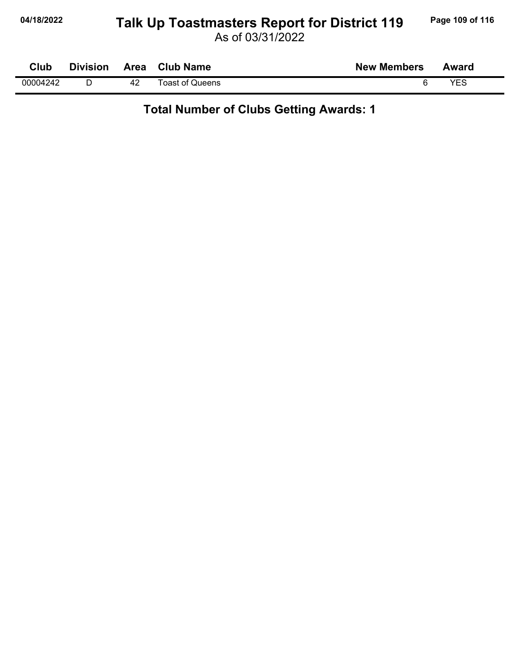# 04/18/2022 Talk Up Toastmasters Report for District 119 Page 109 of 116

As of 03/31/2022

| Club     | <b>Division</b> | Area | <b>Club Name</b> | <b>New Members</b> | Award |  |
|----------|-----------------|------|------------------|--------------------|-------|--|
| 00004242 |                 | 42   | Toast of Queens  |                    | VES   |  |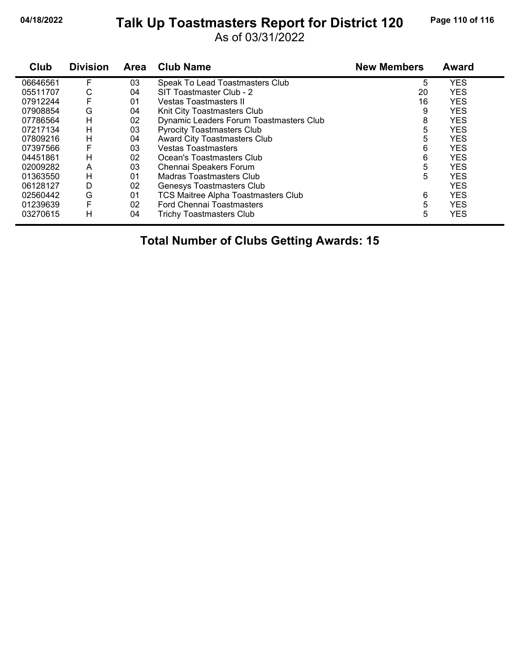## **04/18/2022 Page 110 of 116 Talk Up Toastmasters Report for District 120**

As of 03/31/2022

| Club     | <b>Division</b> | <b>Area</b> | <b>Club Name</b>                           | <b>New Members</b> | <b>Award</b> |
|----------|-----------------|-------------|--------------------------------------------|--------------------|--------------|
| 06646561 | F               | 03          | Speak To Lead Toastmasters Club            | 5                  | <b>YES</b>   |
| 05511707 | С               | 04          | SIT Toastmaster Club - 2                   | 20                 | <b>YES</b>   |
| 07912244 | F               | 01          | <b>Vestas Toastmasters II</b>              | 16                 | <b>YES</b>   |
| 07908854 | G               | 04          | Knit City Toastmasters Club                | 9                  | <b>YES</b>   |
| 07786564 | н               | 02          | Dynamic Leaders Forum Toastmasters Club    | 8                  | <b>YES</b>   |
| 07217134 | н               | 03          | <b>Pyrocity Toastmasters Club</b>          | 5                  | <b>YES</b>   |
| 07809216 | н               | 04          | Award City Toastmasters Club               | 5                  | <b>YES</b>   |
| 07397566 | F               | 03          | <b>Vestas Toastmasters</b>                 | 6                  | <b>YES</b>   |
| 04451861 | н               | 02          | Ocean's Toastmasters Club                  | 6                  | <b>YES</b>   |
| 02009282 | A               | 03          | Chennai Speakers Forum                     | 5                  | <b>YES</b>   |
| 01363550 | н               | 01          | Madras Toastmasters Club                   | 5                  | <b>YES</b>   |
| 06128127 | D               | 02          | Genesys Toastmasters Club                  |                    | <b>YES</b>   |
| 02560442 | G               | 01          | <b>TCS Maitree Alpha Toastmasters Club</b> | 6                  | <b>YES</b>   |
| 01239639 | F               | 02          | <b>Ford Chennai Toastmasters</b>           | 5                  | <b>YES</b>   |
| 03270615 | н               | 04          | Trichy Toastmasters Club                   | 5                  | <b>YES</b>   |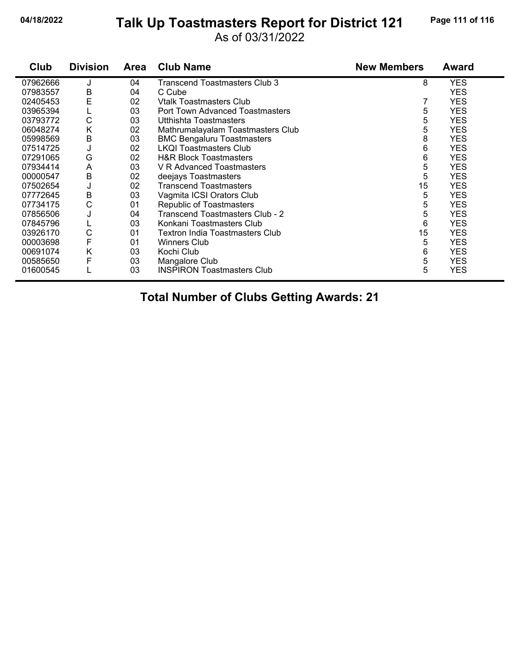#### **04/18/2022 Page 111 of 116 Talk Up Toastmasters Report for District 121**

As of 03/31/2022

| Club     | <b>Division</b> | Area | <b>Club Name</b>                  | <b>New Members</b> | <b>Award</b> |
|----------|-----------------|------|-----------------------------------|--------------------|--------------|
| 07962666 |                 | 04   | Transcend Toastmasters Club 3     | 8                  | <b>YES</b>   |
| 07983557 | B               | 04   | C Cube                            |                    | <b>YES</b>   |
| 02405453 | E               | 02   | <b>Vtalk Toastmasters Club</b>    |                    | <b>YES</b>   |
| 03965394 | L               | 03   | Port Town Advanced Toastmasters   | 5                  | <b>YES</b>   |
| 03793772 | C               | 03   | Utthishta Toastmasters            | 5                  | <b>YES</b>   |
| 06048274 | K               | 02   | Mathrumalayalam Toastmasters Club | 5                  | <b>YES</b>   |
| 05998569 | B               | 03   | <b>BMC Bengaluru Toastmasters</b> | 8                  | <b>YES</b>   |
| 07514725 | J               | 02   | <b>LKOI Toastmasters Club</b>     | 6                  | <b>YES</b>   |
| 07291065 | G               | 02   | <b>H&amp;R Block Toastmasters</b> | 6                  | <b>YES</b>   |
| 07934414 | A               | 03   | V R Advanced Toastmasters         | 5                  | <b>YES</b>   |
| 00000547 | B               | 02   | deejays Toastmasters              | 5                  | <b>YES</b>   |
| 07502654 | J               | 02   | <b>Transcend Toastmasters</b>     | 15                 | <b>YES</b>   |
| 07772645 | B               | 03   | Vagmita ICSI Orators Club         | 5                  | <b>YES</b>   |
| 07734175 | C               | 01   | <b>Republic of Toastmasters</b>   | 5                  | <b>YES</b>   |
| 07856506 | J               | 04   | Transcend Toastmasters Club - 2   | 5                  | <b>YES</b>   |
| 07845796 | ц               | 03   | Konkani Toastmasters Club         | 6                  | <b>YES</b>   |
| 03926170 | C               | 01   | Textron India Toastmasters Club   | 15                 | <b>YES</b>   |
| 00003698 | F               | 01   | <b>Winners Club</b>               | 5                  | <b>YES</b>   |
| 00691074 | Κ               | 03   | Kochi Club                        | 6                  | <b>YES</b>   |
| 00585650 | F               | 03   | Mangalore Club                    | 5                  | <b>YES</b>   |
| 01600545 |                 | 03   | <b>INSPIRON Toastmasters Club</b> | 5                  | <b>YES</b>   |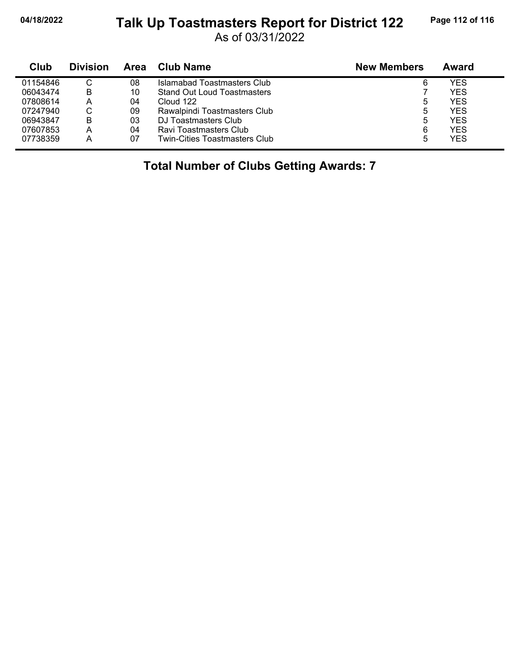# **04/18/2022 Page 112 of 116 Talk Up Toastmasters Report for District 122**

As of 03/31/2022

| Club     | <b>Division</b> | Area | Club Name                     | <b>New Members</b> | Award      |
|----------|-----------------|------|-------------------------------|--------------------|------------|
| 01154846 | С               | 08   | Islamabad Toastmasters Club   | 6                  | YES        |
| 06043474 | В               | 10   | Stand Out Loud Toastmasters   |                    | YES        |
| 07808614 | Α               | 04   | Cloud 122                     | 5                  | <b>YES</b> |
| 07247940 | С               | 09   | Rawalpindi Toastmasters Club  | 5                  | YES        |
| 06943847 | В               | 03   | DJ Toastmasters Club          | 5                  | <b>YES</b> |
| 07607853 | A               | 04   | Ravi Toastmasters Club        | 6                  | <b>YES</b> |
| 07738359 | А               | 07   | Twin-Cities Toastmasters Club | 5                  | <b>YES</b> |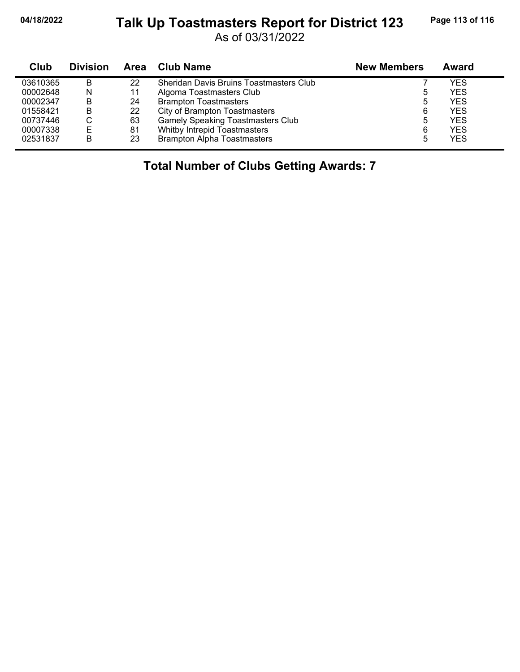# **04/18/2022 Page 113 of 116 Talk Up Toastmasters Report for District 123**

As of 03/31/2022

| Club     | <b>Division</b> | Area | Club Name                                | <b>New Members</b> | Award      |
|----------|-----------------|------|------------------------------------------|--------------------|------------|
| 03610365 | B               | 22   | Sheridan Davis Bruins Toastmasters Club  |                    | YES        |
| 00002648 | N               | 11   | Algoma Toastmasters Club                 | ხ                  | YES        |
| 00002347 | в               | 24   | <b>Brampton Toastmasters</b>             | ხ                  | <b>YES</b> |
| 01558421 | в               | 22   | City of Brampton Toastmasters            | 6                  | <b>YES</b> |
| 00737446 | U               | 63   | <b>Gamely Speaking Toastmasters Club</b> | 5                  | <b>YES</b> |
| 00007338 | Е               | 81   | Whitby Intrepid Toastmasters             | 6                  | <b>YES</b> |
| 02531837 | в               | 23   | <b>Brampton Alpha Toastmasters</b>       | 5                  | <b>YES</b> |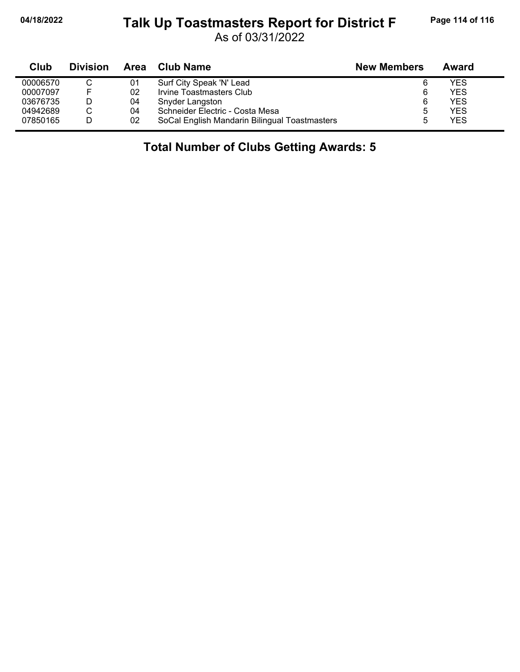### **04/18/2022 Page 114 of 116 Talk Up Toastmasters Report for District F**

As of 03/31/2022

| Club     | <b>Division</b> | Area | <b>Club Name</b>                              | <b>New Members</b> | Award      |
|----------|-----------------|------|-----------------------------------------------|--------------------|------------|
| 00006570 |                 | 01   | Surf City Speak 'N' Lead                      |                    | YES        |
| 00007097 | E               | 02   | Irvine Toastmasters Club                      |                    | <b>YES</b> |
| 03676735 |                 | 04   | Snyder Langston                               | 6                  | <b>YES</b> |
| 04942689 |                 | 04   | Schneider Electric - Costa Mesa               | 5                  | YES        |
| 07850165 |                 | 02   | SoCal English Mandarin Bilingual Toastmasters |                    | <b>YES</b> |